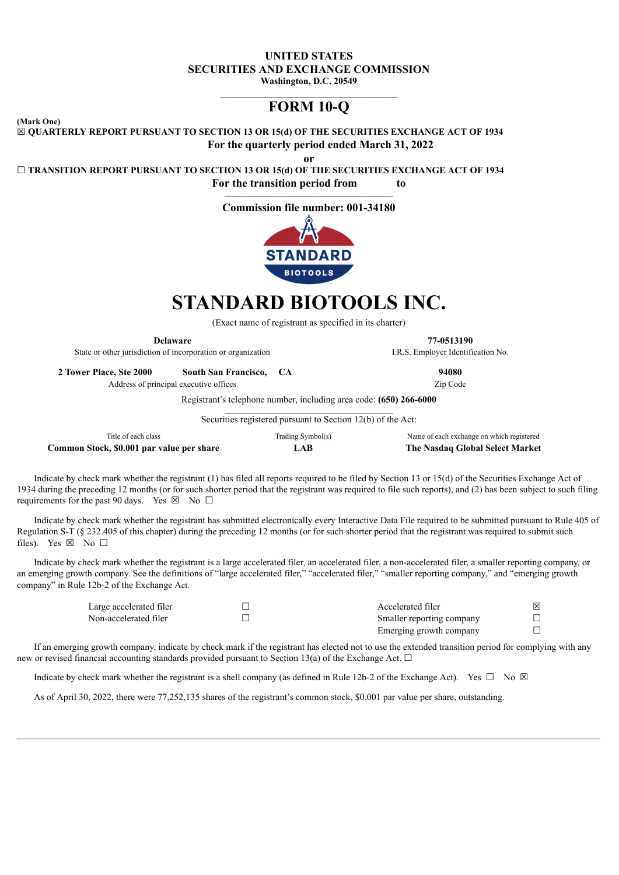# **UNITED STATES SECURITIES AND EXCHANGE COMMISSION**

**Washington, D.C. 20549**

# **FORM 10-Q**

**(Mark One)** ☒ **QUARTERLY REPORT PURSUANT TO SECTION 13 OR 15(d) OF THE SECURITIES EXCHANGE ACT OF 1934 For the quarterly period ended March 31, 2022**

**or**

☐ **TRANSITION REPORT PURSUANT TO SECTION 13 OR 15(d) OF THE SECURITIES EXCHANGE ACT OF 1934 For the transition period from to**

> \_\_\_\_\_\_\_\_\_\_\_\_\_\_\_\_\_\_\_\_\_\_\_\_\_\_\_\_\_\_\_\_\_\_\_\_\_\_\_\_\_\_\_\_\_ **Commission file number: 001-34180**



# **STANDARD BIOTOOLS INC.**

(Exact name of registrant as specified in its charter)

**Delaware 77-0513190**

| State or other jurisdiction of incorporation or organization |                         |                                                                    | I.R.S. Employer Identification No.        |
|--------------------------------------------------------------|-------------------------|--------------------------------------------------------------------|-------------------------------------------|
| 2 Tower Place, Ste 2000                                      | South San Francisco, CA |                                                                    | 94080                                     |
| Address of principal executive offices                       |                         |                                                                    | Zip Code                                  |
|                                                              |                         | Registrant's telephone number, including area code: (650) 266-6000 |                                           |
|                                                              |                         | Securities registered pursuant to Section 12(b) of the Act:        |                                           |
| Title of each class                                          |                         | Trading Symbol(s)                                                  | Name of each exchange on which registered |
| Common Stock, \$0.001 par value per share                    |                         | LAB                                                                | <b>The Nasdaq Global Select Market</b>    |

Indicate by check mark whether the registrant (1) has filed all reports required to be filed by Section 13 or 15(d) of the Securities Exchange Act of 1934 during the preceding 12 months (or for such shorter period that the registrant was required to file such reports), and (2) has been subject to such filing requirements for the past 90 days. Yes  $\boxtimes$  No  $\Box$ 

Indicate by check mark whether the registrant has submitted electronically every Interactive Data File required to be submitted pursuant to Rule 405 of Regulation S-T (§ 232.405 of this chapter) during the preceding 12 months (or for such shorter period that the registrant was required to submit such files). Yes  $\boxtimes$  No  $\Box$ 

Indicate by check mark whether the registrant is a large accelerated filer, an accelerated filer, a non-accelerated filer, a smaller reporting company, or an emerging growth company. See the definitions of "large accelerated filer," "accelerated filer," "smaller reporting company," and "emerging growth company" in Rule 12b-2 of the Exchange Act.

| Large accelerated filer | Accelerated filer         | ⊠ |
|-------------------------|---------------------------|---|
| Non-accelerated filer   | Smaller reporting company |   |
|                         | Emerging growth company   |   |

If an emerging growth company, indicate by check mark if the registrant has elected not to use the extended transition period for complying with any new or revised financial accounting standards provided pursuant to Section 13(a) of the Exchange Act.  $\Box$ 

Indicate by check mark whether the registrant is a shell company (as defined in Rule 12b-2 of the Exchange Act). Yes  $\Box$  No  $\boxtimes$ 

As of April 30, 2022, there were 77,252,135 shares of the registrant's common stock, \$0.001 par value per share, outstanding.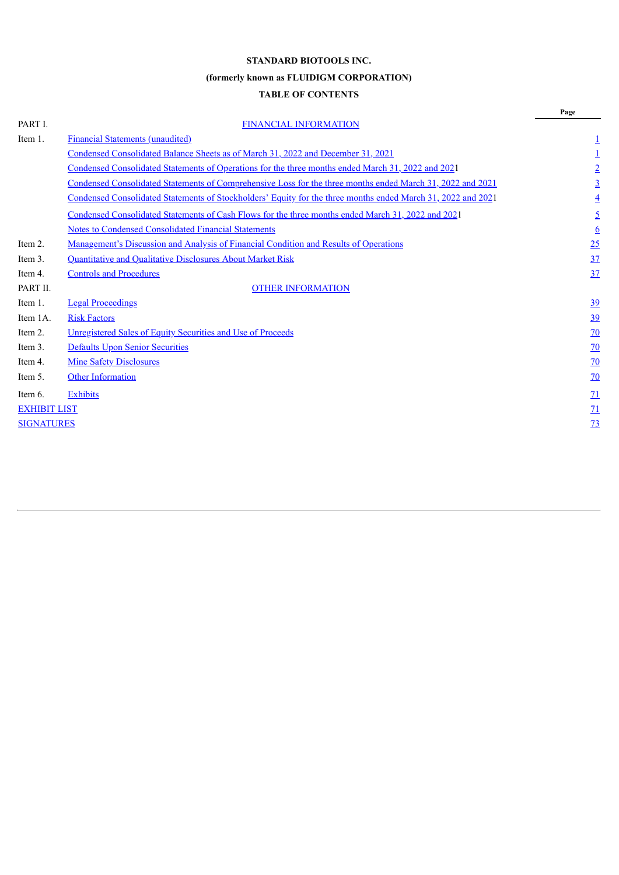# **STANDARD BIOTOOLS INC. (formerly known as FLUIDIGM CORPORATION) TABLE OF CONTENTS**

|                     |                                                                                                              | Page             |
|---------------------|--------------------------------------------------------------------------------------------------------------|------------------|
| PART L              | <b>FINANCIAL INFORMATION</b>                                                                                 |                  |
| Item 1.             | <b>Financial Statements (unaudited)</b>                                                                      |                  |
|                     | Condensed Consolidated Balance Sheets as of March 31, 2022 and December 31, 2021                             | $\overline{1}$   |
|                     | Condensed Consolidated Statements of Operations for the three months ended March 31, 2022 and 2021           | $\overline{2}$   |
|                     | Condensed Consolidated Statements of Comprehensive Loss for the three months ended March 31, 2022 and 2021   | $\overline{3}$   |
|                     | Condensed Consolidated Statements of Stockholders' Equity for the three months ended March 31, 2022 and 2021 | $\overline{4}$   |
|                     | Condensed Consolidated Statements of Cash Flows for the three months ended March 31, 2022 and 2021           | $\overline{2}$   |
|                     | <b>Notes to Condensed Consolidated Financial Statements</b>                                                  | $6 \overline{6}$ |
| Item 2.             | Management's Discussion and Analysis of Financial Condition and Results of Operations                        | 25               |
| Item 3.             | <b>Quantitative and Qualitative Disclosures About Market Risk</b>                                            | 37               |
| Item 4.             | <b>Controls and Procedures</b>                                                                               | 37               |
| PART II.            | <b>OTHER INFORMATION</b>                                                                                     |                  |
| Item 1.             | <b>Legal Proceedings</b>                                                                                     | 39               |
| Item 1A.            | <b>Risk Factors</b>                                                                                          | 39               |
| Item 2.             | Unregistered Sales of Equity Securities and Use of Proceeds                                                  | $\overline{20}$  |
| Item 3.             | <b>Defaults Upon Senior Securities</b>                                                                       | $\overline{20}$  |
| Item 4.             | <b>Mine Safety Disclosures</b>                                                                               | $\overline{20}$  |
| Item 5.             | <b>Other Information</b>                                                                                     | $\overline{20}$  |
| Item 6.             | <b>Exhibits</b>                                                                                              | 71               |
| <b>EXHIBIT LIST</b> |                                                                                                              | 71               |
| <b>SIGNATURES</b>   |                                                                                                              | 73               |
|                     |                                                                                                              |                  |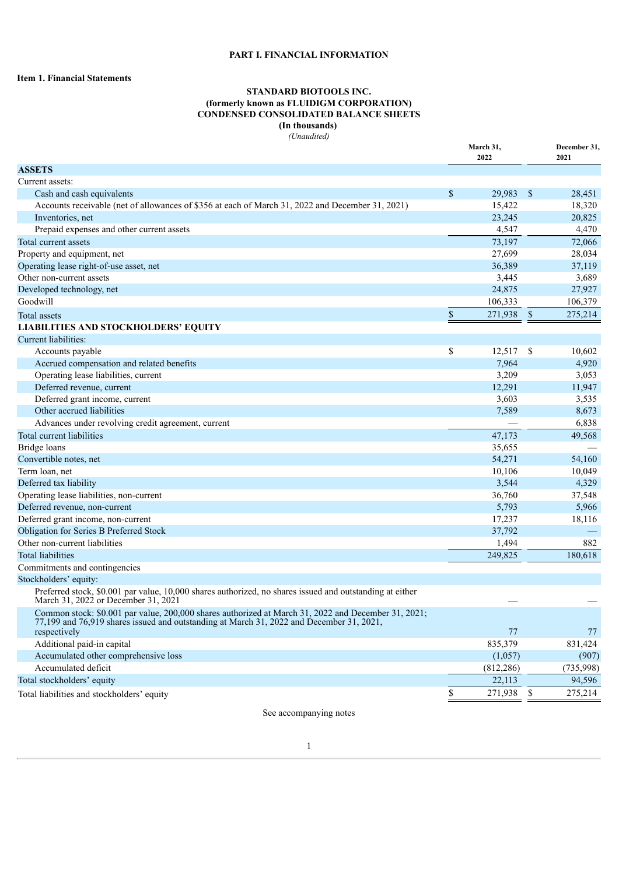# **PART I. FINANCIAL INFORMATION**

# <span id="page-2-1"></span><span id="page-2-0"></span>**Item 1. Financial Statements**

# **STANDARD BIOTOOLS INC. (formerly known as FLUIDIGM CORPORATION) CONDENSED CONSOLIDATED BALANCE SHEETS (In thousands)**

*(Unaudited)*

|                                                                                                                                                                                                 |             | March 31,<br>2022 |             | December 31,<br>2021 |  |
|-------------------------------------------------------------------------------------------------------------------------------------------------------------------------------------------------|-------------|-------------------|-------------|----------------------|--|
| <b>ASSETS</b>                                                                                                                                                                                   |             |                   |             |                      |  |
| Current assets:                                                                                                                                                                                 |             |                   |             |                      |  |
| Cash and cash equivalents                                                                                                                                                                       | $\mathbf S$ | 29,983            | - \$        | 28,451               |  |
| Accounts receivable (net of allowances of \$356 at each of March 31, 2022 and December 31, 2021)                                                                                                |             | 15,422            |             | 18,320               |  |
| Inventories, net                                                                                                                                                                                |             | 23,245            |             | 20,825               |  |
| Prepaid expenses and other current assets                                                                                                                                                       |             | 4,547             |             | 4,470                |  |
| Total current assets                                                                                                                                                                            |             | 73,197            |             | 72,066               |  |
| Property and equipment, net                                                                                                                                                                     |             | 27,699            |             | 28,034               |  |
| Operating lease right-of-use asset, net                                                                                                                                                         |             | 36,389            |             | 37,119               |  |
| Other non-current assets                                                                                                                                                                        |             | 3,445             |             | 3,689                |  |
| Developed technology, net                                                                                                                                                                       |             | 24,875            |             | 27,927               |  |
| Goodwill                                                                                                                                                                                        |             | 106,333           |             | 106,379              |  |
| <b>Total assets</b>                                                                                                                                                                             | $\$$        | 271,938           | $\sqrt{\ }$ | 275,214              |  |
| <b>LIABILITIES AND STOCKHOLDERS' EQUITY</b>                                                                                                                                                     |             |                   |             |                      |  |
| Current liabilities:                                                                                                                                                                            |             |                   |             |                      |  |
| Accounts payable                                                                                                                                                                                | \$          | 12,517            | - \$        | 10,602               |  |
| Accrued compensation and related benefits                                                                                                                                                       |             | 7.964             |             | 4,920                |  |
| Operating lease liabilities, current                                                                                                                                                            |             | 3,209             |             | 3,053                |  |
| Deferred revenue, current                                                                                                                                                                       |             | 12,291            |             | 11,947               |  |
| Deferred grant income, current                                                                                                                                                                  |             | 3,603             |             | 3,535                |  |
| Other accrued liabilities                                                                                                                                                                       |             | 7,589             |             | 8,673                |  |
| Advances under revolving credit agreement, current                                                                                                                                              |             |                   |             | 6,838                |  |
| Total current liabilities                                                                                                                                                                       |             | 47,173            |             | 49,568               |  |
| Bridge loans                                                                                                                                                                                    |             | 35,655            |             |                      |  |
| Convertible notes, net                                                                                                                                                                          |             | 54,271            |             | 54,160               |  |
| Term loan, net                                                                                                                                                                                  |             | 10,106            |             | 10,049               |  |
| Deferred tax liability                                                                                                                                                                          |             | 3,544             |             | 4,329                |  |
| Operating lease liabilities, non-current                                                                                                                                                        |             | 36,760            |             | 37,548               |  |
| Deferred revenue, non-current                                                                                                                                                                   |             | 5,793             |             | 5,966                |  |
| Deferred grant income, non-current                                                                                                                                                              |             | 17,237            |             | 18,116               |  |
| Obligation for Series B Preferred Stock                                                                                                                                                         |             | 37,792            |             |                      |  |
| Other non-current liabilities                                                                                                                                                                   |             | 1,494             |             | 882                  |  |
| <b>Total liabilities</b>                                                                                                                                                                        |             | 249,825           |             | 180,618              |  |
| Commitments and contingencies                                                                                                                                                                   |             |                   |             |                      |  |
| Stockholders' equity:                                                                                                                                                                           |             |                   |             |                      |  |
| Preferred stock, \$0.001 par value, 10,000 shares authorized, no shares issued and outstanding at either<br>March 31, 2022 or December 31, 2021                                                 |             |                   |             |                      |  |
| Common stock: \$0.001 par value, 200,000 shares authorized at March 31, 2022 and December 31, 2021;<br>77,199 and 76,919 shares issued and outstanding at March 31, 2022 and December 31, 2021, |             |                   |             |                      |  |
| respectively                                                                                                                                                                                    |             | 77                |             | 77                   |  |
| Additional paid-in capital                                                                                                                                                                      |             | 835,379           |             | 831,424              |  |
| Accumulated other comprehensive loss                                                                                                                                                            |             | (1,057)           |             | (907)                |  |
| Accumulated deficit                                                                                                                                                                             |             | (812, 286)        |             | (735,998)            |  |
| Total stockholders' equity                                                                                                                                                                      |             | 22,113            |             | 94,596               |  |
| Total liabilities and stockholders' equity                                                                                                                                                      | \$          | 271,938           | - \$        | 275,214              |  |

<span id="page-2-2"></span>See accompanying notes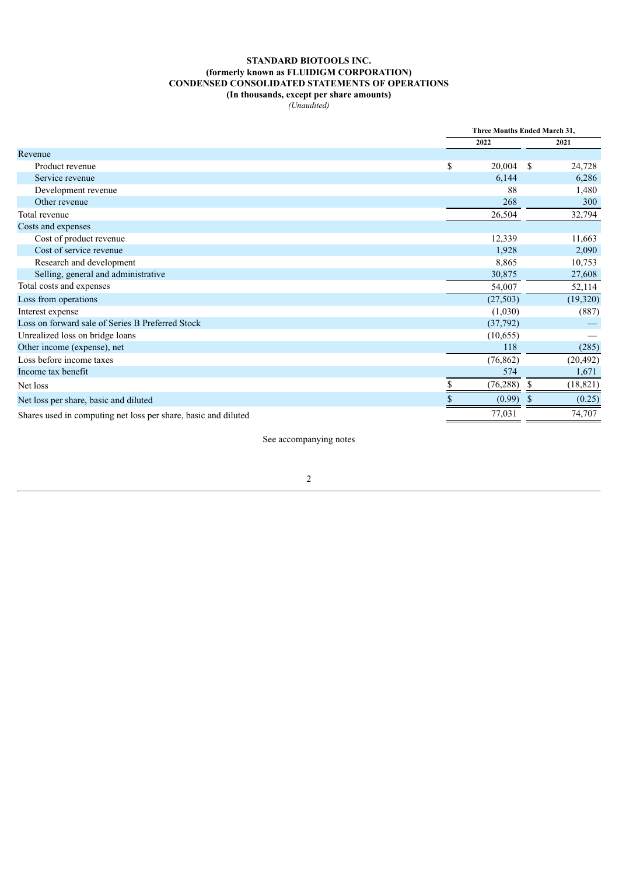# **STANDARD BIOTOOLS INC. (formerly known as FLUIDIGM CORPORATION) CONDENSED CONSOLIDATED STATEMENTS OF OPERATIONS (In thousands, except per share amounts)**

*(Unaudited)*

|                                                                |              | Three Months Ended March 31. |           |  |
|----------------------------------------------------------------|--------------|------------------------------|-----------|--|
|                                                                | 2022         |                              | 2021      |  |
| Revenue                                                        |              |                              |           |  |
| Product revenue                                                | \$<br>20,004 | -S                           | 24,728    |  |
| Service revenue                                                | 6,144        |                              | 6,286     |  |
| Development revenue                                            |              | 88                           | 1,480     |  |
| Other revenue                                                  | 268          |                              | 300       |  |
| Total revenue                                                  | 26,504       |                              | 32,794    |  |
| Costs and expenses                                             |              |                              |           |  |
| Cost of product revenue                                        | 12,339       |                              | 11,663    |  |
| Cost of service revenue                                        | 1,928        |                              | 2,090     |  |
| Research and development                                       | 8,865        |                              | 10,753    |  |
| Selling, general and administrative                            | 30,875       |                              | 27,608    |  |
| Total costs and expenses                                       | 54,007       |                              | 52,114    |  |
| Loss from operations                                           | (27,503)     |                              | (19,320)  |  |
| Interest expense                                               | (1,030)      |                              | (887)     |  |
| Loss on forward sale of Series B Preferred Stock               | (37,792)     |                              |           |  |
| Unrealized loss on bridge loans                                | (10,655)     |                              |           |  |
| Other income (expense), net                                    | 118          |                              | (285)     |  |
| Loss before income taxes                                       | (76, 862)    |                              | (20, 492) |  |
| Income tax benefit                                             | 574          |                              | 1,671     |  |
| Net loss                                                       | (76, 288)    | -S                           | (18, 821) |  |
| Net loss per share, basic and diluted                          | (0.99)       |                              | (0.25)    |  |
| Shares used in computing net loss per share, basic and diluted | 77,031       |                              | 74,707    |  |

<span id="page-3-0"></span>See accompanying notes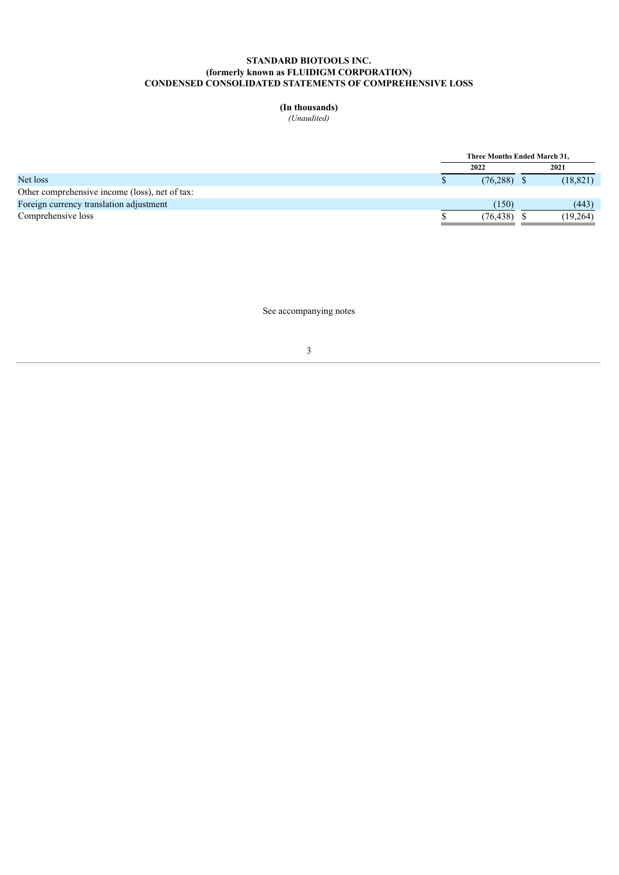# **STANDARD BIOTOOLS INC. (formerly known as FLUIDIGM CORPORATION) CONDENSED CONSOLIDATED STATEMENTS OF COMPREHENSIVE LOSS**

**(In thousands)** *(Unaudited)*

<span id="page-4-0"></span>

|                                                | Three Months Ended March 31, |  |           |  |  |
|------------------------------------------------|------------------------------|--|-----------|--|--|
|                                                | 2022                         |  | 2021      |  |  |
| Net loss                                       | (76, 288)                    |  | (18, 821) |  |  |
| Other comprehensive income (loss), net of tax: |                              |  |           |  |  |
| Foreign currency translation adjustment        | (150)                        |  | (443)     |  |  |
| Comprehensive loss                             | (76, 438)                    |  | (19, 264) |  |  |

See accompanying notes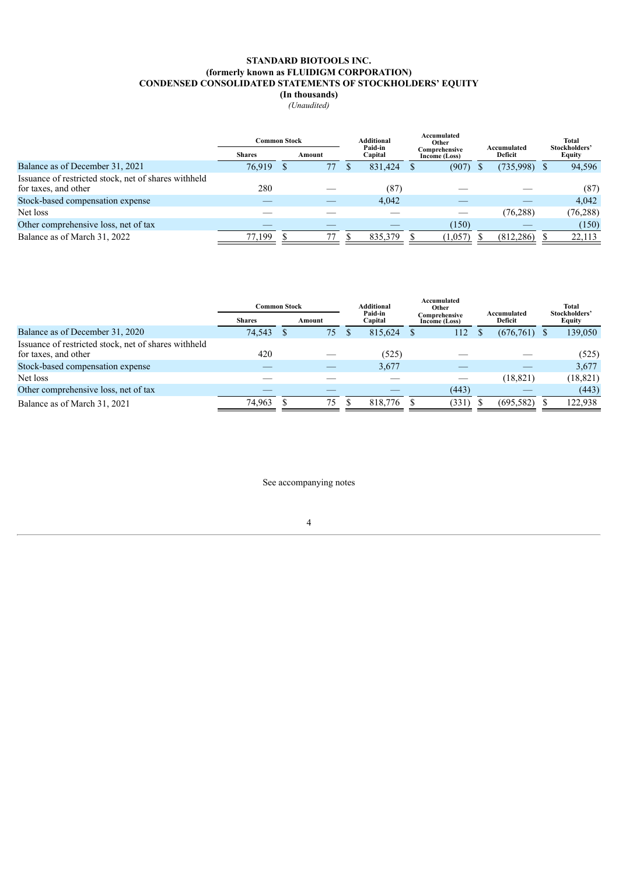# **STANDARD BIOTOOLS INC. (formerly known as FLUIDIGM CORPORATION) CONDENSED CONSOLIDATED STATEMENTS OF STOCKHOLDERS' EQUITY**

**(In thousands)** *(Unaudited)*

|                                                                              | Common Stock  |        |    | <b>Additional</b><br>Paid-in |         |               | Accumulated<br>Other | Accumulated |                | Total<br>Stockholders' |           |         |  |  |        |
|------------------------------------------------------------------------------|---------------|--------|----|------------------------------|---------|---------------|----------------------|-------------|----------------|------------------------|-----------|---------|--|--|--------|
|                                                                              | <b>Shares</b> | Amount |    | Capital                      |         | Income (Loss) |                      |             |                | Comprehensive          |           | Deficit |  |  | Equity |
| Balance as of December 31, 2021                                              | 76.919        |        | 77 |                              | 831,424 |               | (907)                |             | $(735,998)$ \$ |                        | 94,596    |         |  |  |        |
| Issuance of restricted stock, net of shares withheld<br>for taxes, and other | 280           |        |    |                              | (87)    |               |                      |             |                |                        | (87)      |         |  |  |        |
| Stock-based compensation expense                                             |               |        |    |                              | 4.042   |               |                      |             |                |                        | 4.042     |         |  |  |        |
| Net loss                                                                     |               |        |    |                              |         |               |                      |             | (76, 288)      |                        | (76, 288) |         |  |  |        |
| Other comprehensive loss, net of tax                                         |               |        |    |                              |         |               | (150)                |             |                |                        | (150)     |         |  |  |        |
| Balance as of March 31, 2022                                                 | 77.199        |        |    |                              | 835,379 |               | (1,057)              |             | (812, 286)     |                        | 22,113    |         |  |  |        |

<span id="page-5-0"></span>

|                                                                              | <b>Common Stock</b> |  |        | <b>Additional</b> |                    | Accumulated<br>Other           |       |                        |                | Total                          |
|------------------------------------------------------------------------------|---------------------|--|--------|-------------------|--------------------|--------------------------------|-------|------------------------|----------------|--------------------------------|
|                                                                              | <b>Shares</b>       |  | Amount |                   | Paid-in<br>Capital | Comprehensive<br>Income (Loss) |       | Accumulated<br>Deficit |                | Stockholders'<br><b>Equity</b> |
| Balance as of December 31, 2020                                              | 74,543              |  | 75     |                   | 815,624            |                                | 112   |                        | $(676,761)$ \$ | 139,050                        |
| Issuance of restricted stock, net of shares withheld<br>for taxes, and other | 420                 |  |        |                   | (525)              |                                |       |                        |                | (525)                          |
| Stock-based compensation expense                                             |                     |  |        |                   | 3,677              |                                |       |                        |                | 3,677                          |
| Net loss                                                                     |                     |  |        |                   |                    |                                |       |                        | (18, 821)      | (18, 821)                      |
| Other comprehensive loss, net of tax                                         |                     |  |        |                   |                    |                                | (443) |                        |                | (443)                          |
| Balance as of March 31, 2021                                                 | 74,963              |  | 75     |                   | 818,776            |                                | (331) |                        | (695, 582)     | 122,938                        |

See accompanying notes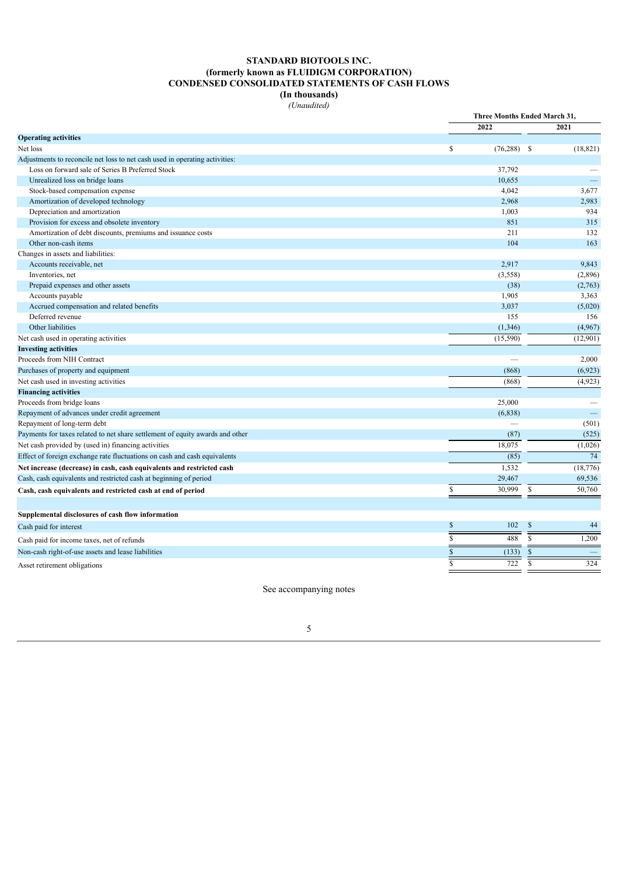# **STANDARD BIOTOOLS INC. (formerly known as FLUIDIGM CORPORATION) CONDENSED CONSOLIDATED STATEMENTS OF CASH FLOWS**

**(In thousands)** *(Unaudited)*

|                                                                               |                       | Three Months Ended March 31, |                   |  |
|-------------------------------------------------------------------------------|-----------------------|------------------------------|-------------------|--|
|                                                                               | 2022                  |                              | 2021              |  |
| <b>Operating activities</b>                                                   |                       |                              |                   |  |
| Net loss                                                                      | \$<br>$(76,288)$ \$   |                              | (18, 821)         |  |
| Adjustments to reconcile net loss to net cash used in operating activities:   |                       |                              |                   |  |
| Loss on forward sale of Series B Preferred Stock                              | 37,792                |                              |                   |  |
| Unrealized loss on bridge loans                                               | 10,655                |                              |                   |  |
| Stock-based compensation expense                                              | 4,042                 |                              | 3,677             |  |
| Amortization of developed technology                                          | 2,968                 |                              | 2,983             |  |
| Depreciation and amortization                                                 | 1,003                 |                              | 934               |  |
| Provision for excess and obsolete inventory                                   | 851                   |                              | 315               |  |
| Amortization of debt discounts, premiums and issuance costs                   | 211                   |                              | 132               |  |
| Other non-cash items                                                          | 104                   |                              | 163               |  |
| Changes in assets and liabilities:                                            |                       |                              |                   |  |
| Accounts receivable, net                                                      | 2,917                 |                              | 9,843             |  |
| Inventories, net                                                              | (3,558)               |                              | (2,896)           |  |
| Prepaid expenses and other assets                                             | (38)                  |                              | (2,763)           |  |
| Accounts payable                                                              | 1,905                 |                              | 3,363             |  |
| Accrued compensation and related benefits                                     | 3,037                 |                              | (5,020)           |  |
| Deferred revenue                                                              | 155                   |                              | 156               |  |
| Other liabilities                                                             | (1,346)               |                              | (4,967)           |  |
| Net cash used in operating activities                                         | (15,590)              |                              | (12, 901)         |  |
| <b>Investing activities</b>                                                   |                       |                              |                   |  |
| Proceeds from NIH Contract                                                    |                       |                              | 2,000             |  |
| Purchases of property and equipment                                           | (868)                 |                              | (6, 923)          |  |
| Net cash used in investing activities                                         | (868)                 |                              | (4, 923)          |  |
| <b>Financing activities</b>                                                   |                       |                              |                   |  |
| Proceeds from bridge loans                                                    | 25,000                |                              |                   |  |
| Repayment of advances under credit agreement                                  | (6,838)               |                              | $\qquad \qquad -$ |  |
| Repayment of long-term debt                                                   |                       |                              | (501)             |  |
| Payments for taxes related to net share settlement of equity awards and other | (87)                  |                              | (525)             |  |
| Net cash provided by (used in) financing activities                           | 18,075                |                              | (1,026)           |  |
| Effect of foreign exchange rate fluctuations on cash and cash equivalents     | (85)                  |                              | 74                |  |
| Net increase (decrease) in cash, cash equivalents and restricted cash         | 1,532                 |                              | (18, 776)         |  |
| Cash, cash equivalents and restricted cash at beginning of period             | 29,467                |                              | 69,536            |  |
| Cash, cash equivalents and restricted cash at end of period                   | \$<br>30,999          | <sup>\$</sup>                | 50,760            |  |
|                                                                               |                       |                              |                   |  |
| Supplemental disclosures of cash flow information                             |                       |                              |                   |  |
| Cash paid for interest                                                        | 102<br>\$             | $\mathbb{S}$                 | 44                |  |
| Cash paid for income taxes, net of refunds                                    | $\mathbb{S}$<br>488   | $\mathbf S$                  | 1,200             |  |
| Non-cash right-of-use assets and lease liabilities                            | $\mathbb{S}$<br>(133) | $\mathbb{S}$                 |                   |  |
| Asset retirement obligations                                                  | $\overline{s}$<br>722 | $\overline{\overline{s}}$    | 324               |  |

<span id="page-6-0"></span>See accompanying notes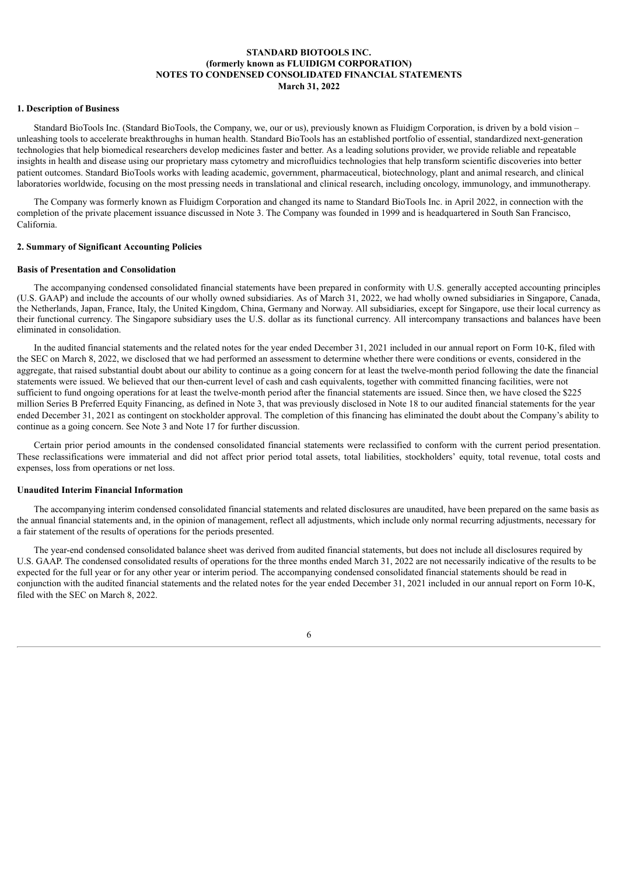# **STANDARD BIOTOOLS INC. (formerly known as FLUIDIGM CORPORATION) NOTES TO CONDENSED CONSOLIDATED FINANCIAL STATEMENTS March 31, 2022**

# **1. Description of Business**

Standard BioTools Inc. (Standard BioTools, the Company, we, our or us), previously known as Fluidigm Corporation, is driven by a bold vision – unleashing tools to accelerate breakthroughs in human health. Standard BioTools has an established portfolio of essential, standardized next-generation technologies that help biomedical researchers develop medicines faster and better. As a leading solutions provider, we provide reliable and repeatable insights in health and disease using our proprietary mass cytometry and microfluidics technologies that help transform scientific discoveries into better patient outcomes. Standard BioTools works with leading academic, government, pharmaceutical, biotechnology, plant and animal research, and clinical laboratories worldwide, focusing on the most pressing needs in translational and clinical research, including oncology, immunology, and immunotherapy.

The Company was formerly known as Fluidigm Corporation and changed its name to Standard BioTools Inc. in April 2022, in connection with the completion of the private placement issuance discussed in Note 3. The Company was founded in 1999 and is headquartered in South San Francisco, California.

#### **2. Summary of Significant Accounting Policies**

#### **Basis of Presentation and Consolidation**

The accompanying condensed consolidated financial statements have been prepared in conformity with U.S. generally accepted accounting principles (U.S. GAAP) and include the accounts of our wholly owned subsidiaries. As of March 31, 2022, we had wholly owned subsidiaries in Singapore, Canada, the Netherlands, Japan, France, Italy, the United Kingdom, China, Germany and Norway. All subsidiaries, except for Singapore, use their local currency as their functional currency. The Singapore subsidiary uses the U.S. dollar as its functional currency. All intercompany transactions and balances have been eliminated in consolidation.

In the audited financial statements and the related notes for the year ended December 31, 2021 included in our annual report on Form 10-K, filed with the SEC on March 8, 2022, we disclosed that we had performed an assessment to determine whether there were conditions or events, considered in the aggregate, that raised substantial doubt about our ability to continue as a going concern for at least the twelve-month period following the date the financial statements were issued. We believed that our then-current level of cash and cash equivalents, together with committed financing facilities, were not sufficient to fund ongoing operations for at least the twelve-month period after the financial statements are issued. Since then, we have closed the \$225 million Series B Preferred Equity Financing, as defined in Note 3, that was previously disclosed in Note 18 to our audited financial statements for the year ended December 31, 2021 as contingent on stockholder approval. The completion of this financing has eliminated the doubt about the Company's ability to continue as a going concern. See Note 3 and Note 17 for further discussion.

Certain prior period amounts in the condensed consolidated financial statements were reclassified to conform with the current period presentation. These reclassifications were immaterial and did not affect prior period total assets, total liabilities, stockholders' equity, total revenue, total costs and expenses, loss from operations or net loss.

#### **Unaudited Interim Financial Information**

The accompanying interim condensed consolidated financial statements and related disclosures are unaudited, have been prepared on the same basis as the annual financial statements and, in the opinion of management, reflect all adjustments, which include only normal recurring adjustments, necessary for a fair statement of the results of operations for the periods presented.

The year-end condensed consolidated balance sheet was derived from audited financial statements, but does not include all disclosures required by U.S. GAAP. The condensed consolidated results of operations for the three months ended March 31, 2022 are not necessarily indicative of the results to be expected for the full year or for any other year or interim period. The accompanying condensed consolidated financial statements should be read in conjunction with the audited financial statements and the related notes for the year ended December 31, 2021 included in our annual report on Form 10-K, filed with the SEC on March 8, 2022.

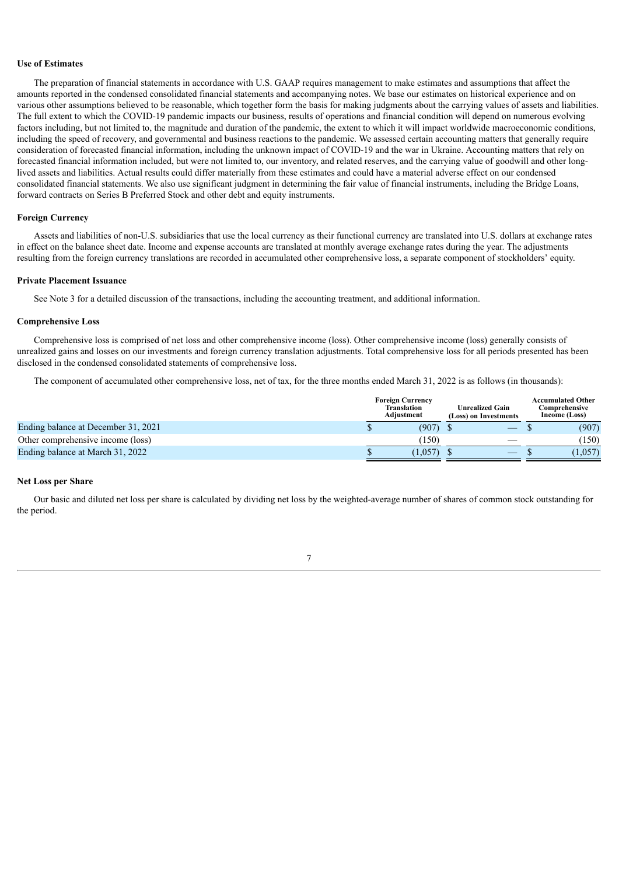#### **Use of Estimates**

The preparation of financial statements in accordance with U.S. GAAP requires management to make estimates and assumptions that affect the amounts reported in the condensed consolidated financial statements and accompanying notes. We base our estimates on historical experience and on various other assumptions believed to be reasonable, which together form the basis for making judgments about the carrying values of assets and liabilities. The full extent to which the COVID-19 pandemic impacts our business, results of operations and financial condition will depend on numerous evolving factors including, but not limited to, the magnitude and duration of the pandemic, the extent to which it will impact worldwide macroeconomic conditions, including the speed of recovery, and governmental and business reactions to the pandemic. We assessed certain accounting matters that generally require consideration of forecasted financial information, including the unknown impact of COVID-19 and the war in Ukraine. Accounting matters that rely on forecasted financial information included, but were not limited to, our inventory, and related reserves, and the carrying value of goodwill and other longlived assets and liabilities. Actual results could differ materially from these estimates and could have a material adverse effect on our condensed consolidated financial statements. We also use significant judgment in determining the fair value of financial instruments, including the Bridge Loans, forward contracts on Series B Preferred Stock and other debt and equity instruments.

#### **Foreign Currency**

Assets and liabilities of non-U.S. subsidiaries that use the local currency as their functional currency are translated into U.S. dollars at exchange rates in effect on the balance sheet date. Income and expense accounts are translated at monthly average exchange rates during the year. The adjustments resulting from the foreign currency translations are recorded in accumulated other comprehensive loss, a separate component of stockholders' equity.

#### **Private Placement Issuance**

See Note 3 for a detailed discussion of the transactions, including the accounting treatment, and additional information.

#### **Comprehensive Loss**

Comprehensive loss is comprised of net loss and other comprehensive income (loss). Other comprehensive income (loss) generally consists of unrealized gains and losses on our investments and foreign currency translation adjustments. Total comprehensive loss for all periods presented has been disclosed in the condensed consolidated statements of comprehensive loss.

The component of accumulated other comprehensive loss, net of tax, for the three months ended March 31, 2022 is as follows (in thousands):

|                                     | <b>Foreign Currency</b><br>Translation<br>Adiustment | <b>Unrealized Gain</b><br>(Loss) on Investments | <b>Accumulated Other</b><br>Comprehensive<br>Income (Loss) |
|-------------------------------------|------------------------------------------------------|-------------------------------------------------|------------------------------------------------------------|
| Ending balance at December 31, 2021 | (907)                                                |                                                 | (907)                                                      |
| Other comprehensive income (loss)   | (150)                                                |                                                 | (150)                                                      |
| Ending balance at March 31, 2022    | (1,057)                                              |                                                 | (1,057)                                                    |

#### **Net Loss per Share**

Our basic and diluted net loss per share is calculated by dividing net loss by the weighted-average number of shares of common stock outstanding for the period.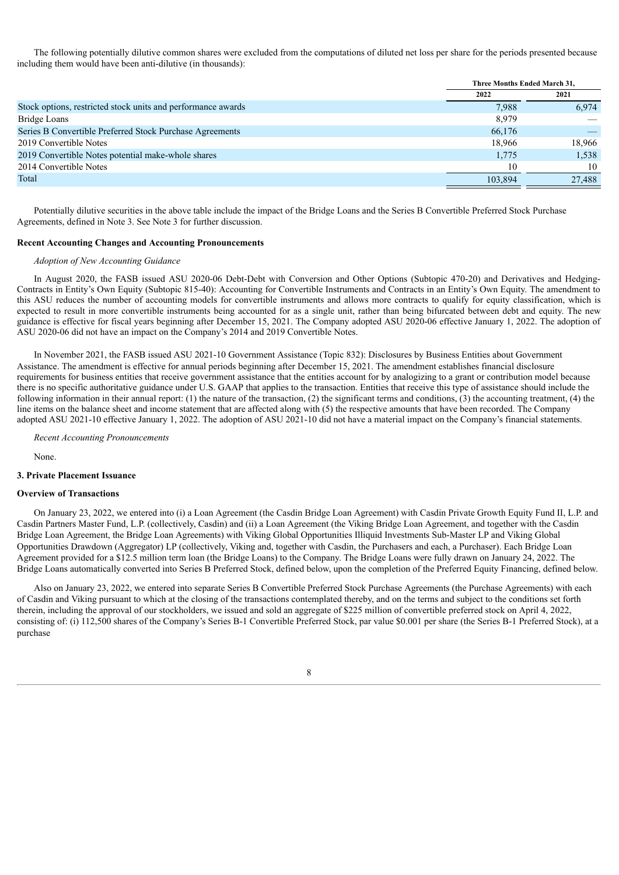The following potentially dilutive common shares were excluded from the computations of diluted net loss per share for the periods presented because including them would have been anti-dilutive (in thousands):

|                                                              | Three Months Ended March 31, |        |  |
|--------------------------------------------------------------|------------------------------|--------|--|
|                                                              | 2022                         | 2021   |  |
| Stock options, restricted stock units and performance awards | 7.988                        | 6,974  |  |
| Bridge Loans                                                 | 8.979                        |        |  |
| Series B Convertible Preferred Stock Purchase Agreements     | 66,176                       |        |  |
| 2019 Convertible Notes                                       | 18.966                       | 18,966 |  |
| 2019 Convertible Notes potential make-whole shares           | 1,775                        | 1,538  |  |
| 2014 Convertible Notes                                       | 10                           | 10     |  |
| Total                                                        | 103.894                      | 27,488 |  |

Potentially dilutive securities in the above table include the impact of the Bridge Loans and the Series B Convertible Preferred Stock Purchase Agreements, defined in Note 3. See Note 3 for further discussion.

#### **Recent Accounting Changes and Accounting Pronouncements**

#### *Adoption of New Accounting Guidance*

In August 2020, the FASB issued ASU 2020-06 Debt-Debt with Conversion and Other Options (Subtopic 470-20) and Derivatives and Hedging-Contracts in Entity's Own Equity (Subtopic 815-40): Accounting for Convertible Instruments and Contracts in an Entity's Own Equity. The amendment to this ASU reduces the number of accounting models for convertible instruments and allows more contracts to qualify for equity classification, which is expected to result in more convertible instruments being accounted for as a single unit, rather than being bifurcated between debt and equity. The new guidance is effective for fiscal years beginning after December 15, 2021. The Company adopted ASU 2020-06 effective January 1, 2022. The adoption of ASU 2020-06 did not have an impact on the Company's 2014 and 2019 Convertible Notes.

In November 2021, the FASB issued ASU 2021-10 Government Assistance (Topic 832): Disclosures by Business Entities about Government Assistance. The amendment is effective for annual periods beginning after December 15, 2021. The amendment establishes financial disclosure requirements for business entities that receive government assistance that the entities account for by analogizing to a grant or contribution model because there is no specific authoritative guidance under U.S. GAAP that applies to the transaction. Entities that receive this type of assistance should include the following information in their annual report: (1) the nature of the transaction, (2) the significant terms and conditions, (3) the accounting treatment, (4) the line items on the balance sheet and income statement that are affected along with (5) the respective amounts that have been recorded. The Company adopted ASU 2021-10 effective January 1, 2022. The adoption of ASU 2021-10 did not have a material impact on the Company's financial statements.

*Recent Accounting Pronouncements*

None.

# **3. Private Placement Issuance**

# **Overview of Transactions**

On January 23, 2022, we entered into (i) a Loan Agreement (the Casdin Bridge Loan Agreement) with Casdin Private Growth Equity Fund II, L.P. and Casdin Partners Master Fund, L.P. (collectively, Casdin) and (ii) a Loan Agreement (the Viking Bridge Loan Agreement, and together with the Casdin Bridge Loan Agreement, the Bridge Loan Agreements) with Viking Global Opportunities Illiquid Investments Sub-Master LP and Viking Global Opportunities Drawdown (Aggregator) LP (collectively, Viking and, together with Casdin, the Purchasers and each, a Purchaser). Each Bridge Loan Agreement provided for a \$12.5 million term loan (the Bridge Loans) to the Company. The Bridge Loans were fully drawn on January 24, 2022. The Bridge Loans automatically converted into Series B Preferred Stock, defined below, upon the completion of the Preferred Equity Financing, defined below.

Also on January 23, 2022, we entered into separate Series B Convertible Preferred Stock Purchase Agreements (the Purchase Agreements) with each of Casdin and Viking pursuant to which at the closing of the transactions contemplated thereby, and on the terms and subject to the conditions set forth therein, including the approval of our stockholders, we issued and sold an aggregate of \$225 million of convertible preferred stock on April 4, 2022, consisting of: (i) 112,500 shares of the Company's Series B-1 Convertible Preferred Stock, par value \$0.001 per share (the Series B-1 Preferred Stock), at a purchase

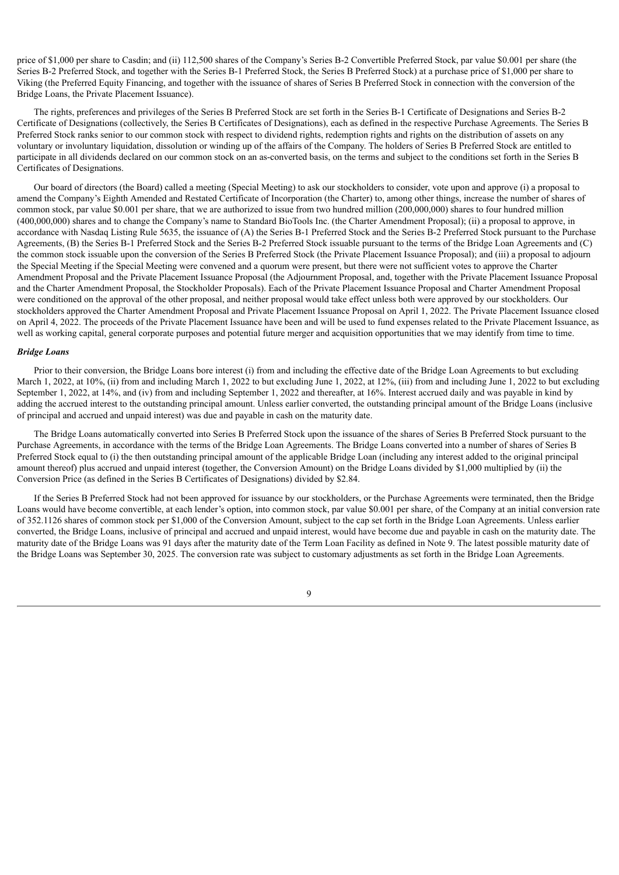price of \$1,000 per share to Casdin; and (ii) 112,500 shares of the Company's Series B-2 Convertible Preferred Stock, par value \$0.001 per share (the Series B-2 Preferred Stock, and together with the Series B-1 Preferred Stock, the Series B Preferred Stock) at a purchase price of \$1,000 per share to Viking (the Preferred Equity Financing, and together with the issuance of shares of Series B Preferred Stock in connection with the conversion of the Bridge Loans, the Private Placement Issuance).

The rights, preferences and privileges of the Series B Preferred Stock are set forth in the Series B-1 Certificate of Designations and Series B-2 Certificate of Designations (collectively, the Series B Certificates of Designations), each as defined in the respective Purchase Agreements. The Series B Preferred Stock ranks senior to our common stock with respect to dividend rights, redemption rights and rights on the distribution of assets on any voluntary or involuntary liquidation, dissolution or winding up of the affairs of the Company. The holders of Series B Preferred Stock are entitled to participate in all dividends declared on our common stock on an as-converted basis, on the terms and subject to the conditions set forth in the Series B Certificates of Designations.

Our board of directors (the Board) called a meeting (Special Meeting) to ask our stockholders to consider, vote upon and approve (i) a proposal to amend the Company's Eighth Amended and Restated Certificate of Incorporation (the Charter) to, among other things, increase the number of shares of common stock, par value \$0.001 per share, that we are authorized to issue from two hundred million (200,000,000) shares to four hundred million (400,000,000) shares and to change the Company's name to Standard BioTools Inc. (the Charter Amendment Proposal); (ii) a proposal to approve, in accordance with Nasdaq Listing Rule 5635, the issuance of (A) the Series B-1 Preferred Stock and the Series B-2 Preferred Stock pursuant to the Purchase Agreements, (B) the Series B-1 Preferred Stock and the Series B-2 Preferred Stock issuable pursuant to the terms of the Bridge Loan Agreements and (C) the common stock issuable upon the conversion of the Series B Preferred Stock (the Private Placement Issuance Proposal); and (iii) a proposal to adjourn the Special Meeting if the Special Meeting were convened and a quorum were present, but there were not sufficient votes to approve the Charter Amendment Proposal and the Private Placement Issuance Proposal (the Adjournment Proposal, and, together with the Private Placement Issuance Proposal and the Charter Amendment Proposal, the Stockholder Proposals). Each of the Private Placement Issuance Proposal and Charter Amendment Proposal were conditioned on the approval of the other proposal, and neither proposal would take effect unless both were approved by our stockholders. Our stockholders approved the Charter Amendment Proposal and Private Placement Issuance Proposal on April 1, 2022. The Private Placement Issuance closed on April 4, 2022. The proceeds of the Private Placement Issuance have been and will be used to fund expenses related to the Private Placement Issuance, as well as working capital, general corporate purposes and potential future merger and acquisition opportunities that we may identify from time to time.

#### *Bridge Loans*

Prior to their conversion, the Bridge Loans bore interest (i) from and including the effective date of the Bridge Loan Agreements to but excluding March 1, 2022, at 10%, (ii) from and including March 1, 2022 to but excluding June 1, 2022, at 12%, (iii) from and including June 1, 2022 to but excluding September 1, 2022, at 14%, and (iv) from and including September 1, 2022 and thereafter, at 16%. Interest accrued daily and was payable in kind by adding the accrued interest to the outstanding principal amount. Unless earlier converted, the outstanding principal amount of the Bridge Loans (inclusive of principal and accrued and unpaid interest) was due and payable in cash on the maturity date.

The Bridge Loans automatically converted into Series B Preferred Stock upon the issuance of the shares of Series B Preferred Stock pursuant to the Purchase Agreements, in accordance with the terms of the Bridge Loan Agreements. The Bridge Loans converted into a number of shares of Series B Preferred Stock equal to (i) the then outstanding principal amount of the applicable Bridge Loan (including any interest added to the original principal amount thereof) plus accrued and unpaid interest (together, the Conversion Amount) on the Bridge Loans divided by \$1,000 multiplied by (ii) the Conversion Price (as defined in the Series B Certificates of Designations) divided by \$2.84.

If the Series B Preferred Stock had not been approved for issuance by our stockholders, or the Purchase Agreements were terminated, then the Bridge Loans would have become convertible, at each lender's option, into common stock, par value \$0.001 per share, of the Company at an initial conversion rate of 352.1126 shares of common stock per \$1,000 of the Conversion Amount, subject to the cap set forth in the Bridge Loan Agreements. Unless earlier converted, the Bridge Loans, inclusive of principal and accrued and unpaid interest, would have become due and payable in cash on the maturity date. The maturity date of the Bridge Loans was 91 days after the maturity date of the Term Loan Facility as defined in Note 9. The latest possible maturity date of the Bridge Loans was September 30, 2025. The conversion rate was subject to customary adjustments as set forth in the Bridge Loan Agreements.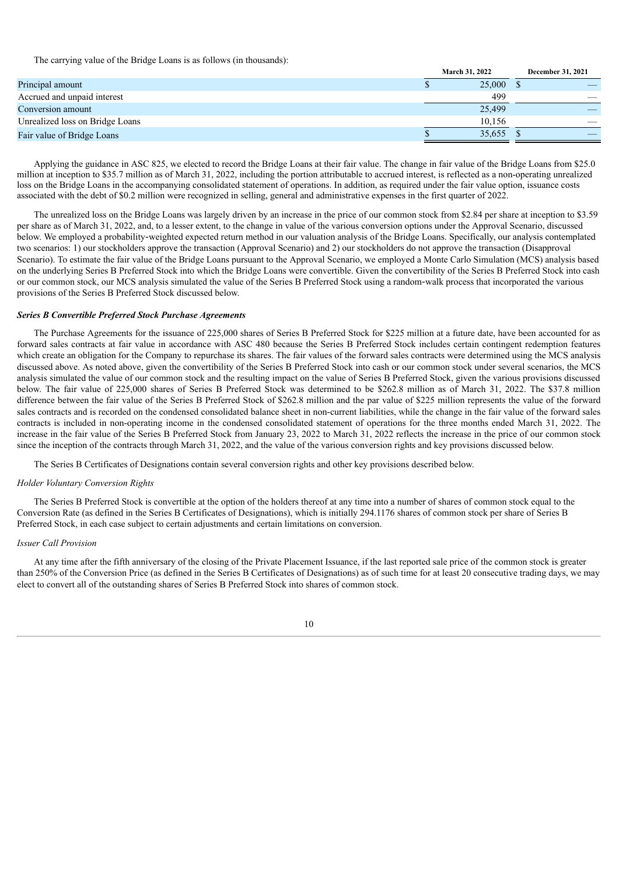The carrying value of the Bridge Loans is as follows (in thousands):

|                                 | <b>March 31, 2022</b> |        | December 31, 2021 |
|---------------------------------|-----------------------|--------|-------------------|
| Principal amount                | ۰D                    | 25,000 |                   |
| Accrued and unpaid interest     |                       | 499    |                   |
| Conversion amount               |                       | 25,499 |                   |
| Unrealized loss on Bridge Loans |                       | 10.156 |                   |
| Fair value of Bridge Loans      |                       | 35,655 |                   |

Applying the guidance in ASC 825, we elected to record the Bridge Loans at their fair value. The change in fair value of the Bridge Loans from \$25.0 million at inception to \$35.7 million as of March 31, 2022, including the portion attributable to accrued interest, is reflected as a non-operating unrealized loss on the Bridge Loans in the accompanying consolidated statement of operations. In addition, as required under the fair value option, issuance costs associated with the debt of \$0.2 million were recognized in selling, general and administrative expenses in the first quarter of 2022.

The unrealized loss on the Bridge Loans was largely driven by an increase in the price of our common stock from \$2.84 per share at inception to \$3.59 per share as of March 31, 2022, and, to a lesser extent, to the change in value of the various conversion options under the Approval Scenario, discussed below. We employed a probability-weighted expected return method in our valuation analysis of the Bridge Loans. Specifically, our analysis contemplated two scenarios: 1) our stockholders approve the transaction (Approval Scenario) and 2) our stockholders do not approve the transaction (Disapproval Scenario). To estimate the fair value of the Bridge Loans pursuant to the Approval Scenario, we employed a Monte Carlo Simulation (MCS) analysis based on the underlying Series B Preferred Stock into which the Bridge Loans were convertible. Given the convertibility of the Series B Preferred Stock into cash or our common stock, our MCS analysis simulated the value of the Series B Preferred Stock using a random‐walk process that incorporated the various provisions of the Series B Preferred Stock discussed below.

#### *Series B Convertible Preferred Stock Purchase Agreements*

The Purchase Agreements for the issuance of 225,000 shares of Series B Preferred Stock for \$225 million at a future date, have been accounted for as forward sales contracts at fair value in accordance with ASC 480 because the Series B Preferred Stock includes certain contingent redemption features which create an obligation for the Company to repurchase its shares. The fair values of the forward sales contracts were determined using the MCS analysis discussed above. As noted above, given the convertibility of the Series B Preferred Stock into cash or our common stock under several scenarios, the MCS analysis simulated the value of our common stock and the resulting impact on the value of Series B Preferred Stock, given the various provisions discussed below. The fair value of 225,000 shares of Series B Preferred Stock was determined to be \$262.8 million as of March 31, 2022. The \$37.8 million difference between the fair value of the Series B Preferred Stock of \$262.8 million and the par value of \$225 million represents the value of the forward sales contracts and is recorded on the condensed consolidated balance sheet in non-current liabilities, while the change in the fair value of the forward sales contracts is included in non-operating income in the condensed consolidated statement of operations for the three months ended March 31, 2022. The increase in the fair value of the Series B Preferred Stock from January 23, 2022 to March 31, 2022 reflects the increase in the price of our common stock since the inception of the contracts through March 31, 2022, and the value of the various conversion rights and key provisions discussed below.

The Series B Certificates of Designations contain several conversion rights and other key provisions described below.

#### *Holder Voluntary Conversion Rights*

The Series B Preferred Stock is convertible at the option of the holders thereof at any time into a number of shares of common stock equal to the Conversion Rate (as defined in the Series B Certificates of Designations), which is initially 294.1176 shares of common stock per share of Series B Preferred Stock, in each case subject to certain adjustments and certain limitations on conversion.

#### *Issuer Call Provision*

At any time after the fifth anniversary of the closing of the Private Placement Issuance, if the last reported sale price of the common stock is greater than 250% of the Conversion Price (as defined in the Series B Certificates of Designations) as of such time for at least 20 consecutive trading days, we may elect to convert all of the outstanding shares of Series B Preferred Stock into shares of common stock.

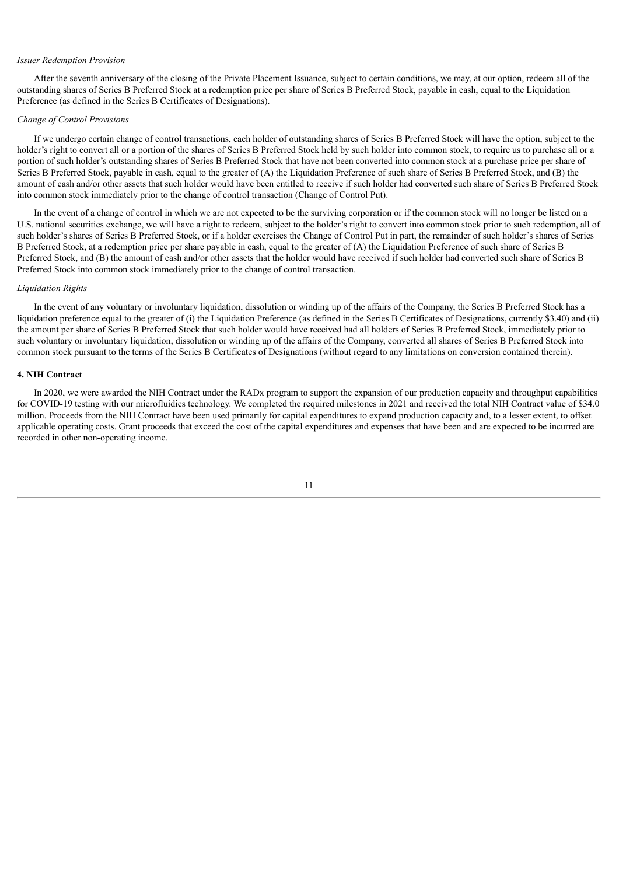#### *Issuer Redemption Provision*

After the seventh anniversary of the closing of the Private Placement Issuance, subject to certain conditions, we may, at our option, redeem all of the outstanding shares of Series B Preferred Stock at a redemption price per share of Series B Preferred Stock, payable in cash, equal to the Liquidation Preference (as defined in the Series B Certificates of Designations).

### *Change of Control Provisions*

If we undergo certain change of control transactions, each holder of outstanding shares of Series B Preferred Stock will have the option, subject to the holder's right to convert all or a portion of the shares of Series B Preferred Stock held by such holder into common stock, to require us to purchase all or a portion of such holder's outstanding shares of Series B Preferred Stock that have not been converted into common stock at a purchase price per share of Series B Preferred Stock, payable in cash, equal to the greater of (A) the Liquidation Preference of such share of Series B Preferred Stock, and (B) the amount of cash and/or other assets that such holder would have been entitled to receive if such holder had converted such share of Series B Preferred Stock into common stock immediately prior to the change of control transaction (Change of Control Put).

In the event of a change of control in which we are not expected to be the surviving corporation or if the common stock will no longer be listed on a U.S. national securities exchange, we will have a right to redeem, subject to the holder's right to convert into common stock prior to such redemption, all of such holder's shares of Series B Preferred Stock, or if a holder exercises the Change of Control Put in part, the remainder of such holder's shares of Series B Preferred Stock, at a redemption price per share payable in cash, equal to the greater of (A) the Liquidation Preference of such share of Series B Preferred Stock, and (B) the amount of cash and/or other assets that the holder would have received if such holder had converted such share of Series B Preferred Stock into common stock immediately prior to the change of control transaction.

# *Liquidation Rights*

In the event of any voluntary or involuntary liquidation, dissolution or winding up of the affairs of the Company, the Series B Preferred Stock has a liquidation preference equal to the greater of (i) the Liquidation Preference (as defined in the Series B Certificates of Designations, currently \$3.40) and (ii) the amount per share of Series B Preferred Stock that such holder would have received had all holders of Series B Preferred Stock, immediately prior to such voluntary or involuntary liquidation, dissolution or winding up of the affairs of the Company, converted all shares of Series B Preferred Stock into common stock pursuant to the terms of the Series B Certificates of Designations (without regard to any limitations on conversion contained therein).

#### **4. NIH Contract**

In 2020, we were awarded the NIH Contract under the RADx program to support the expansion of our production capacity and throughput capabilities for COVID-19 testing with our microfluidics technology. We completed the required milestones in 2021 and received the total NIH Contract value of \$34.0 million. Proceeds from the NIH Contract have been used primarily for capital expenditures to expand production capacity and, to a lesser extent, to offset applicable operating costs. Grant proceeds that exceed the cost of the capital expenditures and expenses that have been and are expected to be incurred are recorded in other non-operating income.

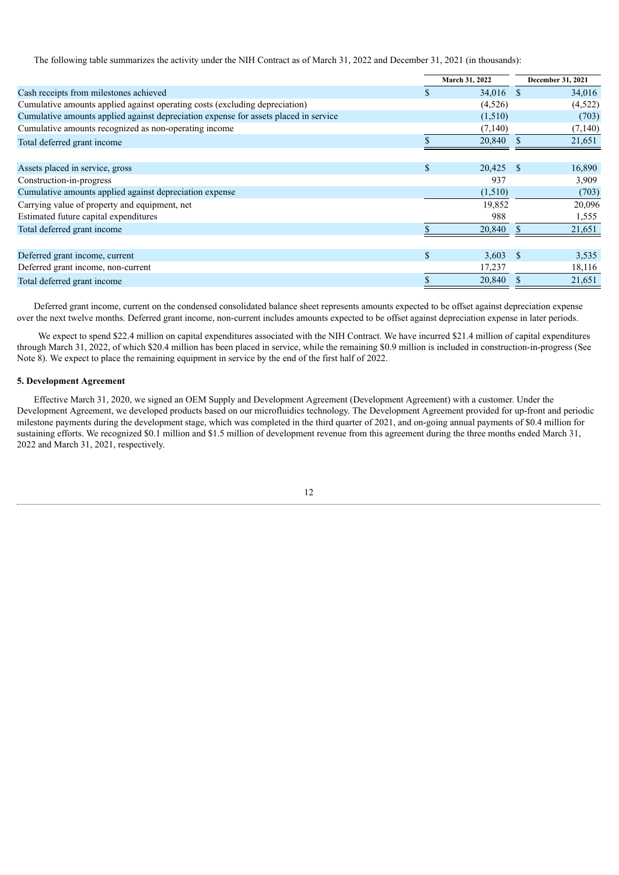The following table summarizes the activity under the NIH Contract as of March 31, 2022 and December 31, 2021 (in thousands):

|                                                                                      |    | March 31, 2022 |  | December 31, 2021 |  |
|--------------------------------------------------------------------------------------|----|----------------|--|-------------------|--|
| Cash receipts from milestones achieved                                               | \$ | 34,016 \$      |  | 34,016            |  |
| Cumulative amounts applied against operating costs (excluding depreciation)          |    | (4,526)        |  | (4,522)           |  |
| Cumulative amounts applied against depreciation expense for assets placed in service |    | (1,510)        |  | (703)             |  |
| Cumulative amounts recognized as non-operating income                                |    | (7,140)        |  | (7,140)           |  |
| Total deferred grant income                                                          |    | 20,840         |  | 21,651            |  |
|                                                                                      |    |                |  |                   |  |
| Assets placed in service, gross                                                      | \$ | $20,425$ \$    |  | 16,890            |  |
| Construction-in-progress                                                             |    | 937            |  | 3,909             |  |
| Cumulative amounts applied against depreciation expense                              |    | (1, 510)       |  | (703)             |  |
| Carrying value of property and equipment, net                                        |    | 19,852         |  | 20,096            |  |
| Estimated future capital expenditures                                                |    | 988            |  | 1,555             |  |
| Total deferred grant income                                                          |    | 20,840         |  | 21,651            |  |
|                                                                                      |    |                |  |                   |  |
| Deferred grant income, current                                                       | \$ | $3,603$ \$     |  | 3,535             |  |
| Deferred grant income, non-current                                                   |    | 17,237         |  | 18,116            |  |
| Total deferred grant income                                                          |    | 20,840         |  | 21,651            |  |

Deferred grant income, current on the condensed consolidated balance sheet represents amounts expected to be offset against depreciation expense over the next twelve months. Deferred grant income, non-current includes amounts expected to be offset against depreciation expense in later periods.

We expect to spend \$22.4 million on capital expenditures associated with the NIH Contract. We have incurred \$21.4 million of capital expenditures through March 31, 2022, of which \$20.4 million has been placed in service, while the remaining \$0.9 million is included in construction-in-progress (See Note 8). We expect to place the remaining equipment in service by the end of the first half of 2022.

## **5. Development Agreement**

Effective March 31, 2020, we signed an OEM Supply and Development Agreement (Development Agreement) with a customer. Under the Development Agreement, we developed products based on our microfluidics technology. The Development Agreement provided for up-front and periodic milestone payments during the development stage, which was completed in the third quarter of 2021, and on-going annual payments of \$0.4 million for sustaining efforts. We recognized \$0.1 million and \$1.5 million of development revenue from this agreement during the three months ended March 31, 2022 and March 31, 2021, respectively.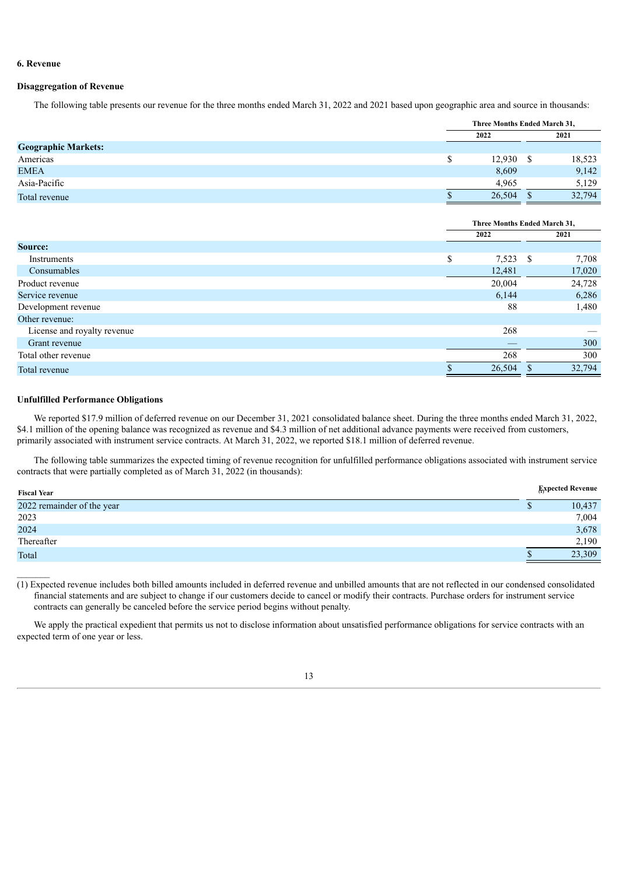# **6. Revenue**

# **Disaggregation of Revenue**

The following table presents our revenue for the three months ended March 31, 2022 and 2021 based upon geographic area and source in thousands:

|                            |   | Three Months Ended March 31, |      |        |  |  |  |
|----------------------------|---|------------------------------|------|--------|--|--|--|
|                            |   | 2022                         |      | 2021   |  |  |  |
| <b>Geographic Markets:</b> |   |                              |      |        |  |  |  |
| Americas                   | S | 12,930                       | - \$ | 18,523 |  |  |  |
| <b>EMEA</b>                |   | 8,609                        |      | 9,142  |  |  |  |
| Asia-Pacific               |   | 4,965                        |      | 5,129  |  |  |  |
| Total revenue              |   | 26,504                       |      | 32,794 |  |  |  |

|                             | Three Months Ended March 31, |        |      |        |  |
|-----------------------------|------------------------------|--------|------|--------|--|
|                             |                              | 2022   |      | 2021   |  |
| <b>Source:</b>              |                              |        |      |        |  |
| Instruments                 | \$                           | 7,523  | - \$ | 7,708  |  |
| Consumables                 |                              | 12,481 |      | 17,020 |  |
| Product revenue             |                              | 20,004 |      | 24,728 |  |
| Service revenue             |                              | 6,144  |      | 6,286  |  |
| Development revenue         |                              | 88     |      | 1,480  |  |
| Other revenue:              |                              |        |      |        |  |
| License and royalty revenue |                              | 268    |      |        |  |
| Grant revenue               |                              |        |      | 300    |  |
| Total other revenue         |                              | 268    |      | 300    |  |
| Total revenue               |                              | 26,504 |      | 32,794 |  |

# **Unfulfilled Performance Obligations**

We reported \$17.9 million of deferred revenue on our December 31, 2021 consolidated balance sheet. During the three months ended March 31, 2022, \$4.1 million of the opening balance was recognized as revenue and \$4.3 million of net additional advance payments were received from customers, primarily associated with instrument service contracts. At March 31, 2022, we reported \$18.1 million of deferred revenue.

The following table summarizes the expected timing of revenue recognition for unfulfilled performance obligations associated with instrument service contracts that were partially completed as of March 31, 2022 (in thousands):

| <b>Fiscal Year</b>         |   | <b>Expected Revenue</b> |
|----------------------------|---|-------------------------|
| 2022 remainder of the year | S | 10,437                  |
| 2023                       |   | 7,004                   |
| 2024                       |   | 3,678                   |
| Thereafter                 |   | 2,190                   |
| Total                      |   | 23,309                  |

(1) Expected revenue includes both billed amounts included in deferred revenue and unbilled amounts that are not reflected in our condensed consolidated financial statements and are subject to change if our customers decide to cancel or modify their contracts. Purchase orders for instrument service contracts can generally be canceled before the service period begins without penalty.

We apply the practical expedient that permits us not to disclose information about unsatisfied performance obligations for service contracts with an expected term of one year or less.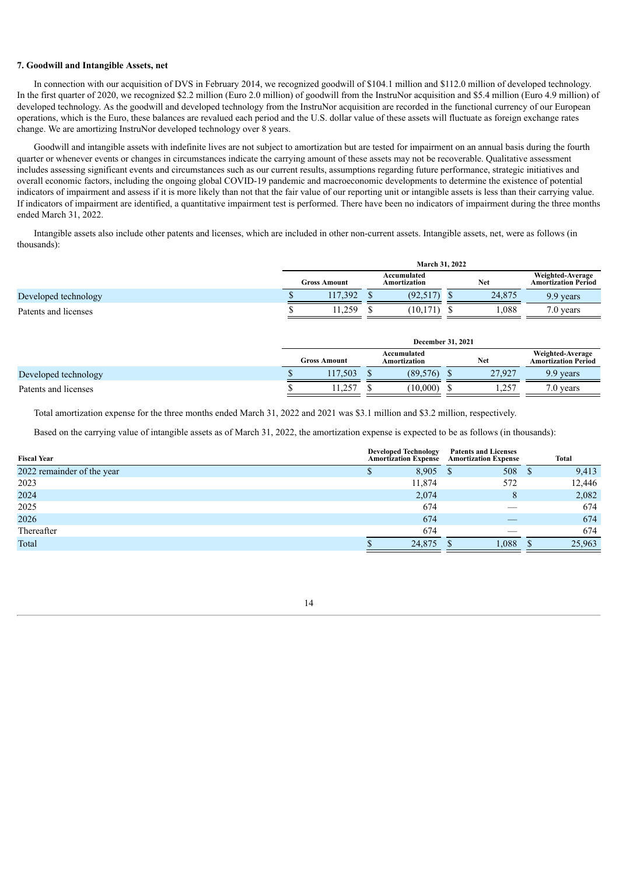#### **7. Goodwill and Intangible Assets, net**

In connection with our acquisition of DVS in February 2014, we recognized goodwill of \$104.1 million and \$112.0 million of developed technology. In the first quarter of 2020, we recognized \$2.2 million (Euro 2.0 million) of goodwill from the InstruNor acquisition and \$5.4 million (Euro 4.9 million) of developed technology. As the goodwill and developed technology from the InstruNor acquisition are recorded in the functional currency of our European operations, which is the Euro, these balances are revalued each period and the U.S. dollar value of these assets will fluctuate as foreign exchange rates change. We are amortizing InstruNor developed technology over 8 years.

Goodwill and intangible assets with indefinite lives are not subject to amortization but are tested for impairment on an annual basis during the fourth quarter or whenever events or changes in circumstances indicate the carrying amount of these assets may not be recoverable. Qualitative assessment includes assessing significant events and circumstances such as our current results, assumptions regarding future performance, strategic initiatives and overall economic factors, including the ongoing global COVID-19 pandemic and macroeconomic developments to determine the existence of potential indicators of impairment and assess if it is more likely than not that the fair value of our reporting unit or intangible assets is less than their carrying value. If indicators of impairment are identified, a quantitative impairment test is performed. There have been no indicators of impairment during the three months ended March 31, 2022.

Intangible assets also include other patents and licenses, which are included in other non-current assets. Intangible assets, net, were as follows (in thousands):

|                      | <b>March 31, 2022</b> |         |                             |                          |  |        |            |  |                                                |  |
|----------------------|-----------------------|---------|-----------------------------|--------------------------|--|--------|------------|--|------------------------------------------------|--|
|                      | Gross Amount          |         | Accumulated<br>Amortization |                          |  |        | <b>Net</b> |  | Weighted-Average<br><b>Amortization Period</b> |  |
| Developed technology |                       | 117,392 |                             | (92, 517)                |  | 24,875 | 9.9 years  |  |                                                |  |
| Patents and licenses |                       | 11.259  |                             | $^{\prime}10.1^{\prime}$ |  | 0.088  | 7.0 years  |  |                                                |  |

|                      | <b>December 31, 2021</b>                    |         |  |           |  |            |                                                |  |  |
|----------------------|---------------------------------------------|---------|--|-----------|--|------------|------------------------------------------------|--|--|
|                      | Accumulated<br>Amortization<br>Gross Amount |         |  |           |  | <b>Net</b> | Weighted-Average<br><b>Amortization Period</b> |  |  |
| Developed technology |                                             | 117.503 |  | (89, 576) |  | 27.927     | 9.9 years                                      |  |  |
| Patents and licenses |                                             | 1.257   |  | (10,000)  |  | 1,257      | 7.0 years                                      |  |  |

Total amortization expense for the three months ended March 31, 2022 and 2021 was \$3.1 million and \$3.2 million, respectively.

Based on the carrying value of intangible assets as of March 31, 2022, the amortization expense is expected to be as follows (in thousands):

| <b>Fiscal Year</b>         | <b>Developed Technology</b><br><b>Amortization Expense</b> |              | <b>Patents and Licenses</b><br><b>Amortization Expense</b> |          | Total  |
|----------------------------|------------------------------------------------------------|--------------|------------------------------------------------------------|----------|--------|
| 2022 remainder of the year | 8,905                                                      | <sup>8</sup> | 508                                                        | <b>S</b> | 9,413  |
| 2023                       | 11,874                                                     |              | 572                                                        |          | 12,446 |
| 2024                       | 2,074                                                      |              | 8                                                          |          | 2,082  |
| 2025                       | 674                                                        |              |                                                            |          | 674    |
| 2026                       | 674                                                        |              |                                                            |          | 674    |
| Thereafter                 | 674                                                        |              |                                                            |          | 674    |
| Total                      | 24,875                                                     |              | 1,088                                                      |          | 25,963 |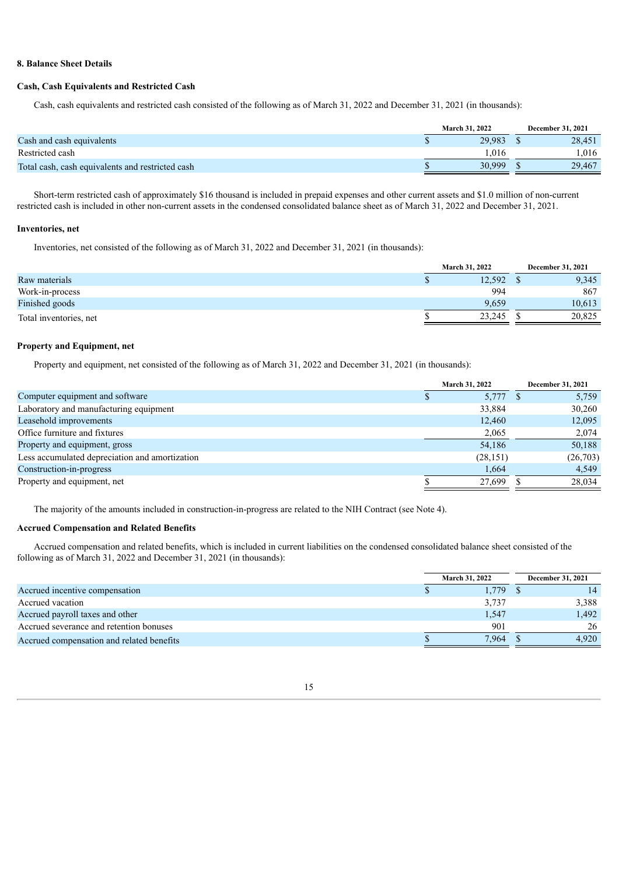# **8. Balance Sheet Details**

# **Cash, Cash Equivalents and Restricted Cash**

Cash, cash equivalents and restricted cash consisted of the following as of March 31, 2022 and December 31, 2021 (in thousands):

|                                                  | <b>March 31, 2022</b> |        |  | <b>December 31, 2021</b> |  |
|--------------------------------------------------|-----------------------|--------|--|--------------------------|--|
| Cash and cash equivalents                        |                       | 29.983 |  | 28.451                   |  |
| Restricted cash                                  |                       | .016   |  | .016                     |  |
| Total cash, cash equivalents and restricted cash |                       | 30 999 |  | 29,467                   |  |

Short-term restricted cash of approximately \$16 thousand is included in prepaid expenses and other current assets and \$1.0 million of non-current restricted cash is included in other non-current assets in the condensed consolidated balance sheet as of March 31, 2022 and December 31, 2021.

#### **Inventories, net**

Inventories, net consisted of the following as of March 31, 2022 and December 31, 2021 (in thousands):

|                        | <b>March 31, 2022</b> |        |  | December 31, 2021 |  |  |
|------------------------|-----------------------|--------|--|-------------------|--|--|
| Raw materials          |                       | 12,592 |  | 9,345             |  |  |
| Work-in-process        |                       | 994    |  | 867               |  |  |
| Finished goods         |                       | 9.659  |  | 10,613            |  |  |
| Total inventories, net |                       | 23,245 |  | 20,825            |  |  |

# **Property and Equipment, net**

Property and equipment, net consisted of the following as of March 31, 2022 and December 31, 2021 (in thousands):

|                                                | <b>March 31, 2022</b> |           |  | December 31, 2021 |
|------------------------------------------------|-----------------------|-----------|--|-------------------|
| Computer equipment and software                |                       | 5,777     |  | 5,759             |
| Laboratory and manufacturing equipment         |                       | 33,884    |  | 30,260            |
| Leasehold improvements                         |                       | 12,460    |  | 12,095            |
| Office furniture and fixtures                  |                       | 2,065     |  | 2,074             |
| Property and equipment, gross                  |                       | 54,186    |  | 50,188            |
| Less accumulated depreciation and amortization |                       | (28, 151) |  | (26,703)          |
| Construction-in-progress                       |                       | 1,664     |  | 4.549             |
| Property and equipment, net                    |                       | 27,699    |  | 28,034            |

The majority of the amounts included in construction-in-progress are related to the NIH Contract (see Note 4).

# **Accrued Compensation and Related Benefits**

Accrued compensation and related benefits, which is included in current liabilities on the condensed consolidated balance sheet consisted of the following as of March 31, 2022 and December 31, 2021 (in thousands):

|                                           |  | <b>March 31, 2022</b> |  | <b>December 31, 2021</b> |
|-------------------------------------------|--|-----------------------|--|--------------------------|
| Accrued incentive compensation            |  | 1.779                 |  | $\overline{14}$          |
| Accrued vacation                          |  | 3,737                 |  | 3,388                    |
| Accrued payroll taxes and other           |  | 1,547                 |  | l.492                    |
| Accrued severance and retention bonuses   |  | 901                   |  | 26                       |
| Accrued compensation and related benefits |  | 7.964                 |  | 4.920                    |
|                                           |  |                       |  |                          |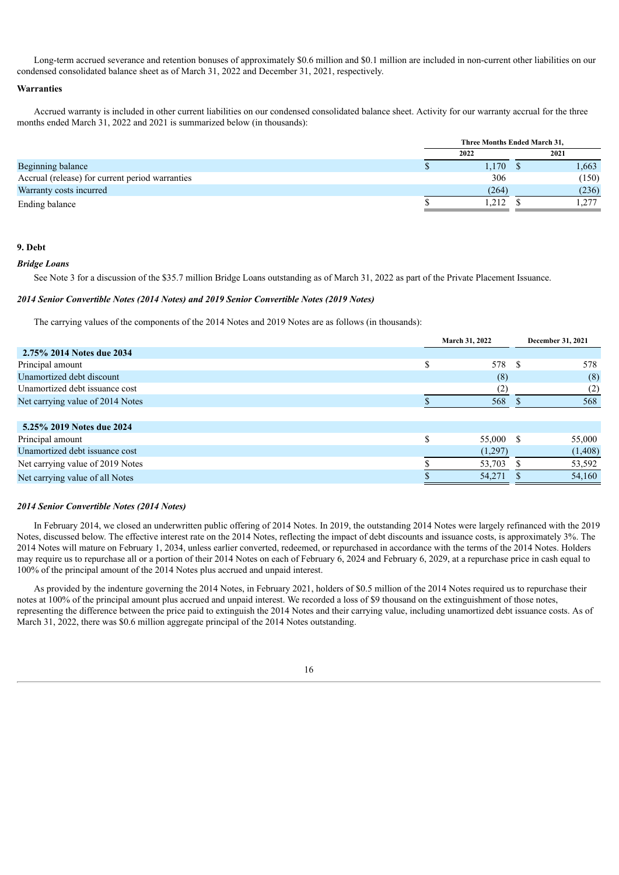Long-term accrued severance and retention bonuses of approximately \$0.6 million and \$0.1 million are included in non-current other liabilities on our condensed consolidated balance sheet as of March 31, 2022 and December 31, 2021, respectively.

#### **Warranties**

Accrued warranty is included in other current liabilities on our condensed consolidated balance sheet. Activity for our warranty accrual for the three months ended March 31, 2022 and 2021 is summarized below (in thousands):

|                                                 |      | Three Months Ended March 31, |  |       |  |  |  |
|-------------------------------------------------|------|------------------------------|--|-------|--|--|--|
|                                                 | 2022 |                              |  |       |  |  |  |
| Beginning balance                               |      | 1,170                        |  | 1,663 |  |  |  |
| Accrual (release) for current period warranties |      | 306                          |  | (150) |  |  |  |
| Warranty costs incurred                         |      | (264)                        |  | (236) |  |  |  |
| Ending balance                                  |      | .212                         |  | 1,27  |  |  |  |

# **9. Debt**

#### *Bridge Loans*

See Note 3 for a discussion of the \$35.7 million Bridge Loans outstanding as of March 31, 2022 as part of the Private Placement Issuance.

#### *2014 Senior Convertible Notes (2014 Notes) and 2019 Senior Convertible Notes (2019 Notes)*

The carrying values of the components of the 2014 Notes and 2019 Notes are as follows (in thousands):

|                                  |   | March 31, 2022 |    | December 31, 2021 |
|----------------------------------|---|----------------|----|-------------------|
| 2.75% 2014 Notes due 2034        |   |                |    |                   |
| Principal amount                 | ¢ | 578 \$         |    | 578               |
| Unamortized debt discount        |   | (8)            |    | (8)               |
| Unamortized debt issuance cost   |   | (2)            |    | (2)               |
| Net carrying value of 2014 Notes |   | 568            | -S | 568               |
|                                  |   |                |    |                   |
| 5.25% 2019 Notes due 2024        |   |                |    |                   |
| Principal amount                 | ¢ | 55,000         | -S | 55,000            |
| Unamortized debt issuance cost   |   | (1,297)        |    | (1,408)           |
| Net carrying value of 2019 Notes |   | 53,703         |    | 53,592            |
| Net carrying value of all Notes  |   | 54,271         |    | 54,160            |
|                                  |   |                |    |                   |

#### *2014 Senior Convertible Notes (2014 Notes)*

In February 2014, we closed an underwritten public offering of 2014 Notes. In 2019, the outstanding 2014 Notes were largely refinanced with the 2019 Notes, discussed below. The effective interest rate on the 2014 Notes, reflecting the impact of debt discounts and issuance costs, is approximately 3%. The 2014 Notes will mature on February 1, 2034, unless earlier converted, redeemed, or repurchased in accordance with the terms of the 2014 Notes. Holders may require us to repurchase all or a portion of their 2014 Notes on each of February 6, 2024 and February 6, 2029, at a repurchase price in cash equal to 100% of the principal amount of the 2014 Notes plus accrued and unpaid interest.

As provided by the indenture governing the 2014 Notes, in February 2021, holders of \$0.5 million of the 2014 Notes required us to repurchase their notes at 100% of the principal amount plus accrued and unpaid interest. We recorded a loss of \$9 thousand on the extinguishment of those notes, representing the difference between the price paid to extinguish the 2014 Notes and their carrying value, including unamortized debt issuance costs. As of March 31, 2022, there was \$0.6 million aggregate principal of the 2014 Notes outstanding.

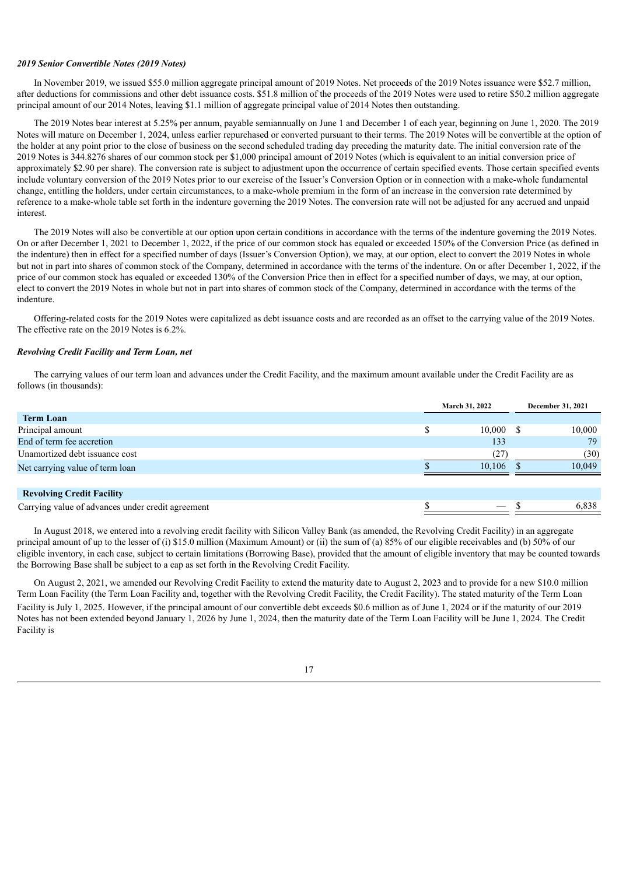#### *2019 Senior Convertible Notes (2019 Notes)*

In November 2019, we issued \$55.0 million aggregate principal amount of 2019 Notes. Net proceeds of the 2019 Notes issuance were \$52.7 million, after deductions for commissions and other debt issuance costs. \$51.8 million of the proceeds of the 2019 Notes were used to retire \$50.2 million aggregate principal amount of our 2014 Notes, leaving \$1.1 million of aggregate principal value of 2014 Notes then outstanding.

The 2019 Notes bear interest at 5.25% per annum, payable semiannually on June 1 and December 1 of each year, beginning on June 1, 2020. The 2019 Notes will mature on December 1, 2024, unless earlier repurchased or converted pursuant to their terms. The 2019 Notes will be convertible at the option of the holder at any point prior to the close of business on the second scheduled trading day preceding the maturity date. The initial conversion rate of the 2019 Notes is 344.8276 shares of our common stock per \$1,000 principal amount of 2019 Notes (which is equivalent to an initial conversion price of approximately \$2.90 per share). The conversion rate is subject to adjustment upon the occurrence of certain specified events. Those certain specified events include voluntary conversion of the 2019 Notes prior to our exercise of the Issuer's Conversion Option or in connection with a make-whole fundamental change, entitling the holders, under certain circumstances, to a make-whole premium in the form of an increase in the conversion rate determined by reference to a make-whole table set forth in the indenture governing the 2019 Notes. The conversion rate will not be adjusted for any accrued and unpaid interest.

The 2019 Notes will also be convertible at our option upon certain conditions in accordance with the terms of the indenture governing the 2019 Notes. On or after December 1, 2021 to December 1, 2022, if the price of our common stock has equaled or exceeded 150% of the Conversion Price (as defined in the indenture) then in effect for a specified number of days (Issuer's Conversion Option), we may, at our option, elect to convert the 2019 Notes in whole but not in part into shares of common stock of the Company, determined in accordance with the terms of the indenture. On or after December 1, 2022, if the price of our common stock has equaled or exceeded 130% of the Conversion Price then in effect for a specified number of days, we may, at our option, elect to convert the 2019 Notes in whole but not in part into shares of common stock of the Company, determined in accordance with the terms of the indenture.

Offering-related costs for the 2019 Notes were capitalized as debt issuance costs and are recorded as an offset to the carrying value of the 2019 Notes. The effective rate on the 2019 Notes is 6.2%.

#### *Revolving Credit Facility and Term Loan, net*

The carrying values of our term loan and advances under the Credit Facility, and the maximum amount available under the Credit Facility are as follows (in thousands):

|                                                   | <b>March 31, 2022</b> |   | December 31, 2021 |
|---------------------------------------------------|-----------------------|---|-------------------|
| <b>Term Loan</b>                                  |                       |   |                   |
| Principal amount                                  | 10,000                | S | 10,000            |
| End of term fee accretion                         | 133                   |   | 79                |
| Unamortized debt issuance cost                    | (27)                  |   | (30)              |
| Net carrying value of term loan                   | 10.106                |   | 10.049            |
|                                                   |                       |   |                   |
| <b>Revolving Credit Facility</b>                  |                       |   |                   |
| Carrying value of advances under credit agreement |                       |   | 6,838             |

In August 2018, we entered into a revolving credit facility with Silicon Valley Bank (as amended, the Revolving Credit Facility) in an aggregate principal amount of up to the lesser of (i) \$15.0 million (Maximum Amount) or (ii) the sum of (a) 85% of our eligible receivables and (b) 50% of our eligible inventory, in each case, subject to certain limitations (Borrowing Base), provided that the amount of eligible inventory that may be counted towards the Borrowing Base shall be subject to a cap as set forth in the Revolving Credit Facility.

On August 2, 2021, we amended our Revolving Credit Facility to extend the maturity date to August 2, 2023 and to provide for a new \$10.0 million Term Loan Facility (the Term Loan Facility and, together with the Revolving Credit Facility, the Credit Facility). The stated maturity of the Term Loan Facility is July 1, 2025. However, if the principal amount of our convertible debt exceeds \$0.6 million as of June 1, 2024 or if the maturity of our 2019 Notes has not been extended beyond January 1, 2026 by June 1, 2024, then the maturity date of the Term Loan Facility will be June 1, 2024. The Credit Facility is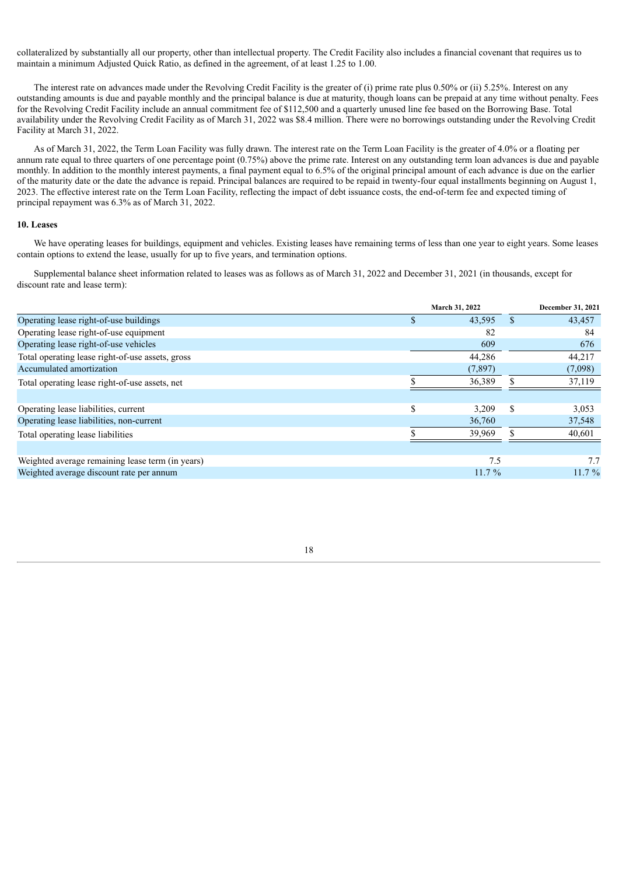collateralized by substantially all our property, other than intellectual property. The Credit Facility also includes a financial covenant that requires us to maintain a minimum Adjusted Quick Ratio, as defined in the agreement, of at least 1.25 to 1.00.

The interest rate on advances made under the Revolving Credit Facility is the greater of (i) prime rate plus 0.50% or (ii) 5.25%. Interest on any outstanding amounts is due and payable monthly and the principal balance is due at maturity, though loans can be prepaid at any time without penalty. Fees for the Revolving Credit Facility include an annual commitment fee of \$112,500 and a quarterly unused line fee based on the Borrowing Base. Total availability under the Revolving Credit Facility as of March 31, 2022 was \$8.4 million. There were no borrowings outstanding under the Revolving Credit Facility at March 31, 2022.

As of March 31, 2022, the Term Loan Facility was fully drawn. The interest rate on the Term Loan Facility is the greater of 4.0% or a floating per annum rate equal to three quarters of one percentage point (0.75%) above the prime rate. Interest on any outstanding term loan advances is due and payable monthly. In addition to the monthly interest payments, a final payment equal to 6.5% of the original principal amount of each advance is due on the earlier of the maturity date or the date the advance is repaid. Principal balances are required to be repaid in twenty-four equal installments beginning on August 1, 2023. The effective interest rate on the Term Loan Facility, reflecting the impact of debt issuance costs, the end-of-term fee and expected timing of principal repayment was 6.3% as of March 31, 2022.

#### **10. Leases**

We have operating leases for buildings, equipment and vehicles. Existing leases have remaining terms of less than one year to eight years. Some leases contain options to extend the lease, usually for up to five years, and termination options.

Supplemental balance sheet information related to leases was as follows as of March 31, 2022 and December 31, 2021 (in thousands, except for discount rate and lease term):

| March 31, 2022 |   | December 31, 2021 |
|----------------|---|-------------------|
| 43,595         |   | 43,457            |
| 82             |   | 84                |
| 609            |   | 676               |
| 44,286         |   | 44,217            |
| (7,897)        |   | (7,098)           |
| 36,389         |   | 37,119            |
|                |   |                   |
| 3,209          | S | 3,053             |
| 36,760         |   | 37,548            |
| 39,969         |   | 40,601            |
|                |   |                   |
| 7.5            |   | 7.7               |
| $11.7\%$       |   | 11.7%             |
|                |   |                   |

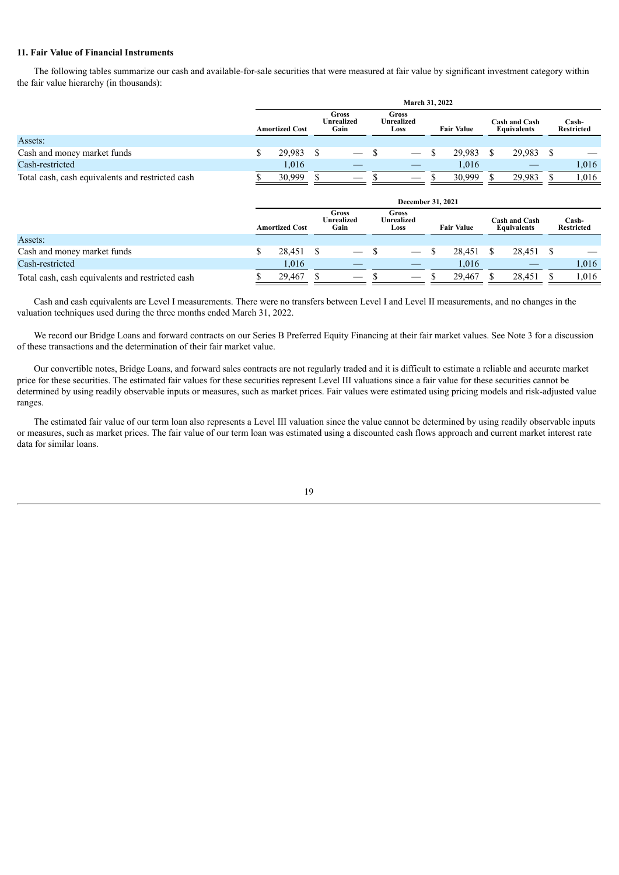# **11. Fair Value of Financial Instruments**

The following tables summarize our cash and available-for-sale securities that were measured at fair value by significant investment category within the fair value hierarchy (in thousands):

|                                                  |                       |                                 | <b>March 31, 2022</b>              |                   |                                            |                     |
|--------------------------------------------------|-----------------------|---------------------------------|------------------------------------|-------------------|--------------------------------------------|---------------------|
|                                                  | <b>Amortized Cost</b> | Gross<br>Unrealized<br>Gain     | <b>Gross</b><br>Unrealized<br>Loss | <b>Fair Value</b> | <b>Cash and Cash</b><br><b>Equivalents</b> | Cash-<br>Restricted |
| Assets:                                          |                       |                                 |                                    |                   |                                            |                     |
| Cash and money market funds                      | 29,983                | $\hspace{0.1mm}-\hspace{0.1mm}$ | $\hspace{0.1mm}-\hspace{0.1mm}$    | 29,983            | 29,983                                     |                     |
| Cash-restricted                                  | 1.016                 |                                 |                                    | 1.016             |                                            | 1,016               |
| Total cash, cash equivalents and restricted cash | 30,999                | __                              |                                    | 30,999            | 29,983                                     | 1,016               |

|                                                  |                       |                                | December 31, 2021           |                   |                                     |                                   |
|--------------------------------------------------|-----------------------|--------------------------------|-----------------------------|-------------------|-------------------------------------|-----------------------------------|
|                                                  | <b>Amortized Cost</b> | Gross<br>Unrealized<br>Gain    | Gross<br>Unrealized<br>Loss | <b>Fair Value</b> | <b>Cash and Cash</b><br>Equivalents | $\bf Cash$ -<br><b>Restricted</b> |
| Assets:                                          |                       |                                |                             |                   |                                     |                                   |
| Cash and money market funds                      | 28,451                | $\overline{\phantom{0}}$       | $\overline{\phantom{m}}$    | 28,451 \$         | 28,451                              |                                   |
| Cash-restricted                                  | 1,016                 |                                |                             | 1,016             |                                     | 1,016                             |
| Total cash, cash equivalents and restricted cash | 29,467                | $\overbrace{\hspace{25mm}}^{}$ | $\hspace{0.05cm}$           | 29,467            | 28,451                              | 1,016                             |

Cash and cash equivalents are Level I measurements. There were no transfers between Level I and Level II measurements, and no changes in the valuation techniques used during the three months ended March 31, 2022.

We record our Bridge Loans and forward contracts on our Series B Preferred Equity Financing at their fair market values. See Note 3 for a discussion of these transactions and the determination of their fair market value.

Our convertible notes, Bridge Loans, and forward sales contracts are not regularly traded and it is difficult to estimate a reliable and accurate market price for these securities. The estimated fair values for these securities represent Level III valuations since a fair value for these securities cannot be determined by using readily observable inputs or measures, such as market prices. Fair values were estimated using pricing models and risk-adjusted value ranges.

The estimated fair value of our term loan also represents a Level III valuation since the value cannot be determined by using readily observable inputs or measures, such as market prices. The fair value of our term loan was estimated using a discounted cash flows approach and current market interest rate data for similar loans.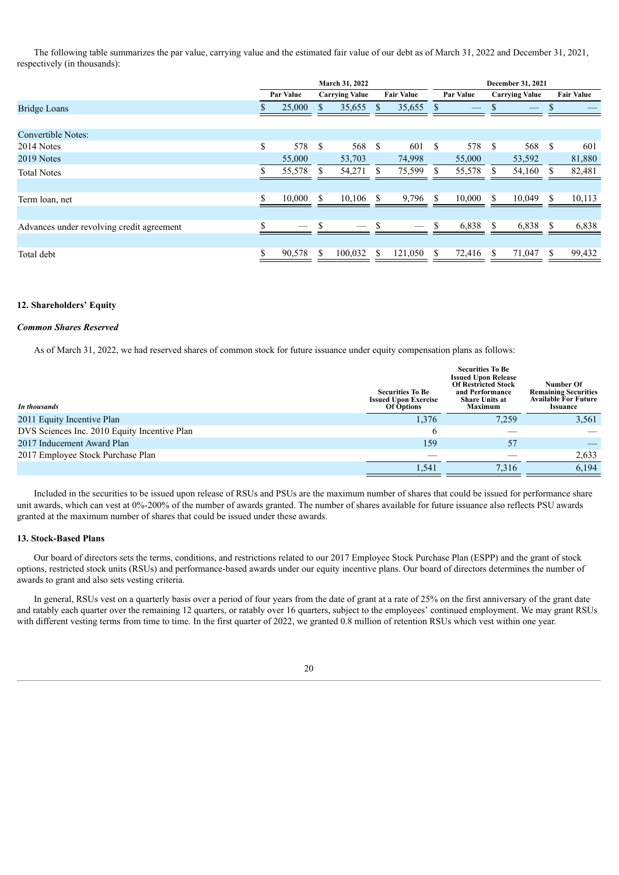The following table summarizes the par value, carrying value and the estimated fair value of our debt as of March 31, 2022 and December 31, 2021, respectively (in thousands):

|                                           |    | March 31, 2022 |               |                       |               |                   |               | December 31, 2021 |               |                       |               |                   |
|-------------------------------------------|----|----------------|---------------|-----------------------|---------------|-------------------|---------------|-------------------|---------------|-----------------------|---------------|-------------------|
|                                           |    | Par Value      |               | <b>Carrying Value</b> |               | <b>Fair Value</b> |               | Par Value         |               | <b>Carrying Value</b> |               | <b>Fair Value</b> |
| <b>Bridge Loans</b>                       |    | 25,000         |               | 35,655                |               | 35,655            |               |                   |               |                       |               |                   |
|                                           |    |                |               |                       |               |                   |               |                   |               |                       |               |                   |
| Convertible Notes:                        |    |                |               |                       |               |                   |               |                   |               |                       |               |                   |
| 2014 Notes                                | \$ | 578            | <sup>\$</sup> | 568                   | <sup>\$</sup> | 601               | <sup>\$</sup> | 578               | S             | 568                   | <sup>\$</sup> | 601               |
| 2019 Notes                                |    | 55,000         |               | 53,703                |               | 74,998            |               | 55,000            |               | 53,592                |               | 81,880            |
| <b>Total Notes</b>                        |    | 55,578         |               | 54,271                |               | 75,599            |               | 55,578            | \$.           | 54,160                |               | 82,481            |
|                                           |    |                |               |                       |               |                   |               |                   |               |                       |               |                   |
| Term loan, net                            | £. | 10,000         | <sup>\$</sup> | $10,106$ \$           |               | 9,796             | - \$          | 10,000            | <sup>\$</sup> | 10,049                | S.            | 10,113            |
|                                           |    |                |               |                       |               |                   |               |                   |               |                       |               |                   |
| Advances under revolving credit agreement | ¢  |                | \$.           |                       | \$            |                   | <sup>\$</sup> | 6,838             | -S            | 6,838                 | -S            | 6,838             |
|                                           |    |                |               |                       |               |                   |               |                   |               |                       |               |                   |
| Total debt                                |    | 90,578         | S.            | 100,032               | S.            | 121,050           | -S            | 72,416            | S             | 71,047                | \$.           | 99,432            |
|                                           |    |                |               |                       |               |                   |               |                   |               |                       |               |                   |

# **12. Shareholders' Equity**

#### *Common Shares Reserved*

As of March 31, 2022, we had reserved shares of common stock for future issuance under equity compensation plans as follows:

| In thousands                                 | <b>Securities To Be</b><br><b>Issued Upon Exercise</b><br><b>Of Options</b> | <b>Securities To Be</b><br><b>Issued Upon Release</b><br><b>Of Restricted Stock</b><br>and Performance<br><b>Share Units at</b><br><b>Maximum</b> | Number Of<br><b>Remaining Securities</b><br><b>Available For Future</b><br><i><b>Issuance</b></i> |
|----------------------------------------------|-----------------------------------------------------------------------------|---------------------------------------------------------------------------------------------------------------------------------------------------|---------------------------------------------------------------------------------------------------|
| 2011 Equity Incentive Plan                   | 1,376                                                                       | 7,259                                                                                                                                             | 3,561                                                                                             |
| DVS Sciences Inc. 2010 Equity Incentive Plan |                                                                             |                                                                                                                                                   |                                                                                                   |
| 2017 Inducement Award Plan                   | 159                                                                         | 57                                                                                                                                                |                                                                                                   |
| 2017 Employee Stock Purchase Plan            |                                                                             |                                                                                                                                                   | 2,633                                                                                             |
|                                              | 1.541                                                                       | 7.316                                                                                                                                             | 6.194                                                                                             |

Included in the securities to be issued upon release of RSUs and PSUs are the maximum number of shares that could be issued for performance share unit awards, which can vest at 0%-200% of the number of awards granted. The number of shares available for future issuance also reflects PSU awards granted at the maximum number of shares that could be issued under these awards.

# **13. Stock-Based Plans**

Our board of directors sets the terms, conditions, and restrictions related to our 2017 Employee Stock Purchase Plan (ESPP) and the grant of stock options, restricted stock units (RSUs) and performance-based awards under our equity incentive plans. Our board of directors determines the number of awards to grant and also sets vesting criteria.

In general, RSUs vest on a quarterly basis over a period of four years from the date of grant at a rate of 25% on the first anniversary of the grant date and ratably each quarter over the remaining 12 quarters, or ratably over 16 quarters, subject to the employees' continued employment. We may grant RSUs with different vesting terms from time to time. In the first quarter of 2022, we granted 0.8 million of retention RSUs which vest within one year.

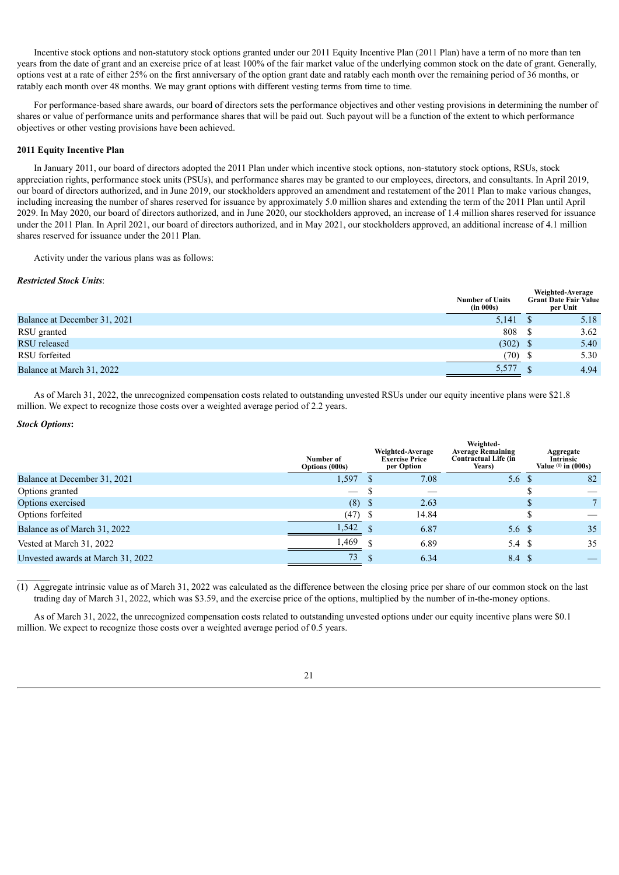Incentive stock options and non-statutory stock options granted under our 2011 Equity Incentive Plan (2011 Plan) have a term of no more than ten years from the date of grant and an exercise price of at least 100% of the fair market value of the underlying common stock on the date of grant. Generally, options vest at a rate of either 25% on the first anniversary of the option grant date and ratably each month over the remaining period of 36 months, or ratably each month over 48 months. We may grant options with different vesting terms from time to time.

For performance-based share awards, our board of directors sets the performance objectives and other vesting provisions in determining the number of shares or value of performance units and performance shares that will be paid out. Such payout will be a function of the extent to which performance objectives or other vesting provisions have been achieved.

#### **2011 Equity Incentive Plan**

In January 2011, our board of directors adopted the 2011 Plan under which incentive stock options, non-statutory stock options, RSUs, stock appreciation rights, performance stock units (PSUs), and performance shares may be granted to our employees, directors, and consultants. In April 2019, our board of directors authorized, and in June 2019, our stockholders approved an amendment and restatement of the 2011 Plan to make various changes, including increasing the number of shares reserved for issuance by approximately 5.0 million shares and extending the term of the 2011 Plan until April 2029. In May 2020, our board of directors authorized, and in June 2020, our stockholders approved, an increase of 1.4 million shares reserved for issuance under the 2011 Plan. In April 2021, our board of directors authorized, and in May 2021, our stockholders approved, an additional increase of 4.1 million shares reserved for issuance under the 2011 Plan.

Activity under the various plans was as follows:

# *Restricted Stock Units*:

|                              | <b>Number of Units</b><br>(in 000s) | Weighted-Average<br><b>Grant Date Fair Value</b><br>per Unit |
|------------------------------|-------------------------------------|--------------------------------------------------------------|
| Balance at December 31, 2021 | 5,141                               | 5.18                                                         |
| RSU granted                  | 808 \$                              | 3.62                                                         |
| RSU released                 | $(302)$ \$                          | 5.40                                                         |
| RSU forfeited                | $(70)$ \$                           | 5.30                                                         |
| Balance at March 31, 2022    | 5,57                                | 4.94                                                         |

As of March 31, 2022, the unrecognized compensation costs related to outstanding unvested RSUs under our equity incentive plans were \$21.8 million. We expect to recognize those costs over a weighted average period of 2.2 years.

#### *Stock Options***:**

 $\frac{1}{2}$ 

|                                   | Number of<br>Options (000s) |     | Weighted-Average<br><b>Exercise Price</b><br>per Option | Weighted-<br><b>Average Remaining</b><br><b>Contractual Life (in</b><br>Years) | Aggregate<br><b>Intrinsic</b><br>Value $(1)$ in $(000s)$ |
|-----------------------------------|-----------------------------|-----|---------------------------------------------------------|--------------------------------------------------------------------------------|----------------------------------------------------------|
| Balance at December 31, 2021      | 1,597                       | S   | 7.08                                                    | 5.6 $\sqrt{3}$                                                                 | 82                                                       |
| Options granted                   |                             |     |                                                         |                                                                                |                                                          |
| Options exercised                 | $(8)$ \$                    |     | 2.63                                                    |                                                                                |                                                          |
| Options forfeited                 | (47)                        |     | 14.84                                                   |                                                                                |                                                          |
| Balance as of March 31, 2022      | 1.542                       | \$. | 6.87                                                    | 5.6 <sup>°</sup>                                                               | 35                                                       |
| Vested at March 31, 2022          | ,469                        |     | 6.89                                                    | 5.4 \$                                                                         | 35                                                       |
| Unvested awards at March 31, 2022 | 73                          |     | 6.34                                                    | 8.4 \$                                                                         |                                                          |

(1) Aggregate intrinsic value as of March 31, 2022 was calculated as the difference between the closing price per share of our common stock on the last trading day of March 31, 2022, which was \$3.59, and the exercise price of the options, multiplied by the number of in-the-money options.

As of March 31, 2022, the unrecognized compensation costs related to outstanding unvested options under our equity incentive plans were \$0.1 million. We expect to recognize those costs over a weighted average period of 0.5 years.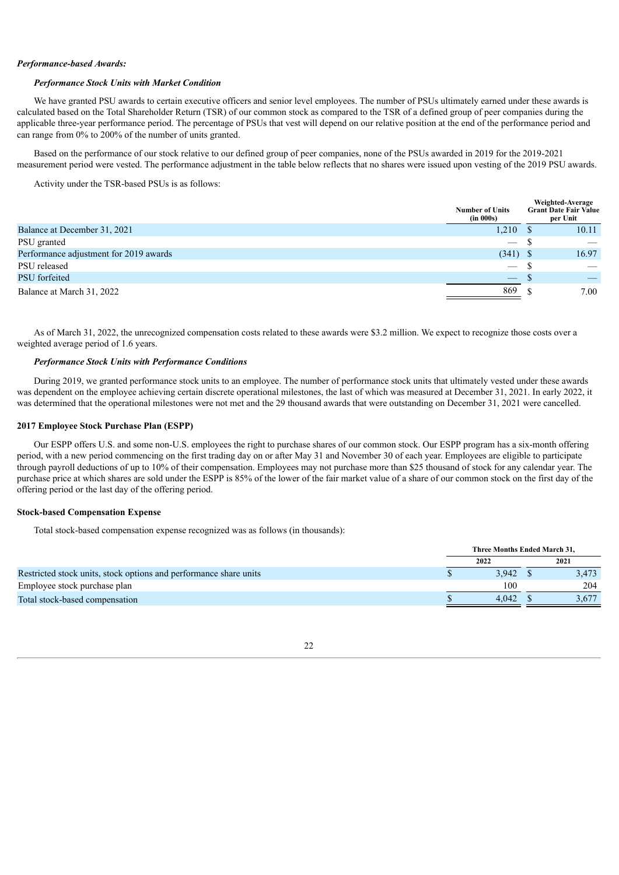# *Performance-based Awards:*

#### *Performance Stock Units with Market Condition*

We have granted PSU awards to certain executive officers and senior level employees. The number of PSUs ultimately earned under these awards is calculated based on the Total Shareholder Return (TSR) of our common stock as compared to the TSR of a defined group of peer companies during the applicable three-year performance period. The percentage of PSUs that vest will depend on our relative position at the end of the performance period and can range from 0% to 200% of the number of units granted.

Based on the performance of our stock relative to our defined group of peer companies, none of the PSUs awarded in 2019 for the 2019-2021 measurement period were vested. The performance adjustment in the table below reflects that no shares were issued upon vesting of the 2019 PSU awards.

Activity under the TSR-based PSUs is as follows:

|                                        | <b>Number of Units</b><br>(in 000s) | Weighted-Average<br><b>Grant Date Fair Value</b><br>per Unit |
|----------------------------------------|-------------------------------------|--------------------------------------------------------------|
| Balance at December 31, 2021           | 1,210                               | 10.11                                                        |
| PSU granted                            |                                     |                                                              |
| Performance adjustment for 2019 awards | $(341)$ \$                          | 16.97                                                        |
| PSU released                           |                                     |                                                              |
| <b>PSU</b> forfeited                   |                                     |                                                              |
| Balance at March 31, 2022              | 869                                 | 7.00                                                         |

As of March 31, 2022, the unrecognized compensation costs related to these awards were \$3.2 million. We expect to recognize those costs over a weighted average period of 1.6 years.

# *Performance Stock Units with Performance Conditions*

During 2019, we granted performance stock units to an employee. The number of performance stock units that ultimately vested under these awards was dependent on the employee achieving certain discrete operational milestones, the last of which was measured at December 31, 2021. In early 2022, it was determined that the operational milestones were not met and the 29 thousand awards that were outstanding on December 31, 2021 were cancelled.

## **2017 Employee Stock Purchase Plan (ESPP)**

Our ESPP offers U.S. and some non-U.S. employees the right to purchase shares of our common stock. Our ESPP program has a six-month offering period, with a new period commencing on the first trading day on or after May 31 and November 30 of each year. Employees are eligible to participate through payroll deductions of up to 10% of their compensation. Employees may not purchase more than \$25 thousand of stock for any calendar year. The purchase price at which shares are sold under the ESPP is 85% of the lower of the fair market value of a share of our common stock on the first day of the offering period or the last day of the offering period.

#### **Stock-based Compensation Expense**

Total stock-based compensation expense recognized was as follows (in thousands):

|                                                                   | Three Months Ended March 31. |  |       |  |
|-------------------------------------------------------------------|------------------------------|--|-------|--|
|                                                                   | 2022                         |  | 2021  |  |
| Restricted stock units, stock options and performance share units | 3.942                        |  | 3,473 |  |
| Employee stock purchase plan                                      | 100                          |  | 204   |  |
| Total stock-based compensation                                    | 4.042                        |  | 3.677 |  |
|                                                                   |                              |  |       |  |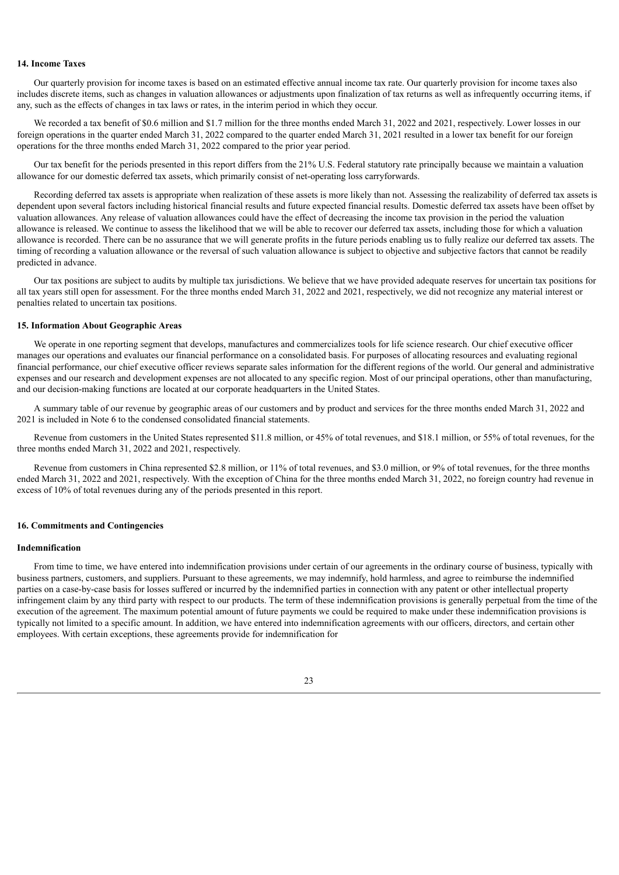# **14. Income Taxes**

Our quarterly provision for income taxes is based on an estimated effective annual income tax rate. Our quarterly provision for income taxes also includes discrete items, such as changes in valuation allowances or adjustments upon finalization of tax returns as well as infrequently occurring items, if any, such as the effects of changes in tax laws or rates, in the interim period in which they occur.

We recorded a tax benefit of \$0.6 million and \$1.7 million for the three months ended March 31, 2022 and 2021, respectively. Lower losses in our foreign operations in the quarter ended March 31, 2022 compared to the quarter ended March 31, 2021 resulted in a lower tax benefit for our foreign operations for the three months ended March 31, 2022 compared to the prior year period.

Our tax benefit for the periods presented in this report differs from the 21% U.S. Federal statutory rate principally because we maintain a valuation allowance for our domestic deferred tax assets, which primarily consist of net-operating loss carryforwards.

Recording deferred tax assets is appropriate when realization of these assets is more likely than not. Assessing the realizability of deferred tax assets is dependent upon several factors including historical financial results and future expected financial results. Domestic deferred tax assets have been offset by valuation allowances. Any release of valuation allowances could have the effect of decreasing the income tax provision in the period the valuation allowance is released. We continue to assess the likelihood that we will be able to recover our deferred tax assets, including those for which a valuation allowance is recorded. There can be no assurance that we will generate profits in the future periods enabling us to fully realize our deferred tax assets. The timing of recording a valuation allowance or the reversal of such valuation allowance is subject to objective and subjective factors that cannot be readily predicted in advance.

Our tax positions are subject to audits by multiple tax jurisdictions. We believe that we have provided adequate reserves for uncertain tax positions for all tax years still open for assessment. For the three months ended March 31, 2022 and 2021, respectively, we did not recognize any material interest or penalties related to uncertain tax positions.

#### **15. Information About Geographic Areas**

We operate in one reporting segment that develops, manufactures and commercializes tools for life science research. Our chief executive officer manages our operations and evaluates our financial performance on a consolidated basis. For purposes of allocating resources and evaluating regional financial performance, our chief executive officer reviews separate sales information for the different regions of the world. Our general and administrative expenses and our research and development expenses are not allocated to any specific region. Most of our principal operations, other than manufacturing, and our decision-making functions are located at our corporate headquarters in the United States.

A summary table of our revenue by geographic areas of our customers and by product and services for the three months ended March 31, 2022 and 2021 is included in Note 6 to the condensed consolidated financial statements.

Revenue from customers in the United States represented \$11.8 million, or 45% of total revenues, and \$18.1 million, or 55% of total revenues, for the three months ended March 31, 2022 and 2021, respectively.

Revenue from customers in China represented \$2.8 million, or 11% of total revenues, and \$3.0 million, or 9% of total revenues, for the three months ended March 31, 2022 and 2021, respectively. With the exception of China for the three months ended March 31, 2022, no foreign country had revenue in excess of 10% of total revenues during any of the periods presented in this report.

#### **16. Commitments and Contingencies**

#### **Indemnification**

From time to time, we have entered into indemnification provisions under certain of our agreements in the ordinary course of business, typically with business partners, customers, and suppliers. Pursuant to these agreements, we may indemnify, hold harmless, and agree to reimburse the indemnified parties on a case-by-case basis for losses suffered or incurred by the indemnified parties in connection with any patent or other intellectual property infringement claim by any third party with respect to our products. The term of these indemnification provisions is generally perpetual from the time of the execution of the agreement. The maximum potential amount of future payments we could be required to make under these indemnification provisions is typically not limited to a specific amount. In addition, we have entered into indemnification agreements with our officers, directors, and certain other employees. With certain exceptions, these agreements provide for indemnification for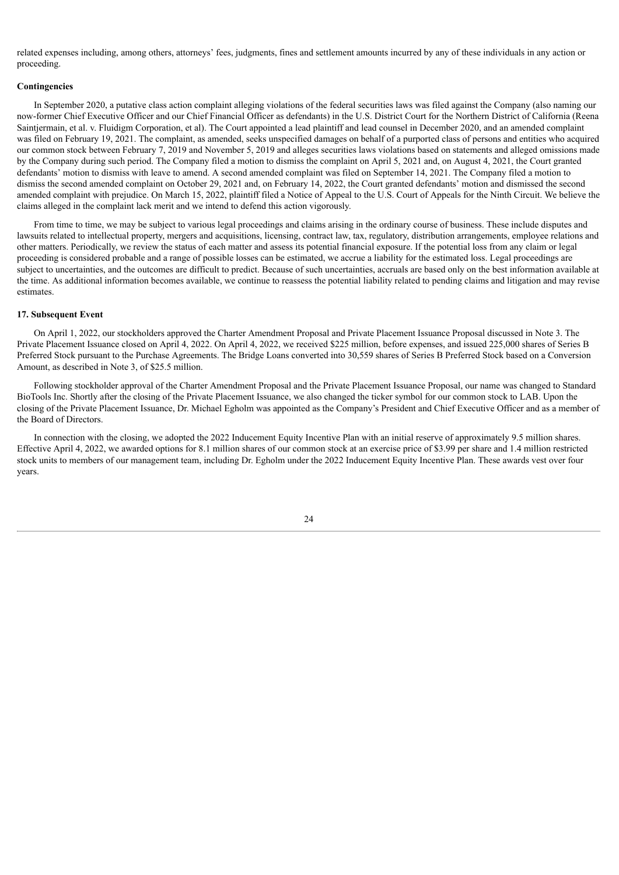related expenses including, among others, attorneys' fees, judgments, fines and settlement amounts incurred by any of these individuals in any action or proceeding.

#### **Contingencies**

In September 2020, a putative class action complaint alleging violations of the federal securities laws was filed against the Company (also naming our now-former Chief Executive Officer and our Chief Financial Officer as defendants) in the U.S. District Court for the Northern District of California (Reena Saintjermain, et al. v. Fluidigm Corporation, et al). The Court appointed a lead plaintiff and lead counsel in December 2020, and an amended complaint was filed on February 19, 2021. The complaint, as amended, seeks unspecified damages on behalf of a purported class of persons and entities who acquired our common stock between February 7, 2019 and November 5, 2019 and alleges securities laws violations based on statements and alleged omissions made by the Company during such period. The Company filed a motion to dismiss the complaint on April 5, 2021 and, on August 4, 2021, the Court granted defendants' motion to dismiss with leave to amend. A second amended complaint was filed on September 14, 2021. The Company filed a motion to dismiss the second amended complaint on October 29, 2021 and, on February 14, 2022, the Court granted defendants' motion and dismissed the second amended complaint with prejudice. On March 15, 2022, plaintiff filed a Notice of Appeal to the U.S. Court of Appeals for the Ninth Circuit. We believe the claims alleged in the complaint lack merit and we intend to defend this action vigorously.

From time to time, we may be subject to various legal proceedings and claims arising in the ordinary course of business. These include disputes and lawsuits related to intellectual property, mergers and acquisitions, licensing, contract law, tax, regulatory, distribution arrangements, employee relations and other matters. Periodically, we review the status of each matter and assess its potential financial exposure. If the potential loss from any claim or legal proceeding is considered probable and a range of possible losses can be estimated, we accrue a liability for the estimated loss. Legal proceedings are subject to uncertainties, and the outcomes are difficult to predict. Because of such uncertainties, accruals are based only on the best information available at the time. As additional information becomes available, we continue to reassess the potential liability related to pending claims and litigation and may revise estimates.

#### **17. Subsequent Event**

On April 1, 2022, our stockholders approved the Charter Amendment Proposal and Private Placement Issuance Proposal discussed in Note 3. The Private Placement Issuance closed on April 4, 2022. On April 4, 2022, we received \$225 million, before expenses, and issued 225,000 shares of Series B Preferred Stock pursuant to the Purchase Agreements. The Bridge Loans converted into 30,559 shares of Series B Preferred Stock based on a Conversion Amount, as described in Note 3, of \$25.5 million.

Following stockholder approval of the Charter Amendment Proposal and the Private Placement Issuance Proposal, our name was changed to Standard BioTools Inc. Shortly after the closing of the Private Placement Issuance, we also changed the ticker symbol for our common stock to LAB. Upon the closing of the Private Placement Issuance, Dr. Michael Egholm was appointed as the Company's President and Chief Executive Officer and as a member of the Board of Directors.

<span id="page-25-0"></span>In connection with the closing, we adopted the 2022 Inducement Equity Incentive Plan with an initial reserve of approximately 9.5 million shares. Effective April 4, 2022, we awarded options for 8.1 million shares of our common stock at an exercise price of \$3.99 per share and 1.4 million restricted stock units to members of our management team, including Dr. Egholm under the 2022 Inducement Equity Incentive Plan. These awards vest over four years.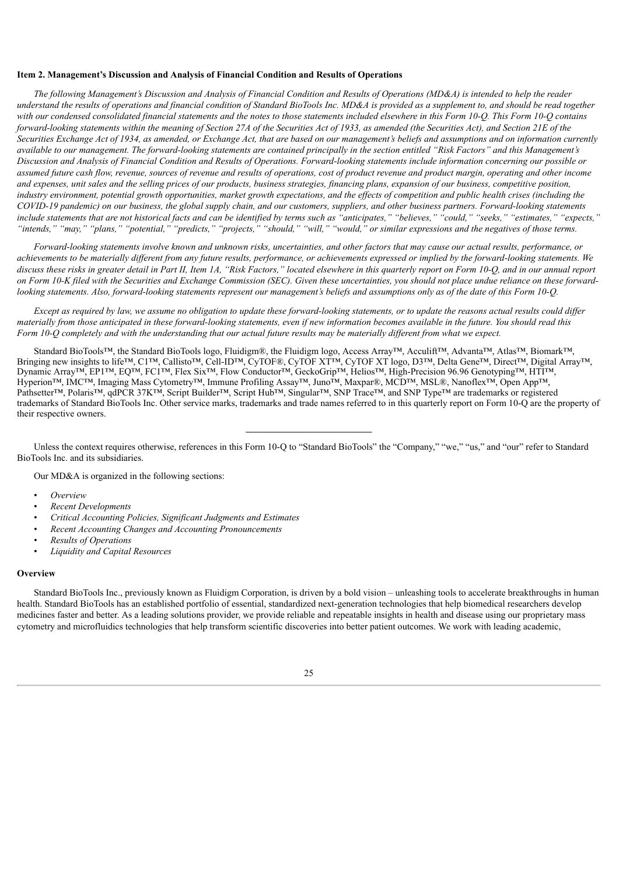#### **Item 2. Management's Discussion and Analysis of Financial Condition and Results of Operations**

The following Management's Discussion and Analysis of Financial Condition and Results of Operations (MD&A) is intended to help the reader understand the results of operations and financial condition of Standard BioTools Inc. MD&A is provided as a supplement to, and should be read together with our condensed consolidated financial statements and the notes to those statements included elsewhere in this Form 10-Q. This Form 10-Q contains forward-looking statements within the meaning of Section 27A of the Securities Act of 1933, as amended (the Securities Act), and Section 21E of the Securities Exchange Act of 1934, as amended, or Exchange Act, that are based on our management's beliefs and assumptions and on information currently available to our management. The forward-looking statements are contained principally in the section entitled "Risk Factors" and this Management's Discussion and Analysis of Financial Condition and Results of Operations. Forward-looking statements include information concerning our possible or assumed future cash flow, revenue, sources of revenue and results of operations, cost of product revenue and product margin, operating and other income and expenses, unit sales and the selling prices of our products, business strategies, financing plans, expansion of our business, competitive position, industry environment, potential growth opportunities, market growth expectations, and the effects of competition and public health crises (including the COVID-19 pandemic) on our business, the global supply chain, and our customers, suppliers, and other business partners. Forward-looking statements include statements that are not historical facts and can be identified by terms such as "anticipates," "believes," "could," "seeks," "estimates," "expects," "intends," "may," "plans," "potential," "predicts," "projects," "should," "will," "would," or similar expressions and the negatives of those terms.

Forward-looking statements involve known and unknown risks, uncertainties, and other factors that may cause our actual results, performance, or achievements to be materially different from any future results, performance, or achievements expressed or implied by the forward-looking statements. We discuss these risks in greater detail in Part II, Item 1A, "Risk Factors," located elsewhere in this quarterly report on Form 10-Q, and in our annual report on Form 10-K filed with the Securities and Exchange Commission (SEC). Given these uncertainties, you should not place undue reliance on these forwardlooking statements. Also, forward-looking statements represent our management's beliefs and assumptions only as of the date of this Form 10-O.

Except as required by law, we assume no obligation to update these forward-looking statements, or to update the reasons actual results could differ materially from those anticipated in these forward-looking statements, even if new information becomes available in the future. You should read this Form 10-Q completely and with the understanding that our actual future results may be materially different from what we expect.

Standard BioTools™, the Standard BioTools logo, Fluidigm®, the Fluidigm logo, Access Array™, Acculift™, Advanta™, Atlas™, Biomark™, Bringing new insights to life™, C1™, Callisto™, Cell-ID™, CyTOF®, CyTOF XT™, CyTOF XT logo, D3™, Delta Gene™, Direct™, Digital Array™, Dynamic Array™, EP1™, EQ™, FC1™, Flex Six™, Flow Conductor™, GeckoGrip™, Helios™, High-Precision 96.96 Genotyping™, HTI™, Hyperion™, IMC™, Imaging Mass Cytometry™, Immune Profiling Assay™, Juno™, Maxpar®, MCD™, MSL®, Nanoflex™, Open App™, Pathsetter™, Polaris™, qdPCR 37K™, Script Builder™, Script Hub™, Singular™, SNP Trace™, and SNP Type™ are trademarks or registered trademarks of Standard BioTools Inc. Other service marks, trademarks and trade names referred to in this quarterly report on Form 10-Q are the property of their respective owners.

**\_\_\_\_\_\_\_\_\_\_\_\_\_\_\_\_\_\_\_\_\_\_\_\_\_\_\_**

Unless the context requires otherwise, references in this Form 10-Q to "Standard BioTools" the "Company," "we," "us," and "our" refer to Standard BioTools Inc. and its subsidiaries.

Our MD&A is organized in the following sections:

- *Overview*
- *Recent Developments*
- *Critical Accounting Policies, Significant Judgments and Estimates*
- *Recent Accounting Changes and Accounting Pronouncements*
- *Results of Operations*
- *Liquidity and Capital Resources*

#### **Overview**

Standard BioTools Inc., previously known as Fluidigm Corporation, is driven by a bold vision – unleashing tools to accelerate breakthroughs in human health. Standard BioTools has an established portfolio of essential, standardized next-generation technologies that help biomedical researchers develop medicines faster and better. As a leading solutions provider, we provide reliable and repeatable insights in health and disease using our proprietary mass cytometry and microfluidics technologies that help transform scientific discoveries into better patient outcomes. We work with leading academic,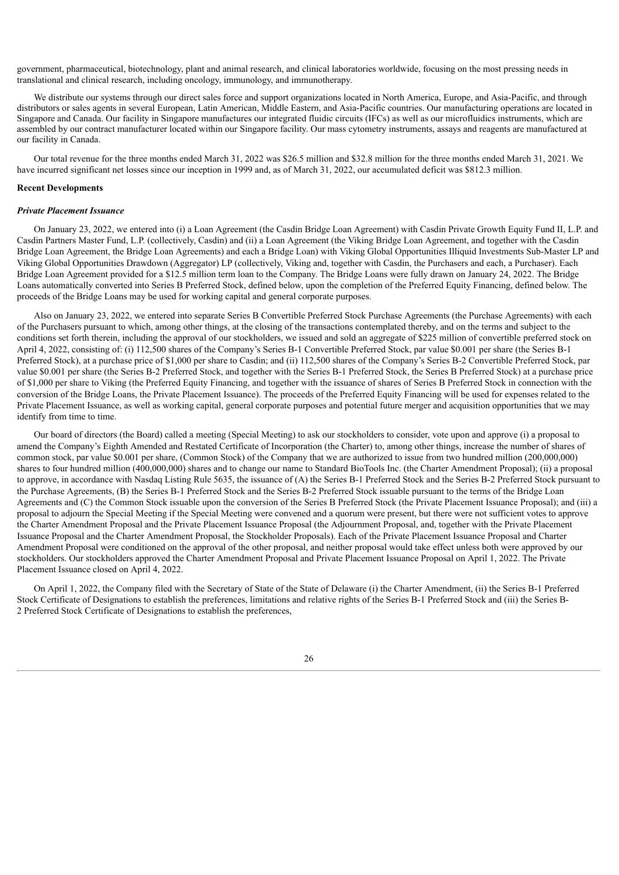government, pharmaceutical, biotechnology, plant and animal research, and clinical laboratories worldwide, focusing on the most pressing needs in translational and clinical research, including oncology, immunology, and immunotherapy.

We distribute our systems through our direct sales force and support organizations located in North America, Europe, and Asia-Pacific, and through distributors or sales agents in several European, Latin American, Middle Eastern, and Asia-Pacific countries. Our manufacturing operations are located in Singapore and Canada. Our facility in Singapore manufactures our integrated fluidic circuits (IFCs) as well as our microfluidics instruments, which are assembled by our contract manufacturer located within our Singapore facility. Our mass cytometry instruments, assays and reagents are manufactured at our facility in Canada.

Our total revenue for the three months ended March 31, 2022 was \$26.5 million and \$32.8 million for the three months ended March 31, 2021. We have incurred significant net losses since our inception in 1999 and, as of March 31, 2022, our accumulated deficit was \$812.3 million.

# **Recent Developments**

#### *Private Placement Issuance*

On January 23, 2022, we entered into (i) a Loan Agreement (the Casdin Bridge Loan Agreement) with Casdin Private Growth Equity Fund II, L.P. and Casdin Partners Master Fund, L.P. (collectively, Casdin) and (ii) a Loan Agreement (the Viking Bridge Loan Agreement, and together with the Casdin Bridge Loan Agreement, the Bridge Loan Agreements) and each a Bridge Loan) with Viking Global Opportunities Illiquid Investments Sub-Master LP and Viking Global Opportunities Drawdown (Aggregator) LP (collectively, Viking and, together with Casdin, the Purchasers and each, a Purchaser). Each Bridge Loan Agreement provided for a \$12.5 million term loan to the Company. The Bridge Loans were fully drawn on January 24, 2022. The Bridge Loans automatically converted into Series B Preferred Stock, defined below, upon the completion of the Preferred Equity Financing, defined below. The proceeds of the Bridge Loans may be used for working capital and general corporate purposes.

Also on January 23, 2022, we entered into separate Series B Convertible Preferred Stock Purchase Agreements (the Purchase Agreements) with each of the Purchasers pursuant to which, among other things, at the closing of the transactions contemplated thereby, and on the terms and subject to the conditions set forth therein, including the approval of our stockholders, we issued and sold an aggregate of \$225 million of convertible preferred stock on April 4, 2022, consisting of: (i) 112,500 shares of the Company's Series B-1 Convertible Preferred Stock, par value \$0.001 per share (the Series B-1 Preferred Stock), at a purchase price of \$1,000 per share to Casdin; and (ii) 112,500 shares of the Company's Series B-2 Convertible Preferred Stock, par value \$0.001 per share (the Series B-2 Preferred Stock, and together with the Series B-1 Preferred Stock, the Series B Preferred Stock) at a purchase price of \$1,000 per share to Viking (the Preferred Equity Financing, and together with the issuance of shares of Series B Preferred Stock in connection with the conversion of the Bridge Loans, the Private Placement Issuance). The proceeds of the Preferred Equity Financing will be used for expenses related to the Private Placement Issuance, as well as working capital, general corporate purposes and potential future merger and acquisition opportunities that we may identify from time to time.

Our board of directors (the Board) called a meeting (Special Meeting) to ask our stockholders to consider, vote upon and approve (i) a proposal to amend the Company's Eighth Amended and Restated Certificate of Incorporation (the Charter) to, among other things, increase the number of shares of common stock, par value \$0.001 per share, (Common Stock) of the Company that we are authorized to issue from two hundred million (200,000,000) shares to four hundred million (400,000,000) shares and to change our name to Standard BioTools Inc. (the Charter Amendment Proposal); (ii) a proposal to approve, in accordance with Nasdaq Listing Rule 5635, the issuance of (A) the Series B-1 Preferred Stock and the Series B-2 Preferred Stock pursuant to the Purchase Agreements, (B) the Series B-1 Preferred Stock and the Series B-2 Preferred Stock issuable pursuant to the terms of the Bridge Loan Agreements and (C) the Common Stock issuable upon the conversion of the Series B Preferred Stock (the Private Placement Issuance Proposal); and (iii) a proposal to adjourn the Special Meeting if the Special Meeting were convened and a quorum were present, but there were not sufficient votes to approve the Charter Amendment Proposal and the Private Placement Issuance Proposal (the Adjournment Proposal, and, together with the Private Placement Issuance Proposal and the Charter Amendment Proposal, the Stockholder Proposals). Each of the Private Placement Issuance Proposal and Charter Amendment Proposal were conditioned on the approval of the other proposal, and neither proposal would take effect unless both were approved by our stockholders. Our stockholders approved the Charter Amendment Proposal and Private Placement Issuance Proposal on April 1, 2022. The Private Placement Issuance closed on April 4, 2022.

On April 1, 2022, the Company filed with the Secretary of State of the State of Delaware (i) the Charter Amendment, (ii) the Series B-1 Preferred Stock Certificate of Designations to establish the preferences, limitations and relative rights of the Series B-1 Preferred Stock and (iii) the Series B-2 Preferred Stock Certificate of Designations to establish the preferences,

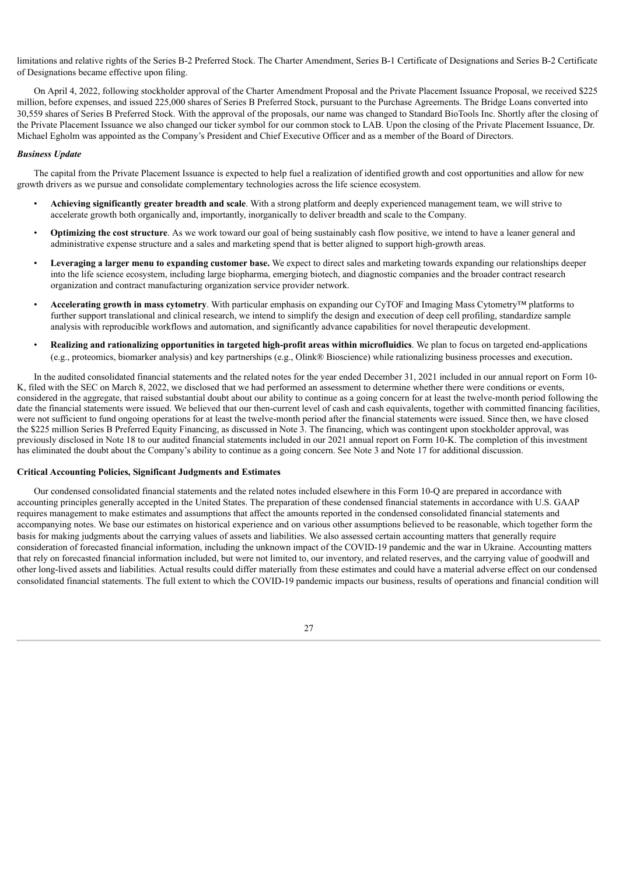limitations and relative rights of the Series B-2 Preferred Stock. The Charter Amendment, Series B-1 Certificate of Designations and Series B-2 Certificate of Designations became effective upon filing.

On April 4, 2022, following stockholder approval of the Charter Amendment Proposal and the Private Placement Issuance Proposal, we received \$225 million, before expenses, and issued 225,000 shares of Series B Preferred Stock, pursuant to the Purchase Agreements. The Bridge Loans converted into 30,559 shares of Series B Preferred Stock. With the approval of the proposals, our name was changed to Standard BioTools Inc. Shortly after the closing of the Private Placement Issuance we also changed our ticker symbol for our common stock to LAB. Upon the closing of the Private Placement Issuance, Dr. Michael Egholm was appointed as the Company's President and Chief Executive Officer and as a member of the Board of Directors.

# *Business Update*

The capital from the Private Placement Issuance is expected to help fuel a realization of identified growth and cost opportunities and allow for new growth drivers as we pursue and consolidate complementary technologies across the life science ecosystem.

- **Achieving significantly greater breadth and scale**. With a strong platform and deeply experienced management team, we will strive to accelerate growth both organically and, importantly, inorganically to deliver breadth and scale to the Company.
- **Optimizing the cost structure**. As we work toward our goal of being sustainably cash flow positive, we intend to have a leaner general and administrative expense structure and a sales and marketing spend that is better aligned to support high-growth areas.
- **Leveraging a larger menu to expanding customer base.** We expect to direct sales and marketing towards expanding our relationships deeper into the life science ecosystem, including large biopharma, emerging biotech, and diagnostic companies and the broader contract research organization and contract manufacturing organization service provider network.
- **Accelerating growth in mass cytometry**. With particular emphasis on expanding our CyTOF and Imaging Mass Cytometry™ platforms to further support translational and clinical research, we intend to simplify the design and execution of deep cell profiling, standardize sample analysis with reproducible workflows and automation, and significantly advance capabilities for novel therapeutic development.
- **Realizing and rationalizing opportunities in targeted high-profit areas within microfluidics**. We plan to focus on targeted end-applications (e.g., proteomics, biomarker analysis) and key partnerships (e.g., Olink® Bioscience) while rationalizing business processes and execution.

In the audited consolidated financial statements and the related notes for the year ended December 31, 2021 included in our annual report on Form 10- K, filed with the SEC on March 8, 2022, we disclosed that we had performed an assessment to determine whether there were conditions or events, considered in the aggregate, that raised substantial doubt about our ability to continue as a going concern for at least the twelve-month period following the date the financial statements were issued. We believed that our then-current level of cash and cash equivalents, together with committed financing facilities, were not sufficient to fund ongoing operations for at least the twelve-month period after the financial statements were issued. Since then, we have closed the \$225 million Series B Preferred Equity Financing, as discussed in Note 3. The financing, which was contingent upon stockholder approval, was previously disclosed in Note 18 to our audited financial statements included in our 2021 annual report on Form 10-K. The completion of this investment has eliminated the doubt about the Company's ability to continue as a going concern. See Note 3 and Note 17 for additional discussion.

# **Critical Accounting Policies, Significant Judgments and Estimates**

Our condensed consolidated financial statements and the related notes included elsewhere in this Form 10-Q are prepared in accordance with accounting principles generally accepted in the United States. The preparation of these condensed financial statements in accordance with U.S. GAAP requires management to make estimates and assumptions that affect the amounts reported in the condensed consolidated financial statements and accompanying notes. We base our estimates on historical experience and on various other assumptions believed to be reasonable, which together form the basis for making judgments about the carrying values of assets and liabilities. We also assessed certain accounting matters that generally require consideration of forecasted financial information, including the unknown impact of the COVID-19 pandemic and the war in Ukraine. Accounting matters that rely on forecasted financial information included, but were not limited to, our inventory, and related reserves, and the carrying value of goodwill and other long-lived assets and liabilities. Actual results could differ materially from these estimates and could have a material adverse effect on our condensed consolidated financial statements. The full extent to which the COVID-19 pandemic impacts our business, results of operations and financial condition will

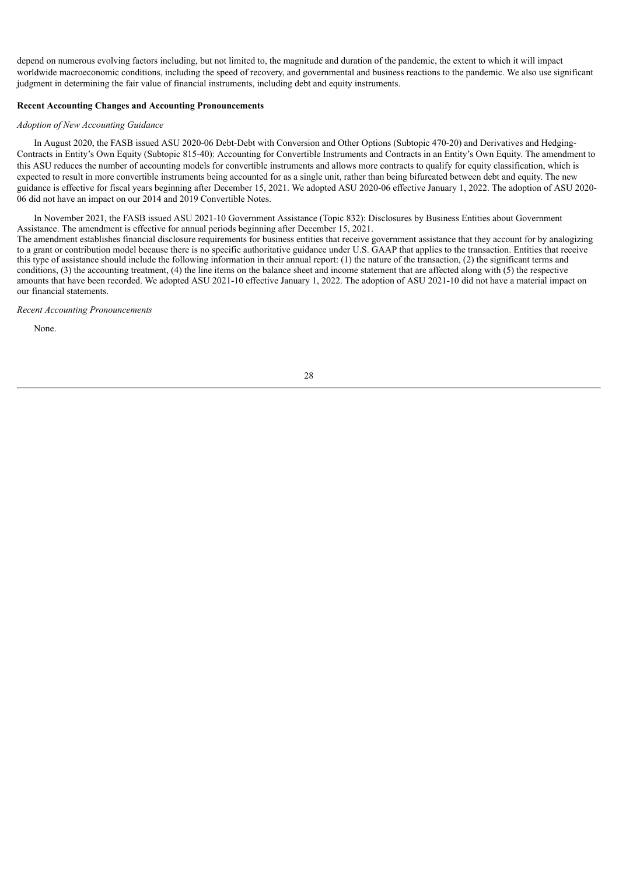depend on numerous evolving factors including, but not limited to, the magnitude and duration of the pandemic, the extent to which it will impact worldwide macroeconomic conditions, including the speed of recovery, and governmental and business reactions to the pandemic. We also use significant judgment in determining the fair value of financial instruments, including debt and equity instruments.

#### **Recent Accounting Changes and Accounting Pronouncements**

#### *Adoption of New Accounting Guidance*

In August 2020, the FASB issued ASU 2020-06 Debt-Debt with Conversion and Other Options (Subtopic 470-20) and Derivatives and Hedging-Contracts in Entity's Own Equity (Subtopic 815-40): Accounting for Convertible Instruments and Contracts in an Entity's Own Equity. The amendment to this ASU reduces the number of accounting models for convertible instruments and allows more contracts to qualify for equity classification, which is expected to result in more convertible instruments being accounted for as a single unit, rather than being bifurcated between debt and equity. The new guidance is effective for fiscal years beginning after December 15, 2021. We adopted ASU 2020-06 effective January 1, 2022. The adoption of ASU 2020- 06 did not have an impact on our 2014 and 2019 Convertible Notes.

In November 2021, the FASB issued ASU 2021-10 Government Assistance (Topic 832): Disclosures by Business Entities about Government Assistance. The amendment is effective for annual periods beginning after December 15, 2021.

The amendment establishes financial disclosure requirements for business entities that receive government assistance that they account for by analogizing to a grant or contribution model because there is no specific authoritative guidance under U.S. GAAP that applies to the transaction. Entities that receive this type of assistance should include the following information in their annual report: (1) the nature of the transaction, (2) the significant terms and conditions, (3) the accounting treatment, (4) the line items on the balance sheet and income statement that are affected along with (5) the respective amounts that have been recorded. We adopted ASU 2021-10 effective January 1, 2022. The adoption of ASU 2021-10 did not have a material impact on our financial statements.

*Recent Accounting Pronouncements*

None.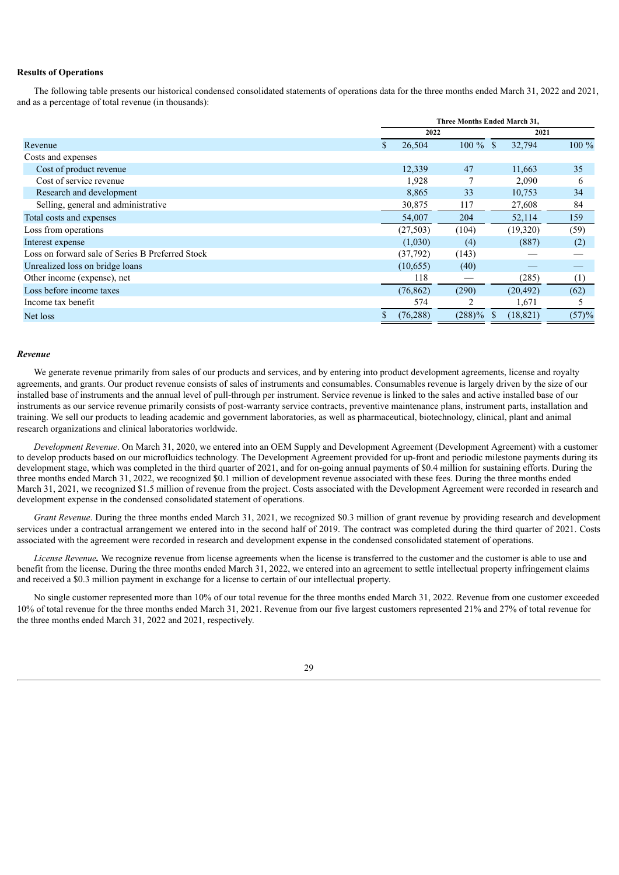# **Results of Operations**

The following table presents our historical condensed consolidated statements of operations data for the three months ended March 31, 2022 and 2021, and as a percentage of total revenue (in thousands):

|                                                  |             | Three Months Ended March 31. |           |         |  |  |  |  |
|--------------------------------------------------|-------------|------------------------------|-----------|---------|--|--|--|--|
|                                                  | 2022        |                              | 2021      |         |  |  |  |  |
| Revenue                                          | 26,504<br>S | $100\%$ \$                   | 32,794    | $100\%$ |  |  |  |  |
| Costs and expenses                               |             |                              |           |         |  |  |  |  |
| Cost of product revenue                          | 12,339      | 47                           | 11,663    | 35      |  |  |  |  |
| Cost of service revenue                          | 1,928       |                              | 2,090     | 6       |  |  |  |  |
| Research and development                         | 8,865       | 33                           | 10,753    | 34      |  |  |  |  |
| Selling, general and administrative              | 30,875      | 117                          | 27,608    | 84      |  |  |  |  |
| Total costs and expenses                         | 54,007      | 204                          | 52,114    | 159     |  |  |  |  |
| Loss from operations                             | (27,503)    | (104)                        | (19,320)  | (59)    |  |  |  |  |
| Interest expense                                 | (1,030)     | (4)                          | (887)     | (2)     |  |  |  |  |
| Loss on forward sale of Series B Preferred Stock | (37,792)    | (143)                        |           |         |  |  |  |  |
| Unrealized loss on bridge loans                  | (10,655)    | (40)                         |           |         |  |  |  |  |
| Other income (expense), net                      | 118         |                              | (285)     | (1)     |  |  |  |  |
| Loss before income taxes                         | (76, 862)   | (290)                        | (20, 492) | (62)    |  |  |  |  |
| Income tax benefit                               | 574         | $\overline{c}$               | 1,671     | 5       |  |  |  |  |
| Net loss                                         | (76, 288)   | $(288)\%$                    | (18, 821) | (57)%   |  |  |  |  |

#### *Revenue*

We generate revenue primarily from sales of our products and services, and by entering into product development agreements, license and royalty agreements, and grants. Our product revenue consists of sales of instruments and consumables. Consumables revenue is largely driven by the size of our installed base of instruments and the annual level of pull-through per instrument. Service revenue is linked to the sales and active installed base of our instruments as our service revenue primarily consists of post-warranty service contracts, preventive maintenance plans, instrument parts, installation and training. We sell our products to leading academic and government laboratories, as well as pharmaceutical, biotechnology, clinical, plant and animal research organizations and clinical laboratories worldwide.

*Development Revenue*. On March 31, 2020, we entered into an OEM Supply and Development Agreement (Development Agreement) with a customer to develop products based on our microfluidics technology. The Development Agreement provided for up-front and periodic milestone payments during its development stage, which was completed in the third quarter of 2021, and for on-going annual payments of \$0.4 million for sustaining efforts. During the three months ended March 31, 2022, we recognized \$0.1 million of development revenue associated with these fees. During the three months ended March 31, 2021, we recognized \$1.5 million of revenue from the project. Costs associated with the Development Agreement were recorded in research and development expense in the condensed consolidated statement of operations.

*Grant Revenue*. During the three months ended March 31, 2021, we recognized \$0.3 million of grant revenue by providing research and development services under a contractual arrangement we entered into in the second half of 2019. The contract was completed during the third quarter of 2021. Costs associated with the agreement were recorded in research and development expense in the condensed consolidated statement of operations.

*License Revenue.* We recognize revenue from license agreements when the license is transferred to the customer and the customer is able to use and benefit from the license. During the three months ended March 31, 2022, we entered into an agreement to settle intellectual property infringement claims and received a \$0.3 million payment in exchange for a license to certain of our intellectual property.

No single customer represented more than 10% of our total revenue for the three months ended March 31, 2022. Revenue from one customer exceeded 10% of total revenue for the three months ended March 31, 2021. Revenue from our five largest customers represented 21% and 27% of total revenue for the three months ended March 31, 2022 and 2021, respectively.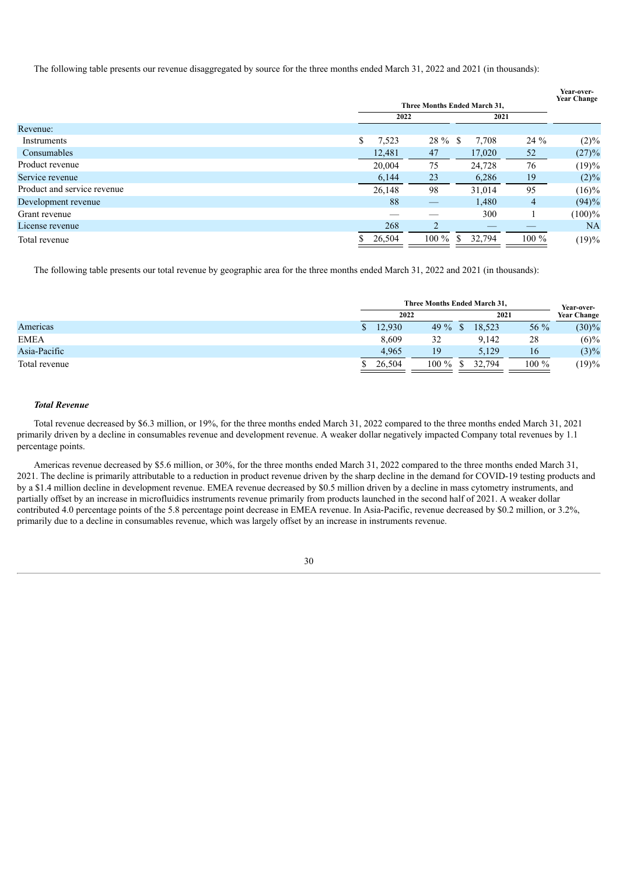The following table presents our revenue disaggregated by source for the three months ended March 31, 2022 and 2021 (in thousands):

|                             |            | Year-over-<br><b>Year Change</b> |              |                |          |
|-----------------------------|------------|----------------------------------|--------------|----------------|----------|
|                             |            | 2022                             |              | 2021           |          |
| Revenue:                    |            |                                  |              |                |          |
| Instruments                 | 7,523<br>S | 28 %                             | S<br>7,708   | 24 %           | $(2)\%$  |
| Consumables                 | 12,481     | 47                               | 17,020       | 52             | (27)%    |
| Product revenue             | 20,004     | 75                               | 24,728       | 76             | (19)%    |
| Service revenue             | 6,144      | 23                               | 6,286        | 19             | $(2)\%$  |
| Product and service revenue | 26,148     | 98                               | 31,014       | 95             | $(16)\%$ |
| Development revenue         |            | 88                               | 1,480        | $\overline{4}$ | $(94)\%$ |
| Grant revenue               |            |                                  | 300          |                | (100)%   |
| License revenue             |            | 268<br>$\overline{2}$            |              |                | NA       |
| Total revenue               | 26,504     | $100\%$                          | 32,794<br>S. | $100\%$        | (19)%    |

The following table presents our total revenue by geographic area for the three months ended March 31, 2022 and 2021 (in thousands):

|               | Three Months Ended March 31, |           |      |        |       | Year-over-         |
|---------------|------------------------------|-----------|------|--------|-------|--------------------|
|               | 2022                         |           | 2021 |        |       | <b>Year Change</b> |
| Americas      | 12.930                       | $49\%$ \$ |      | 18,523 | 56 %  | $(30)\%$           |
| <b>EMEA</b>   | 8,609                        | 32        |      | 9.142  | 28    | $(6)\%$            |
| Asia-Pacific  | 4,965                        | 19        |      | 5.129  | 16    | $(3)\%$            |
| Total revenue | 26,504                       | $100\ \%$ |      | 32,794 | 100 % | (19)%              |

# *Total Revenue*

Total revenue decreased by \$6.3 million, or 19%, for the three months ended March 31, 2022 compared to the three months ended March 31, 2021 primarily driven by a decline in consumables revenue and development revenue. A weaker dollar negatively impacted Company total revenues by 1.1 percentage points.

Americas revenue decreased by \$5.6 million, or 30%, for the three months ended March 31, 2022 compared to the three months ended March 31, 2021. The decline is primarily attributable to a reduction in product revenue driven by the sharp decline in the demand for COVID-19 testing products and by a \$1.4 million decline in development revenue. EMEA revenue decreased by \$0.5 million driven by a decline in mass cytometry instruments, and partially offset by an increase in microfluidics instruments revenue primarily from products launched in the second half of 2021. A weaker dollar contributed 4.0 percentage points of the 5.8 percentage point decrease in EMEA revenue. In Asia-Pacific, revenue decreased by \$0.2 million, or 3.2%, primarily due to a decline in consumables revenue, which was largely offset by an increase in instruments revenue.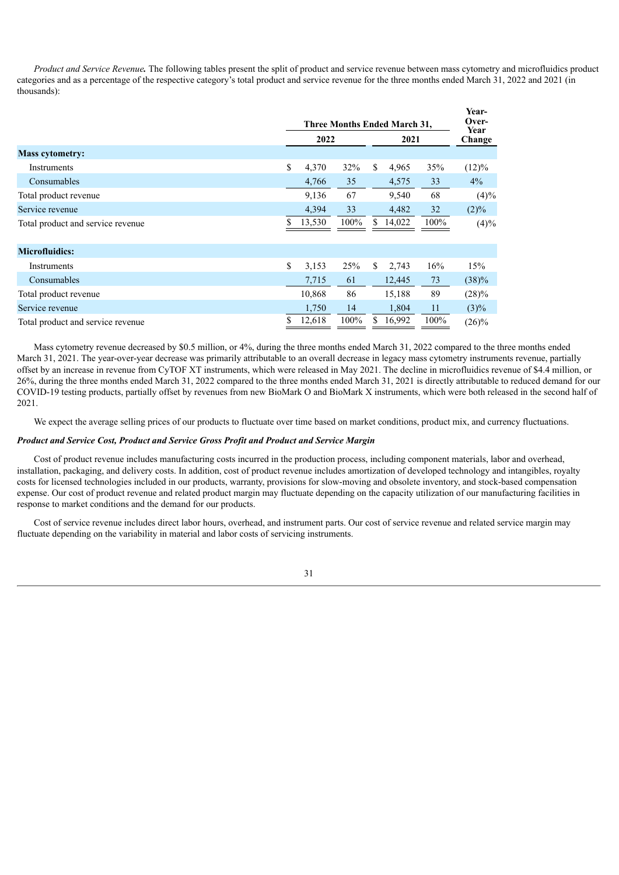*Product and Service Revenue.* The following tables present the split of product and service revenue between mass cytometry and microfluidics product categories and as a percentage of the respective category's total product and service revenue for the three months ended March 31, 2022 and 2021 (in thousands):

|                                   |     | Three Months Ended March 31, |      |     |        |                |          |  |  |
|-----------------------------------|-----|------------------------------|------|-----|--------|----------------|----------|--|--|
|                                   |     | 2022                         |      |     | 2021   | Year<br>Change |          |  |  |
| <b>Mass cytometry:</b>            |     |                              |      |     |        |                |          |  |  |
| Instruments                       | \$  | 4,370                        | 32%  | S.  | 4,965  | 35%            | (12)%    |  |  |
| Consumables                       |     | 4,766                        | 35   |     | 4,575  | 33             | 4%       |  |  |
| Total product revenue             |     | 9,136                        | 67   |     | 9,540  | 68             | $(4)\%$  |  |  |
| Service revenue                   |     | 4,394                        | 33   |     | 4,482  | 32             | $(2)\%$  |  |  |
| Total product and service revenue | \$. | 13,530                       | 100% | \$. | 14,022 | 100%           | $(4)\%$  |  |  |
| <b>Microfluidics:</b>             |     |                              |      |     |        |                |          |  |  |
| Instruments                       | \$  | 3,153                        | 25%  | \$  | 2,743  | 16%            | 15%      |  |  |
| Consumables                       |     | 7.715                        | 61   |     | 12,445 | 73             | (38)%    |  |  |
| Total product revenue             |     | 10,868                       | 86   |     | 15,188 | 89             | (28)%    |  |  |
| Service revenue                   |     | 1,750                        | 14   |     | 1,804  | 11             | $(3)\%$  |  |  |
| Total product and service revenue | \$  | 12,618                       | 100% | \$  | 16,992 | 100%           | $(26)\%$ |  |  |

Mass cytometry revenue decreased by \$0.5 million, or 4%, during the three months ended March 31, 2022 compared to the three months ended March 31, 2021. The year-over-year decrease was primarily attributable to an overall decrease in legacy mass cytometry instruments revenue, partially offset by an increase in revenue from CyTOF XT instruments, which were released in May 2021. The decline in microfluidics revenue of \$4.4 million, or 26%, during the three months ended March 31, 2022 compared to the three months ended March 31, 2021 is directly attributable to reduced demand for our COVID-19 testing products, partially offset by revenues from new BioMark O and BioMark X instruments, which were both released in the second half of 2021.

We expect the average selling prices of our products to fluctuate over time based on market conditions, product mix, and currency fluctuations.

#### *Product and Service Cost, Product and Service Gross Profit and Product and Service Margin*

Cost of product revenue includes manufacturing costs incurred in the production process, including component materials, labor and overhead, installation, packaging, and delivery costs. In addition, cost of product revenue includes amortization of developed technology and intangibles, royalty costs for licensed technologies included in our products, warranty, provisions for slow-moving and obsolete inventory, and stock-based compensation expense. Our cost of product revenue and related product margin may fluctuate depending on the capacity utilization of our manufacturing facilities in response to market conditions and the demand for our products.

Cost of service revenue includes direct labor hours, overhead, and instrument parts. Our cost of service revenue and related service margin may fluctuate depending on the variability in material and labor costs of servicing instruments.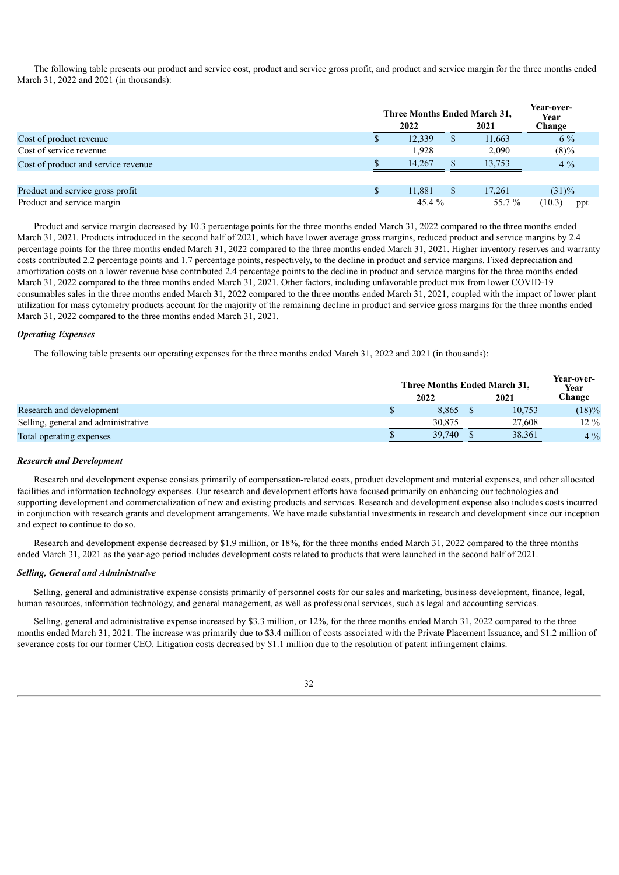The following table presents our product and service cost, product and service gross profit, and product and service margin for the three months ended March 31, 2022 and 2021 (in thousands):

|                                     | Three Months Ended March 31, | Year-over-<br>Year |        |               |
|-------------------------------------|------------------------------|--------------------|--------|---------------|
|                                     | 2022                         |                    | 2021   | Change        |
| Cost of product revenue             | \$<br>12,339                 | S.                 | 11,663 | $6\%$         |
| Cost of service revenue             | 1.928                        |                    | 2,090  | $(8)\%$       |
| Cost of product and service revenue | 14.267                       |                    | 13,753 | $4\%$         |
|                                     |                              |                    |        |               |
| Product and service gross profit    | \$<br>11.881                 | \$                 | 17.261 | $(31)\%$      |
| Product and service margin          | 45.4 $%$                     |                    | 55.7 % | (10.3)<br>ppt |

Product and service margin decreased by 10.3 percentage points for the three months ended March 31, 2022 compared to the three months ended March 31, 2021. Products introduced in the second half of 2021, which have lower average gross margins, reduced product and service margins by 2.4 percentage points for the three months ended March 31, 2022 compared to the three months ended March 31, 2021. Higher inventory reserves and warranty costs contributed 2.2 percentage points and 1.7 percentage points, respectively, to the decline in product and service margins. Fixed depreciation and amortization costs on a lower revenue base contributed 2.4 percentage points to the decline in product and service margins for the three months ended March 31, 2022 compared to the three months ended March 31, 2021. Other factors, including unfavorable product mix from lower COVID-19 consumables sales in the three months ended March 31, 2022 compared to the three months ended March 31, 2021, coupled with the impact of lower plant utilization for mass cytometry products account for the majority of the remaining decline in product and service gross margins for the three months ended March 31, 2022 compared to the three months ended March 31, 2021.

#### *Operating Expenses*

The following table presents our operating expenses for the three months ended March 31, 2022 and 2021 (in thousands):

|                                     | <b>Three Months Ended March 31.</b> |  |        |                |  |
|-------------------------------------|-------------------------------------|--|--------|----------------|--|
|                                     | 2022                                |  | 2021   | Year<br>Change |  |
| Research and development            | 8.865                               |  | 10.753 | $(18)\%$       |  |
| Selling, general and administrative | 30.875                              |  | 27.608 | $12 \%$        |  |
| Total operating expenses            | 39,740                              |  | 38,361 | $4\%$          |  |

#### *Research and Development*

Research and development expense consists primarily of compensation-related costs, product development and material expenses, and other allocated facilities and information technology expenses. Our research and development efforts have focused primarily on enhancing our technologies and supporting development and commercialization of new and existing products and services. Research and development expense also includes costs incurred in conjunction with research grants and development arrangements. We have made substantial investments in research and development since our inception and expect to continue to do so.

Research and development expense decreased by \$1.9 million, or 18%, for the three months ended March 31, 2022 compared to the three months ended March 31, 2021 as the year-ago period includes development costs related to products that were launched in the second half of 2021.

#### *Selling, General and Administrative*

Selling, general and administrative expense consists primarily of personnel costs for our sales and marketing, business development, finance, legal, human resources, information technology, and general management, as well as professional services, such as legal and accounting services.

Selling, general and administrative expense increased by \$3.3 million, or 12%, for the three months ended March 31, 2022 compared to the three months ended March 31, 2021. The increase was primarily due to \$3.4 million of costs associated with the Private Placement Issuance, and \$1.2 million of severance costs for our former CEO. Litigation costs decreased by \$1.1 million due to the resolution of patent infringement claims.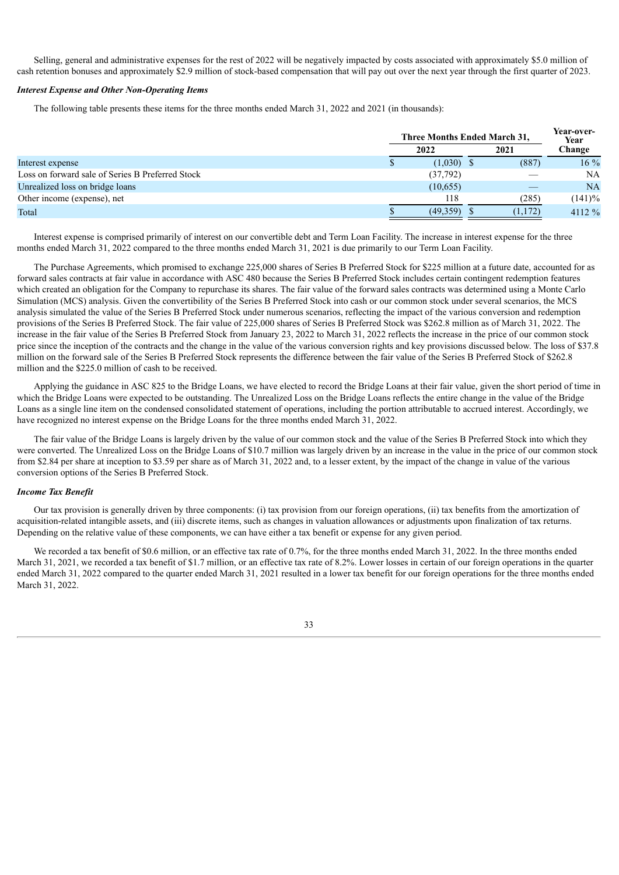Selling, general and administrative expenses for the rest of 2022 will be negatively impacted by costs associated with approximately \$5.0 million of cash retention bonuses and approximately \$2.9 million of stock-based compensation that will pay out over the next year through the first quarter of 2023.

#### *Interest Expense and Other Non-Operating Items*

The following table presents these items for the three months ended March 31, 2022 and 2021 (in thousands):

|                                                  | Three Months Ended March 31, |              |  |         | Year-over-<br>Year<br>Change |  |
|--------------------------------------------------|------------------------------|--------------|--|---------|------------------------------|--|
|                                                  | 2022<br>2021                 |              |  |         |                              |  |
| Interest expense                                 |                              | $(1,030)$ \$ |  | (887)   | $16\%$                       |  |
| Loss on forward sale of Series B Preferred Stock |                              | (37, 792)    |  |         | NA                           |  |
| Unrealized loss on bridge loans                  |                              | (10,655)     |  |         | NA                           |  |
| Other income (expense), net                      |                              | 118          |  | (285)   | (141)%                       |  |
| Total                                            |                              | (49,359)     |  | (1,172) | 4112 %                       |  |

Interest expense is comprised primarily of interest on our convertible debt and Term Loan Facility. The increase in interest expense for the three months ended March 31, 2022 compared to the three months ended March 31, 2021 is due primarily to our Term Loan Facility.

The Purchase Agreements, which promised to exchange 225,000 shares of Series B Preferred Stock for \$225 million at a future date, accounted for as forward sales contracts at fair value in accordance with ASC 480 because the Series B Preferred Stock includes certain contingent redemption features which created an obligation for the Company to repurchase its shares. The fair value of the forward sales contracts was determined using a Monte Carlo Simulation (MCS) analysis. Given the convertibility of the Series B Preferred Stock into cash or our common stock under several scenarios, the MCS analysis simulated the value of the Series B Preferred Stock under numerous scenarios, reflecting the impact of the various conversion and redemption provisions of the Series B Preferred Stock. The fair value of 225,000 shares of Series B Preferred Stock was \$262.8 million as of March 31, 2022. The increase in the fair value of the Series B Preferred Stock from January 23, 2022 to March 31, 2022 reflects the increase in the price of our common stock price since the inception of the contracts and the change in the value of the various conversion rights and key provisions discussed below. The loss of \$37.8 million on the forward sale of the Series B Preferred Stock represents the difference between the fair value of the Series B Preferred Stock of \$262.8 million and the \$225.0 million of cash to be received.

Applying the guidance in ASC 825 to the Bridge Loans, we have elected to record the Bridge Loans at their fair value, given the short period of time in which the Bridge Loans were expected to be outstanding. The Unrealized Loss on the Bridge Loans reflects the entire change in the value of the Bridge Loans as a single line item on the condensed consolidated statement of operations, including the portion attributable to accrued interest. Accordingly, we have recognized no interest expense on the Bridge Loans for the three months ended March 31, 2022.

The fair value of the Bridge Loans is largely driven by the value of our common stock and the value of the Series B Preferred Stock into which they were converted. The Unrealized Loss on the Bridge Loans of \$10.7 million was largely driven by an increase in the value in the price of our common stock from \$2.84 per share at inception to \$3.59 per share as of March 31, 2022 and, to a lesser extent, by the impact of the change in value of the various conversion options of the Series B Preferred Stock.

#### *Income Tax Benefit*

Our tax provision is generally driven by three components: (i) tax provision from our foreign operations, (ii) tax benefits from the amortization of acquisition-related intangible assets, and (iii) discrete items, such as changes in valuation allowances or adjustments upon finalization of tax returns. Depending on the relative value of these components, we can have either a tax benefit or expense for any given period.

We recorded a tax benefit of \$0.6 million, or an effective tax rate of 0.7%, for the three months ended March 31, 2022. In the three months ended March 31, 2021, we recorded a tax benefit of \$1.7 million, or an effective tax rate of 8.2%. Lower losses in certain of our foreign operations in the quarter ended March 31, 2022 compared to the quarter ended March 31, 2021 resulted in a lower tax benefit for our foreign operations for the three months ended March 31, 2022.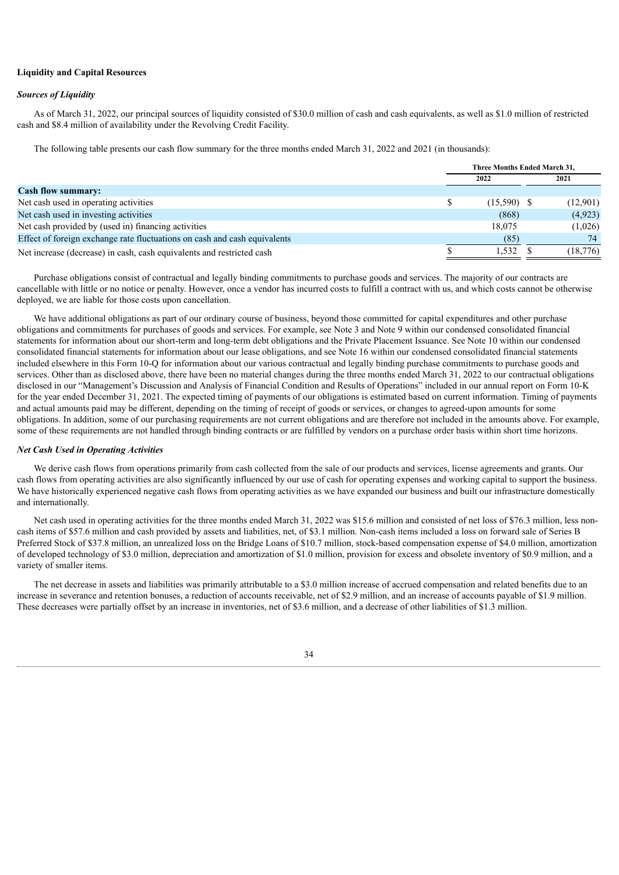# **Liquidity and Capital Resources**

#### *Sources of Liquidity*

As of March 31, 2022, our principal sources of liquidity consisted of \$30.0 million of cash and cash equivalents, as well as \$1.0 million of restricted cash and \$8.4 million of availability under the Revolving Credit Facility.

The following table presents our cash flow summary for the three months ended March 31, 2022 and 2021 (in thousands):

|                                                                           | Three Months Ended March 31, |               |  |           |  |  |
|---------------------------------------------------------------------------|------------------------------|---------------|--|-----------|--|--|
|                                                                           |                              | 2022          |  | 2021      |  |  |
| <b>Cash flow summary:</b>                                                 |                              |               |  |           |  |  |
| Net cash used in operating activities                                     |                              | $(15,590)$ \$ |  | (12,901)  |  |  |
| Net cash used in investing activities                                     |                              | (868)         |  | (4,923)   |  |  |
| Net cash provided by (used in) financing activities                       |                              | 18.075        |  | (1,026)   |  |  |
| Effect of foreign exchange rate fluctuations on cash and cash equivalents |                              | (85)          |  | 74        |  |  |
| Net increase (decrease) in cash, cash equivalents and restricted cash     |                              | 1,532         |  | (18, 776) |  |  |

Purchase obligations consist of contractual and legally binding commitments to purchase goods and services. The majority of our contracts are cancellable with little or no notice or penalty. However, once a vendor has incurred costs to fulfill a contract with us, and which costs cannot be otherwise deployed, we are liable for those costs upon cancellation.

We have additional obligations as part of our ordinary course of business, beyond those committed for capital expenditures and other purchase obligations and commitments for purchases of goods and services. For example, see Note 3 and Note 9 within our condensed consolidated financial statements for information about our short-term and long-term debt obligations and the Private Placement Issuance. See Note 10 within our condensed consolidated financial statements for information about our lease obligations, and see Note 16 within our condensed consolidated financial statements included elsewhere in this Form 10-Q for information about our various contractual and legally binding purchase commitments to purchase goods and services. Other than as disclosed above, there have been no material changes during the three months ended March 31, 2022 to our contractual obligations disclosed in our "Management's Discussion and Analysis of Financial Condition and Results of Operations" included in our annual report on Form 10-K for the year ended December 31, 2021. The expected timing of payments of our obligations is estimated based on current information. Timing of payments and actual amounts paid may be different, depending on the timing of receipt of goods or services, or changes to agreed-upon amounts for some obligations. In addition, some of our purchasing requirements are not current obligations and are therefore not included in the amounts above. For example, some of these requirements are not handled through binding contracts or are fulfilled by vendors on a purchase order basis within short time horizons.

#### *Net Cash Used in Operating Activities*

We derive cash flows from operations primarily from cash collected from the sale of our products and services, license agreements and grants. Our cash flows from operating activities are also significantly influenced by our use of cash for operating expenses and working capital to support the business. We have historically experienced negative cash flows from operating activities as we have expanded our business and built our infrastructure domestically and internationally.

Net cash used in operating activities for the three months ended March 31, 2022 was \$15.6 million and consisted of net loss of \$76.3 million, less noncash items of \$57.6 million and cash provided by assets and liabilities, net, of \$3.1 million. Non-cash items included a loss on forward sale of Series B Preferred Stock of \$37.8 million, an unrealized loss on the Bridge Loans of \$10.7 million, stock-based compensation expense of \$4.0 million, amortization of developed technology of \$3.0 million, depreciation and amortization of \$1.0 million, provision for excess and obsolete inventory of \$0.9 million, and a variety of smaller items.

The net decrease in assets and liabilities was primarily attributable to a \$3.0 million increase of accrued compensation and related benefits due to an increase in severance and retention bonuses, a reduction of accounts receivable, net of \$2.9 million, and an increase of accounts payable of \$1.9 million. These decreases were partially offset by an increase in inventories, net of \$3.6 million, and a decrease of other liabilities of \$1.3 million.

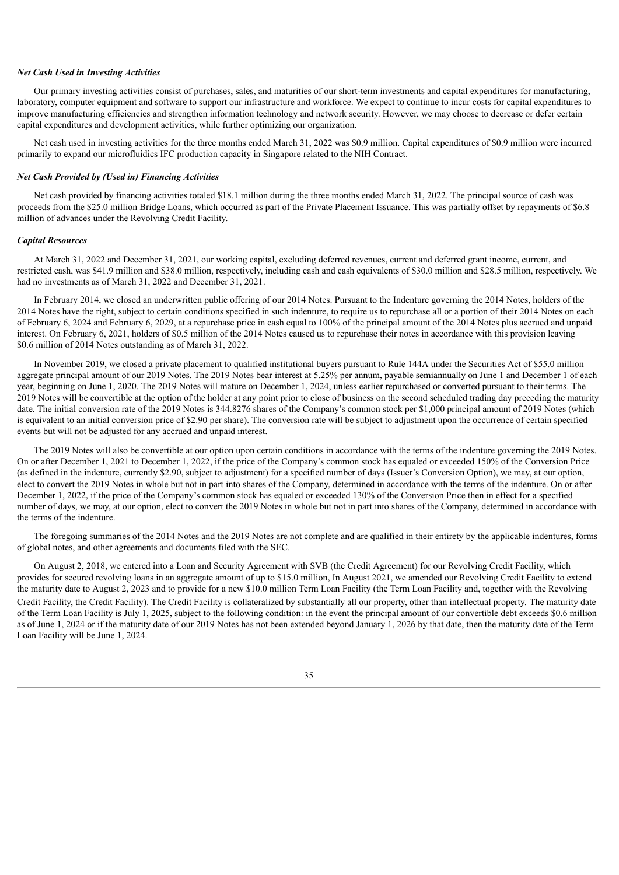### *Net Cash Used in Investing Activities*

Our primary investing activities consist of purchases, sales, and maturities of our short-term investments and capital expenditures for manufacturing, laboratory, computer equipment and software to support our infrastructure and workforce. We expect to continue to incur costs for capital expenditures to improve manufacturing efficiencies and strengthen information technology and network security. However, we may choose to decrease or defer certain capital expenditures and development activities, while further optimizing our organization.

Net cash used in investing activities for the three months ended March 31, 2022 was \$0.9 million. Capital expenditures of \$0.9 million were incurred primarily to expand our microfluidics IFC production capacity in Singapore related to the NIH Contract.

### *Net Cash Provided by (Used in) Financing Activities*

Net cash provided by financing activities totaled \$18.1 million during the three months ended March 31, 2022. The principal source of cash was proceeds from the \$25.0 million Bridge Loans, which occurred as part of the Private Placement Issuance. This was partially offset by repayments of \$6.8 million of advances under the Revolving Credit Facility.

#### *Capital Resources*

At March 31, 2022 and December 31, 2021, our working capital, excluding deferred revenues, current and deferred grant income, current, and restricted cash, was \$41.9 million and \$38.0 million, respectively, including cash and cash equivalents of \$30.0 million and \$28.5 million, respectively. We had no investments as of March 31, 2022 and December 31, 2021.

In February 2014, we closed an underwritten public offering of our 2014 Notes. Pursuant to the Indenture governing the 2014 Notes, holders of the 2014 Notes have the right, subject to certain conditions specified in such indenture, to require us to repurchase all or a portion of their 2014 Notes on each of February 6, 2024 and February 6, 2029, at a repurchase price in cash equal to 100% of the principal amount of the 2014 Notes plus accrued and unpaid interest. On February 6, 2021, holders of \$0.5 million of the 2014 Notes caused us to repurchase their notes in accordance with this provision leaving \$0.6 million of 2014 Notes outstanding as of March 31, 2022.

In November 2019, we closed a private placement to qualified institutional buyers pursuant to Rule 144A under the Securities Act of \$55.0 million aggregate principal amount of our 2019 Notes. The 2019 Notes bear interest at 5.25% per annum, payable semiannually on June 1 and December 1 of each year, beginning on June 1, 2020. The 2019 Notes will mature on December 1, 2024, unless earlier repurchased or converted pursuant to their terms. The 2019 Notes will be convertible at the option of the holder at any point prior to close of business on the second scheduled trading day preceding the maturity date. The initial conversion rate of the 2019 Notes is 344.8276 shares of the Company's common stock per \$1,000 principal amount of 2019 Notes (which is equivalent to an initial conversion price of \$2.90 per share). The conversion rate will be subject to adjustment upon the occurrence of certain specified events but will not be adjusted for any accrued and unpaid interest.

The 2019 Notes will also be convertible at our option upon certain conditions in accordance with the terms of the indenture governing the 2019 Notes. On or after December 1, 2021 to December 1, 2022, if the price of the Company's common stock has equaled or exceeded 150% of the Conversion Price (as defined in the indenture, currently \$2.90, subject to adjustment) for a specified number of days (Issuer's Conversion Option), we may, at our option, elect to convert the 2019 Notes in whole but not in part into shares of the Company, determined in accordance with the terms of the indenture. On or after December 1, 2022, if the price of the Company's common stock has equaled or exceeded 130% of the Conversion Price then in effect for a specified number of days, we may, at our option, elect to convert the 2019 Notes in whole but not in part into shares of the Company, determined in accordance with the terms of the indenture.

The foregoing summaries of the 2014 Notes and the 2019 Notes are not complete and are qualified in their entirety by the applicable indentures, forms of global notes, and other agreements and documents filed with the SEC.

On August 2, 2018, we entered into a Loan and Security Agreement with SVB (the Credit Agreement) for our Revolving Credit Facility, which provides for secured revolving loans in an aggregate amount of up to \$15.0 million, In August 2021, we amended our Revolving Credit Facility to extend the maturity date to August 2, 2023 and to provide for a new \$10.0 million Term Loan Facility (the Term Loan Facility and, together with the Revolving Credit Facility, the Credit Facility). The Credit Facility is collateralized by substantially all our property, other than intellectual property. The maturity date of the Term Loan Facility is July 1, 2025, subject to the following condition: in the event the principal amount of our convertible debt exceeds \$0.6 million as of June 1, 2024 or if the maturity date of our 2019 Notes has not been extended beyond January 1, 2026 by that date, then the maturity date of the Term Loan Facility will be June 1, 2024.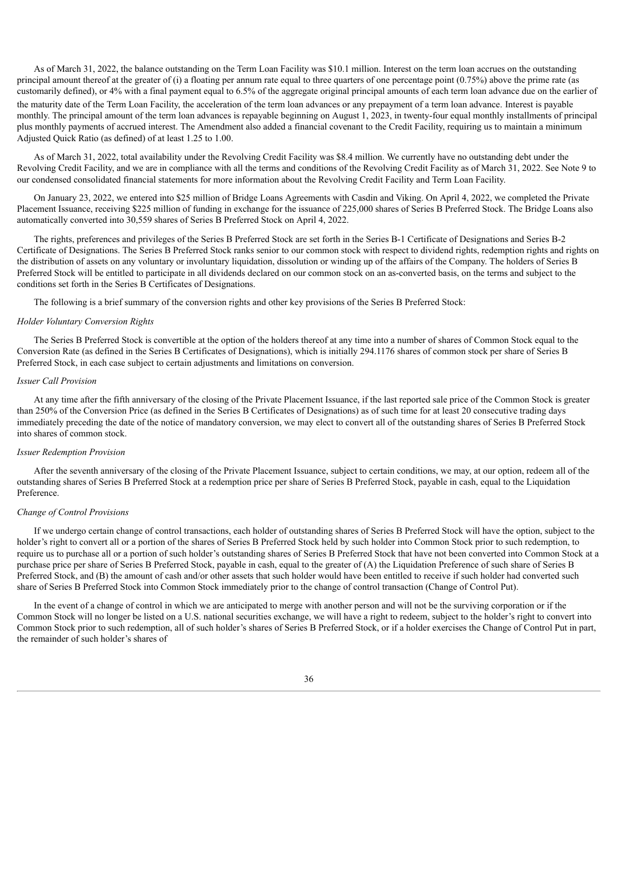As of March 31, 2022, the balance outstanding on the Term Loan Facility was \$10.1 million. Interest on the term loan accrues on the outstanding principal amount thereof at the greater of (i) a floating per annum rate equal to three quarters of one percentage point (0.75%) above the prime rate (as customarily defined), or 4% with a final payment equal to 6.5% of the aggregate original principal amounts of each term loan advance due on the earlier of the maturity date of the Term Loan Facility, the acceleration of the term loan advances or any prepayment of a term loan advance. Interest is payable monthly. The principal amount of the term loan advances is repayable beginning on August 1, 2023, in twenty-four equal monthly installments of principal plus monthly payments of accrued interest. The Amendment also added a financial covenant to the Credit Facility, requiring us to maintain a minimum Adjusted Quick Ratio (as defined) of at least 1.25 to 1.00.

As of March 31, 2022, total availability under the Revolving Credit Facility was \$8.4 million. We currently have no outstanding debt under the Revolving Credit Facility, and we are in compliance with all the terms and conditions of the Revolving Credit Facility as of March 31, 2022. See Note 9 to our condensed consolidated financial statements for more information about the Revolving Credit Facility and Term Loan Facility.

On January 23, 2022, we entered into \$25 million of Bridge Loans Agreements with Casdin and Viking. On April 4, 2022, we completed the Private Placement Issuance, receiving \$225 million of funding in exchange for the issuance of 225,000 shares of Series B Preferred Stock. The Bridge Loans also automatically converted into 30,559 shares of Series B Preferred Stock on April 4, 2022.

The rights, preferences and privileges of the Series B Preferred Stock are set forth in the Series B-1 Certificate of Designations and Series B-2 Certificate of Designations. The Series B Preferred Stock ranks senior to our common stock with respect to dividend rights, redemption rights and rights on the distribution of assets on any voluntary or involuntary liquidation, dissolution or winding up of the affairs of the Company. The holders of Series B Preferred Stock will be entitled to participate in all dividends declared on our common stock on an as-converted basis, on the terms and subject to the conditions set forth in the Series B Certificates of Designations.

The following is a brief summary of the conversion rights and other key provisions of the Series B Preferred Stock:

#### *Holder Voluntary Conversion Rights*

The Series B Preferred Stock is convertible at the option of the holders thereof at any time into a number of shares of Common Stock equal to the Conversion Rate (as defined in the Series B Certificates of Designations), which is initially 294.1176 shares of common stock per share of Series B Preferred Stock, in each case subject to certain adjustments and limitations on conversion.

### *Issuer Call Provision*

At any time after the fifth anniversary of the closing of the Private Placement Issuance, if the last reported sale price of the Common Stock is greater than 250% of the Conversion Price (as defined in the Series B Certificates of Designations) as of such time for at least 20 consecutive trading days immediately preceding the date of the notice of mandatory conversion, we may elect to convert all of the outstanding shares of Series B Preferred Stock into shares of common stock.

#### *Issuer Redemption Provision*

After the seventh anniversary of the closing of the Private Placement Issuance, subject to certain conditions, we may, at our option, redeem all of the outstanding shares of Series B Preferred Stock at a redemption price per share of Series B Preferred Stock, payable in cash, equal to the Liquidation Preference.

### *Change of Control Provisions*

If we undergo certain change of control transactions, each holder of outstanding shares of Series B Preferred Stock will have the option, subject to the holder's right to convert all or a portion of the shares of Series B Preferred Stock held by such holder into Common Stock prior to such redemption, to require us to purchase all or a portion of such holder's outstanding shares of Series B Preferred Stock that have not been converted into Common Stock at a purchase price per share of Series B Preferred Stock, payable in cash, equal to the greater of (A) the Liquidation Preference of such share of Series B Preferred Stock, and (B) the amount of cash and/or other assets that such holder would have been entitled to receive if such holder had converted such share of Series B Preferred Stock into Common Stock immediately prior to the change of control transaction (Change of Control Put).

In the event of a change of control in which we are anticipated to merge with another person and will not be the surviving corporation or if the Common Stock will no longer be listed on a U.S. national securities exchange, we will have a right to redeem, subject to the holder's right to convert into Common Stock prior to such redemption, all of such holder's shares of Series B Preferred Stock, or if a holder exercises the Change of Control Put in part, the remainder of such holder's shares of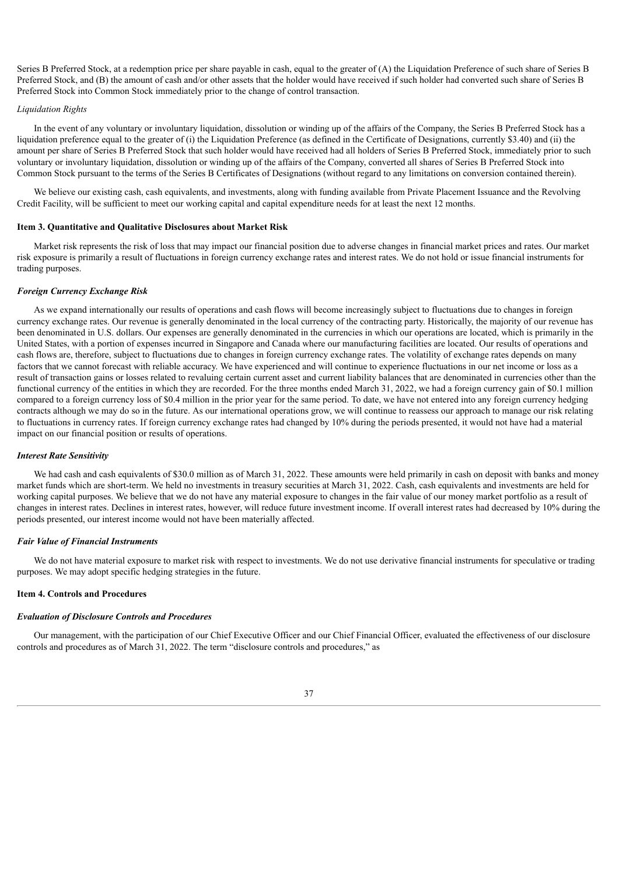Series B Preferred Stock, at a redemption price per share payable in cash, equal to the greater of (A) the Liquidation Preference of such share of Series B Preferred Stock, and (B) the amount of cash and/or other assets that the holder would have received if such holder had converted such share of Series B Preferred Stock into Common Stock immediately prior to the change of control transaction.

## *Liquidation Rights*

In the event of any voluntary or involuntary liquidation, dissolution or winding up of the affairs of the Company, the Series B Preferred Stock has a liquidation preference equal to the greater of (i) the Liquidation Preference (as defined in the Certificate of Designations, currently \$3.40) and (ii) the amount per share of Series B Preferred Stock that such holder would have received had all holders of Series B Preferred Stock, immediately prior to such voluntary or involuntary liquidation, dissolution or winding up of the affairs of the Company, converted all shares of Series B Preferred Stock into Common Stock pursuant to the terms of the Series B Certificates of Designations (without regard to any limitations on conversion contained therein).

We believe our existing cash, cash equivalents, and investments, along with funding available from Private Placement Issuance and the Revolving Credit Facility, will be sufficient to meet our working capital and capital expenditure needs for at least the next 12 months.

### **Item 3. Quantitative and Qualitative Disclosures about Market Risk**

Market risk represents the risk of loss that may impact our financial position due to adverse changes in financial market prices and rates. Our market risk exposure is primarily a result of fluctuations in foreign currency exchange rates and interest rates. We do not hold or issue financial instruments for trading purposes.

### *Foreign Currency Exchange Risk*

As we expand internationally our results of operations and cash flows will become increasingly subject to fluctuations due to changes in foreign currency exchange rates. Our revenue is generally denominated in the local currency of the contracting party. Historically, the majority of our revenue has been denominated in U.S. dollars. Our expenses are generally denominated in the currencies in which our operations are located, which is primarily in the United States, with a portion of expenses incurred in Singapore and Canada where our manufacturing facilities are located. Our results of operations and cash flows are, therefore, subject to fluctuations due to changes in foreign currency exchange rates. The volatility of exchange rates depends on many factors that we cannot forecast with reliable accuracy. We have experienced and will continue to experience fluctuations in our net income or loss as a result of transaction gains or losses related to revaluing certain current asset and current liability balances that are denominated in currencies other than the functional currency of the entities in which they are recorded. For the three months ended March 31, 2022, we had a foreign currency gain of \$0.1 million compared to a foreign currency loss of \$0.4 million in the prior year for the same period. To date, we have not entered into any foreign currency hedging contracts although we may do so in the future. As our international operations grow, we will continue to reassess our approach to manage our risk relating to fluctuations in currency rates. If foreign currency exchange rates had changed by 10% during the periods presented, it would not have had a material impact on our financial position or results of operations.

### *Interest Rate Sensitivity*

We had cash and cash equivalents of \$30.0 million as of March 31, 2022. These amounts were held primarily in cash on deposit with banks and money market funds which are short-term. We held no investments in treasury securities at March 31, 2022. Cash, cash equivalents and investments are held for working capital purposes. We believe that we do not have any material exposure to changes in the fair value of our money market portfolio as a result of changes in interest rates. Declines in interest rates, however, will reduce future investment income. If overall interest rates had decreased by 10% during the periods presented, our interest income would not have been materially affected.

#### *Fair Value of Financial Instruments*

We do not have material exposure to market risk with respect to investments. We do not use derivative financial instruments for speculative or trading purposes. We may adopt specific hedging strategies in the future.

#### **Item 4. Controls and Procedures**

#### *Evaluation of Disclosure Controls and Procedures*

Our management, with the participation of our Chief Executive Officer and our Chief Financial Officer, evaluated the effectiveness of our disclosure controls and procedures as of March 31, 2022. The term "disclosure controls and procedures," as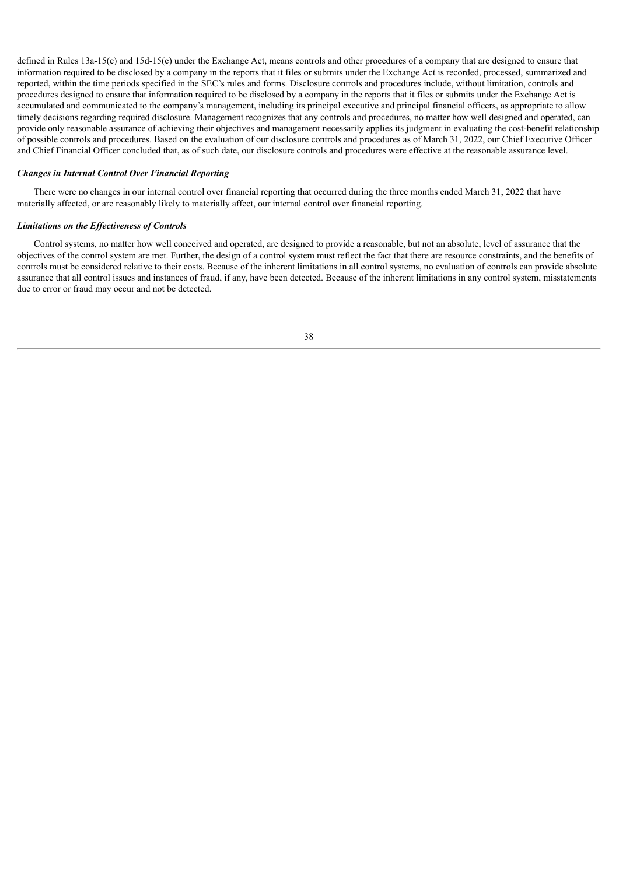defined in Rules 13a-15(e) and 15d-15(e) under the Exchange Act, means controls and other procedures of a company that are designed to ensure that information required to be disclosed by a company in the reports that it files or submits under the Exchange Act is recorded, processed, summarized and reported, within the time periods specified in the SEC's rules and forms. Disclosure controls and procedures include, without limitation, controls and procedures designed to ensure that information required to be disclosed by a company in the reports that it files or submits under the Exchange Act is accumulated and communicated to the company's management, including its principal executive and principal financial officers, as appropriate to allow timely decisions regarding required disclosure. Management recognizes that any controls and procedures, no matter how well designed and operated, can provide only reasonable assurance of achieving their objectives and management necessarily applies its judgment in evaluating the cost-benefit relationship of possible controls and procedures. Based on the evaluation of our disclosure controls and procedures as of March 31, 2022, our Chief Executive Officer and Chief Financial Officer concluded that, as of such date, our disclosure controls and procedures were effective at the reasonable assurance level.

### *Changes in Internal Control Over Financial Reporting*

There were no changes in our internal control over financial reporting that occurred during the three months ended March 31, 2022 that have materially affected, or are reasonably likely to materially affect, our internal control over financial reporting.

### *Limitations on the Ef ectiveness of Controls*

Control systems, no matter how well conceived and operated, are designed to provide a reasonable, but not an absolute, level of assurance that the objectives of the control system are met. Further, the design of a control system must reflect the fact that there are resource constraints, and the benefits of controls must be considered relative to their costs. Because of the inherent limitations in all control systems, no evaluation of controls can provide absolute assurance that all control issues and instances of fraud, if any, have been detected. Because of the inherent limitations in any control system, misstatements due to error or fraud may occur and not be detected.

38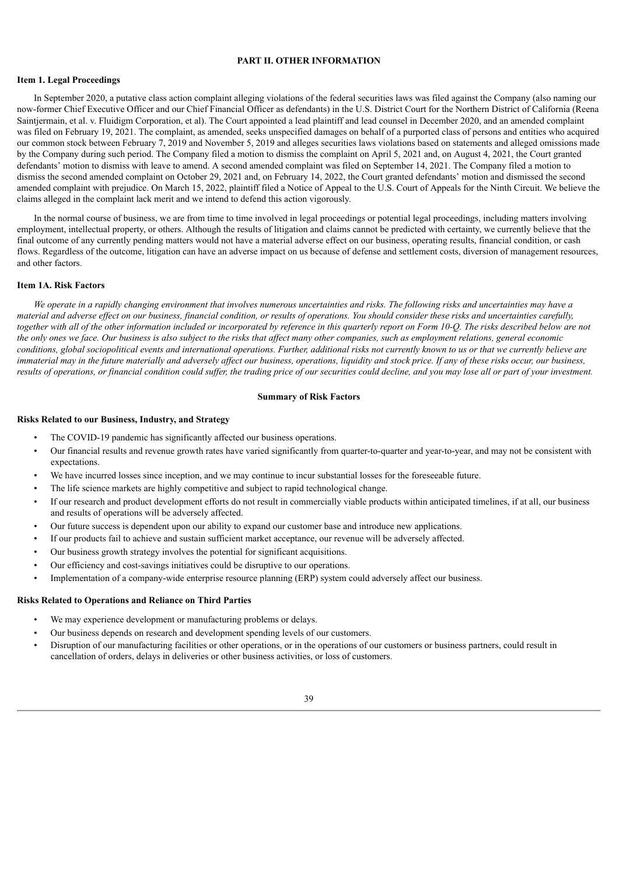### **PART II. OTHER INFORMATION**

#### **Item 1. Legal Proceedings**

In September 2020, a putative class action complaint alleging violations of the federal securities laws was filed against the Company (also naming our now-former Chief Executive Officer and our Chief Financial Officer as defendants) in the U.S. District Court for the Northern District of California (Reena Saintjermain, et al. v. Fluidigm Corporation, et al). The Court appointed a lead plaintiff and lead counsel in December 2020, and an amended complaint was filed on February 19, 2021. The complaint, as amended, seeks unspecified damages on behalf of a purported class of persons and entities who acquired our common stock between February 7, 2019 and November 5, 2019 and alleges securities laws violations based on statements and alleged omissions made by the Company during such period. The Company filed a motion to dismiss the complaint on April 5, 2021 and, on August 4, 2021, the Court granted defendants' motion to dismiss with leave to amend. A second amended complaint was filed on September 14, 2021. The Company filed a motion to dismiss the second amended complaint on October 29, 2021 and, on February 14, 2022, the Court granted defendants' motion and dismissed the second amended complaint with prejudice. On March 15, 2022, plaintiff filed a Notice of Appeal to the U.S. Court of Appeals for the Ninth Circuit. We believe the claims alleged in the complaint lack merit and we intend to defend this action vigorously.

In the normal course of business, we are from time to time involved in legal proceedings or potential legal proceedings, including matters involving employment, intellectual property, or others. Although the results of litigation and claims cannot be predicted with certainty, we currently believe that the final outcome of any currently pending matters would not have a material adverse effect on our business, operating results, financial condition, or cash flows. Regardless of the outcome, litigation can have an adverse impact on us because of defense and settlement costs, diversion of management resources, and other factors.

#### **Item 1A. Risk Factors**

We operate in a rapidly changing environment that involves numerous uncertainties and risks. The following risks and uncertainties may have a material and adverse effect on our business, financial condition, or results of operations. You should consider these risks and uncertainties carefully, together with all of the other information included or incorporated by reference in this quarterly report on Form 10-O. The risks described below are not the only ones we face. Our business is also subject to the risks that affect many other companies, such as employment relations, general economic conditions, global sociopolitical events and international operations. Further, additional risks not currently known to us or that we currently believe are immaterial may in the future materially and adversely affect our business, operations, liquidity and stock price. If any of these risks occur, our business, results of operations, or financial condition could suffer, the trading price of our securities could decline, and you may lose all or part of your investment.

### **Summary of Risk Factors**

### **Risks Related to our Business, Industry, and Strategy**

- The COVID-19 pandemic has significantly affected our business operations.
- Our financial results and revenue growth rates have varied significantly from quarter-to-quarter and year-to-year, and may not be consistent with expectations.
- We have incurred losses since inception, and we may continue to incur substantial losses for the foreseeable future.
- The life science markets are highly competitive and subject to rapid technological change.
- If our research and product development efforts do not result in commercially viable products within anticipated timelines, if at all, our business and results of operations will be adversely affected.
- Our future success is dependent upon our ability to expand our customer base and introduce new applications.
- If our products fail to achieve and sustain sufficient market acceptance, our revenue will be adversely affected.
- Our business growth strategy involves the potential for significant acquisitions.
- Our efficiency and cost-savings initiatives could be disruptive to our operations.
- Implementation of a company-wide enterprise resource planning (ERP) system could adversely affect our business.

### **Risks Related to Operations and Reliance on Third Parties**

- We may experience development or manufacturing problems or delays.
- Our business depends on research and development spending levels of our customers.
- Disruption of our manufacturing facilities or other operations, or in the operations of our customers or business partners, could result in cancellation of orders, delays in deliveries or other business activities, or loss of customers.

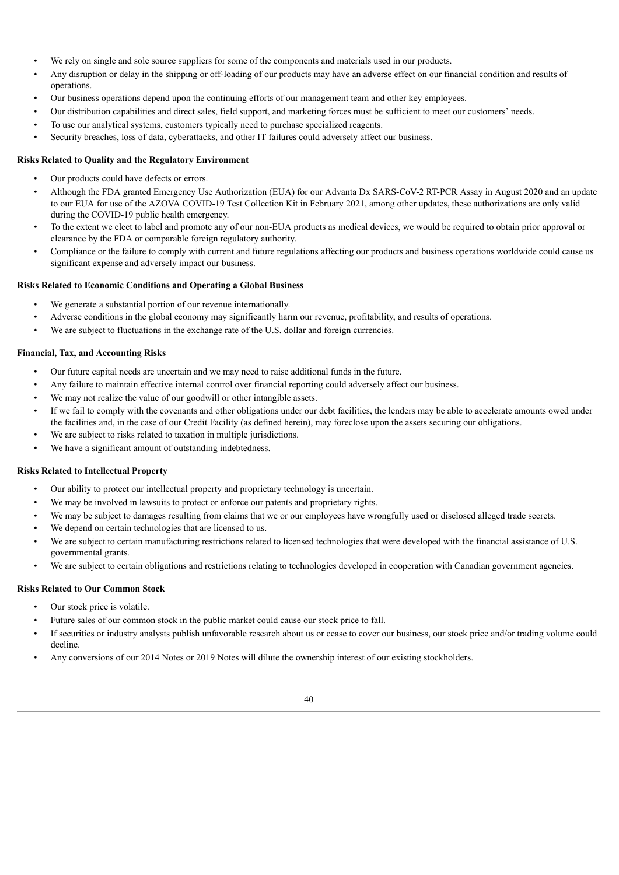- We rely on single and sole source suppliers for some of the components and materials used in our products.
- Any disruption or delay in the shipping or off-loading of our products may have an adverse effect on our financial condition and results of operations.
- Our business operations depend upon the continuing efforts of our management team and other key employees.
- Our distribution capabilities and direct sales, field support, and marketing forces must be sufficient to meet our customers' needs.
- To use our analytical systems, customers typically need to purchase specialized reagents.
- Security breaches, loss of data, cyberattacks, and other IT failures could adversely affect our business.

# **Risks Related to Quality and the Regulatory Environment**

- Our products could have defects or errors.
- Although the FDA granted Emergency Use Authorization (EUA) for our Advanta Dx SARS-CoV-2 RT-PCR Assay in August 2020 and an update to our EUA for use of the AZOVA COVID-19 Test Collection Kit in February 2021, among other updates, these authorizations are only valid during the COVID-19 public health emergency.
- To the extent we elect to label and promote any of our non-EUA products as medical devices, we would be required to obtain prior approval or clearance by the FDA or comparable foreign regulatory authority.
- Compliance or the failure to comply with current and future regulations affecting our products and business operations worldwide could cause us significant expense and adversely impact our business.

# **Risks Related to Economic Conditions and Operating a Global Business**

- We generate a substantial portion of our revenue internationally.
- Adverse conditions in the global economy may significantly harm our revenue, profitability, and results of operations.
- We are subject to fluctuations in the exchange rate of the U.S. dollar and foreign currencies.

# **Financial, Tax, and Accounting Risks**

- Our future capital needs are uncertain and we may need to raise additional funds in the future.
- Any failure to maintain effective internal control over financial reporting could adversely affect our business.
- We may not realize the value of our goodwill or other intangible assets.
- If we fail to comply with the covenants and other obligations under our debt facilities, the lenders may be able to accelerate amounts owed under the facilities and, in the case of our Credit Facility (as defined herein), may foreclose upon the assets securing our obligations.
- We are subject to risks related to taxation in multiple jurisdictions.
- We have a significant amount of outstanding indebtedness.

# **Risks Related to Intellectual Property**

- Our ability to protect our intellectual property and proprietary technology is uncertain.
- We may be involved in lawsuits to protect or enforce our patents and proprietary rights.
- We may be subject to damages resulting from claims that we or our employees have wrongfully used or disclosed alleged trade secrets.
- We depend on certain technologies that are licensed to us.
- We are subject to certain manufacturing restrictions related to licensed technologies that were developed with the financial assistance of U.S. governmental grants.
- We are subject to certain obligations and restrictions relating to technologies developed in cooperation with Canadian government agencies.

# **Risks Related to Our Common Stock**

- Our stock price is volatile.
- Future sales of our common stock in the public market could cause our stock price to fall.
- If securities or industry analysts publish unfavorable research about us or cease to cover our business, our stock price and/or trading volume could decline.
- Any conversions of our 2014 Notes or 2019 Notes will dilute the ownership interest of our existing stockholders.

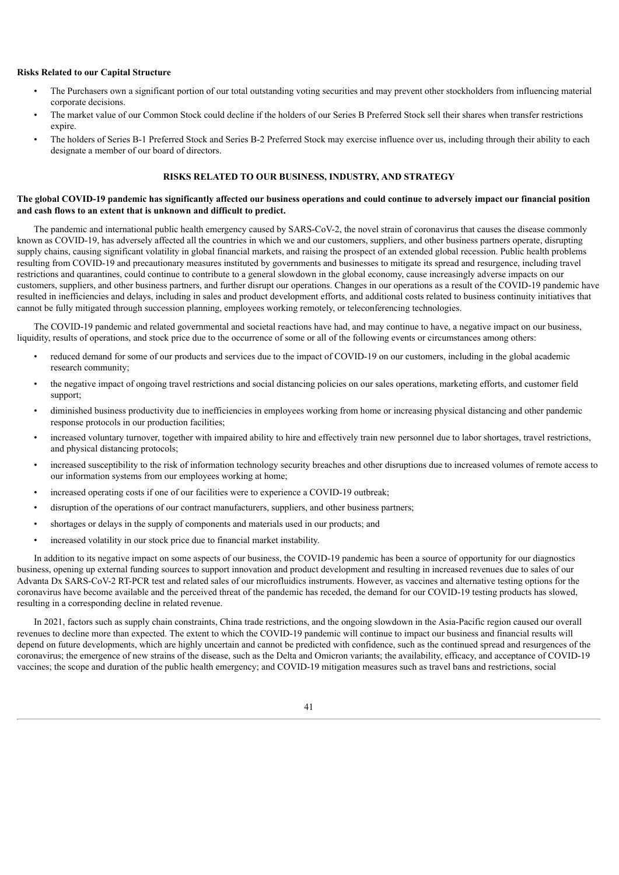## **Risks Related to our Capital Structure**

- The Purchasers own a significant portion of our total outstanding voting securities and may prevent other stockholders from influencing material corporate decisions.
- The market value of our Common Stock could decline if the holders of our Series B Preferred Stock sell their shares when transfer restrictions expire.
- The holders of Series B-1 Preferred Stock and Series B-2 Preferred Stock may exercise influence over us, including through their ability to each designate a member of our board of directors.

# **RISKS RELATED TO OUR BUSINESS, INDUSTRY, AND STRATEGY**

# The global COVID-19 pandemic has significantly affected our business operations and could continue to adversely impact our financial position **and cash flows to an extent that is unknown and difficult to predict.**

The pandemic and international public health emergency caused by SARS-CoV-2, the novel strain of coronavirus that causes the disease commonly known as COVID-19, has adversely affected all the countries in which we and our customers, suppliers, and other business partners operate, disrupting supply chains, causing significant volatility in global financial markets, and raising the prospect of an extended global recession. Public health problems resulting from COVID-19 and precautionary measures instituted by governments and businesses to mitigate its spread and resurgence, including travel restrictions and quarantines, could continue to contribute to a general slowdown in the global economy, cause increasingly adverse impacts on our customers, suppliers, and other business partners, and further disrupt our operations. Changes in our operations as a result of the COVID-19 pandemic have resulted in inefficiencies and delays, including in sales and product development efforts, and additional costs related to business continuity initiatives that cannot be fully mitigated through succession planning, employees working remotely, or teleconferencing technologies.

The COVID-19 pandemic and related governmental and societal reactions have had, and may continue to have, a negative impact on our business, liquidity, results of operations, and stock price due to the occurrence of some or all of the following events or circumstances among others:

- reduced demand for some of our products and services due to the impact of COVID-19 on our customers, including in the global academic research community;
- the negative impact of ongoing travel restrictions and social distancing policies on our sales operations, marketing efforts, and customer field support;
- diminished business productivity due to inefficiencies in employees working from home or increasing physical distancing and other pandemic response protocols in our production facilities;
- increased voluntary turnover, together with impaired ability to hire and effectively train new personnel due to labor shortages, travel restrictions, and physical distancing protocols;
- increased susceptibility to the risk of information technology security breaches and other disruptions due to increased volumes of remote access to our information systems from our employees working at home;
- increased operating costs if one of our facilities were to experience a COVID-19 outbreak;
- disruption of the operations of our contract manufacturers, suppliers, and other business partners;
- shortages or delays in the supply of components and materials used in our products; and
- increased volatility in our stock price due to financial market instability.

In addition to its negative impact on some aspects of our business, the COVID-19 pandemic has been a source of opportunity for our diagnostics business, opening up external funding sources to support innovation and product development and resulting in increased revenues due to sales of our Advanta Dx SARS-CoV-2 RT-PCR test and related sales of our microfluidics instruments. However, as vaccines and alternative testing options for the coronavirus have become available and the perceived threat of the pandemic has receded, the demand for our COVID-19 testing products has slowed, resulting in a corresponding decline in related revenue.

In 2021, factors such as supply chain constraints, China trade restrictions, and the ongoing slowdown in the Asia-Pacific region caused our overall revenues to decline more than expected. The extent to which the COVID-19 pandemic will continue to impact our business and financial results will depend on future developments, which are highly uncertain and cannot be predicted with confidence, such as the continued spread and resurgences of the coronavirus; the emergence of new strains of the disease, such as the Delta and Omicron variants; the availability, efficacy, and acceptance of COVID-19 vaccines; the scope and duration of the public health emergency; and COVID-19 mitigation measures such as travel bans and restrictions, social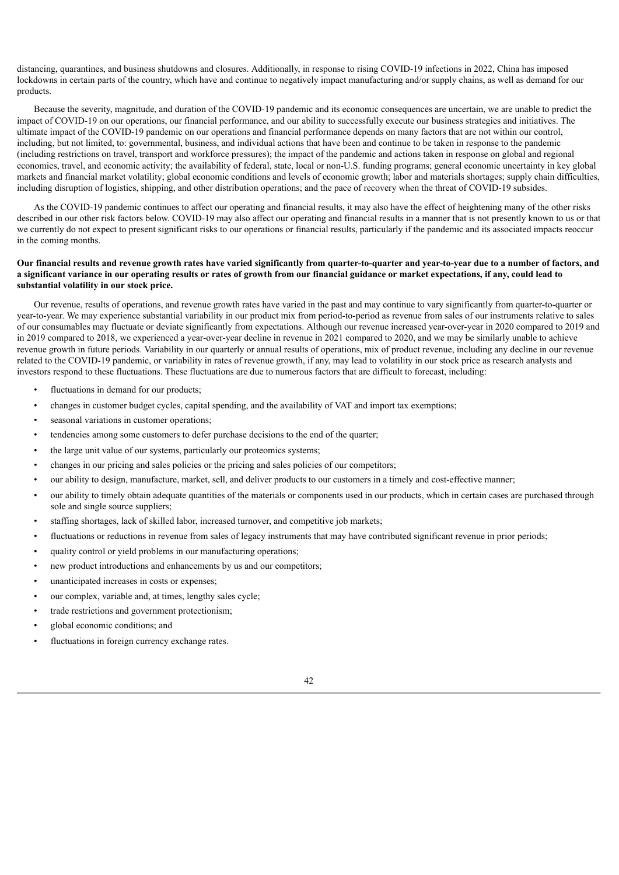distancing, quarantines, and business shutdowns and closures. Additionally, in response to rising COVID-19 infections in 2022, China has imposed lockdowns in certain parts of the country, which have and continue to negatively impact manufacturing and/or supply chains, as well as demand for our products.

Because the severity, magnitude, and duration of the COVID-19 pandemic and its economic consequences are uncertain, we are unable to predict the impact of COVID-19 on our operations, our financial performance, and our ability to successfully execute our business strategies and initiatives. The ultimate impact of the COVID-19 pandemic on our operations and financial performance depends on many factors that are not within our control, including, but not limited, to: governmental, business, and individual actions that have been and continue to be taken in response to the pandemic (including restrictions on travel, transport and workforce pressures); the impact of the pandemic and actions taken in response on global and regional economies, travel, and economic activity; the availability of federal, state, local or non-U.S. funding programs; general economic uncertainty in key global markets and financial market volatility; global economic conditions and levels of economic growth; labor and materials shortages; supply chain difficulties, including disruption of logistics, shipping, and other distribution operations; and the pace of recovery when the threat of COVID-19 subsides.

As the COVID-19 pandemic continues to affect our operating and financial results, it may also have the effect of heightening many of the other risks described in our other risk factors below. COVID-19 may also affect our operating and financial results in a manner that is not presently known to us or that we currently do not expect to present significant risks to our operations or financial results, particularly if the pandemic and its associated impacts reoccur in the coming months.

## Our financial results and revenue growth rates have varied significantly from quarter-to-quarter and year-to-year due to a number of factors, and a significant variance in our operating results or rates of growth from our financial guidance or market expectations, if any, could lead to **substantial volatility in our stock price.**

Our revenue, results of operations, and revenue growth rates have varied in the past and may continue to vary significantly from quarter-to-quarter or year-to-year. We may experience substantial variability in our product mix from period-to-period as revenue from sales of our instruments relative to sales of our consumables may fluctuate or deviate significantly from expectations. Although our revenue increased year-over-year in 2020 compared to 2019 and in 2019 compared to 2018, we experienced a year-over-year decline in revenue in 2021 compared to 2020, and we may be similarly unable to achieve revenue growth in future periods. Variability in our quarterly or annual results of operations, mix of product revenue, including any decline in our revenue related to the COVID-19 pandemic, or variability in rates of revenue growth, if any, may lead to volatility in our stock price as research analysts and investors respond to these fluctuations. These fluctuations are due to numerous factors that are difficult to forecast, including:

- fluctuations in demand for our products;
- changes in customer budget cycles, capital spending, and the availability of VAT and import tax exemptions;
- seasonal variations in customer operations;
- tendencies among some customers to defer purchase decisions to the end of the quarter;
- the large unit value of our systems, particularly our proteomics systems;
- changes in our pricing and sales policies or the pricing and sales policies of our competitors;
- our ability to design, manufacture, market, sell, and deliver products to our customers in a timely and cost-effective manner;
- our ability to timely obtain adequate quantities of the materials or components used in our products, which in certain cases are purchased through sole and single source suppliers;
- staffing shortages, lack of skilled labor, increased turnover, and competitive job markets;
- fluctuations or reductions in revenue from sales of legacy instruments that may have contributed significant revenue in prior periods;
- quality control or yield problems in our manufacturing operations;
- new product introductions and enhancements by us and our competitors;
- unanticipated increases in costs or expenses:
- our complex, variable and, at times, lengthy sales cycle;
- trade restrictions and government protectionism;
- global economic conditions; and
- fluctuations in foreign currency exchange rates.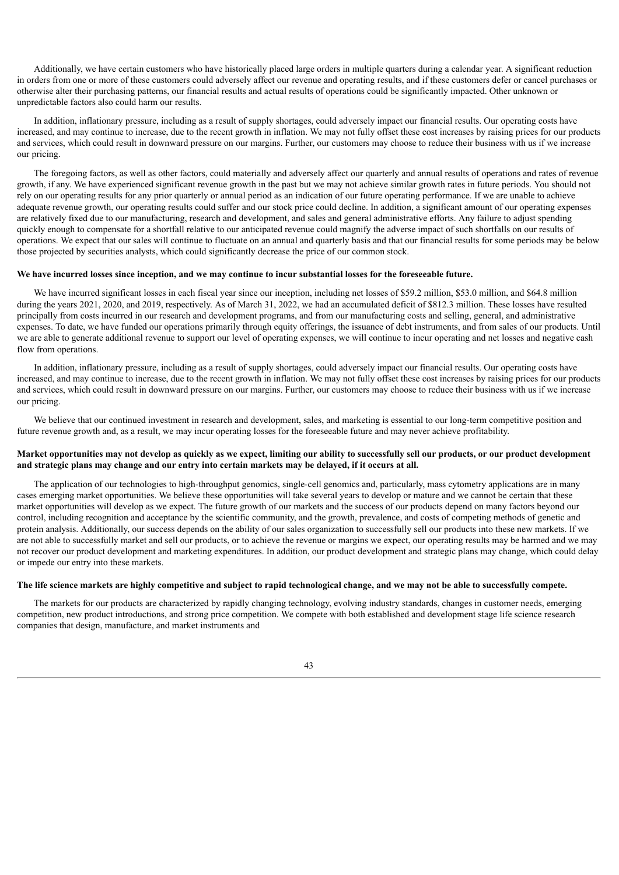Additionally, we have certain customers who have historically placed large orders in multiple quarters during a calendar year. A significant reduction in orders from one or more of these customers could adversely affect our revenue and operating results, and if these customers defer or cancel purchases or otherwise alter their purchasing patterns, our financial results and actual results of operations could be significantly impacted. Other unknown or unpredictable factors also could harm our results.

In addition, inflationary pressure, including as a result of supply shortages, could adversely impact our financial results. Our operating costs have increased, and may continue to increase, due to the recent growth in inflation. We may not fully offset these cost increases by raising prices for our products and services, which could result in downward pressure on our margins. Further, our customers may choose to reduce their business with us if we increase our pricing.

The foregoing factors, as well as other factors, could materially and adversely affect our quarterly and annual results of operations and rates of revenue growth, if any. We have experienced significant revenue growth in the past but we may not achieve similar growth rates in future periods. You should not rely on our operating results for any prior quarterly or annual period as an indication of our future operating performance. If we are unable to achieve adequate revenue growth, our operating results could suffer and our stock price could decline. In addition, a significant amount of our operating expenses are relatively fixed due to our manufacturing, research and development, and sales and general administrative efforts. Any failure to adjust spending quickly enough to compensate for a shortfall relative to our anticipated revenue could magnify the adverse impact of such shortfalls on our results of operations. We expect that our sales will continue to fluctuate on an annual and quarterly basis and that our financial results for some periods may be below those projected by securities analysts, which could significantly decrease the price of our common stock.

### We have incurred losses since inception, and we may continue to incur substantial losses for the foreseeable future.

We have incurred significant losses in each fiscal year since our inception, including net losses of \$59.2 million, \$53.0 million, and \$64.8 million during the years 2021, 2020, and 2019, respectively. As of March 31, 2022, we had an accumulated deficit of \$812.3 million. These losses have resulted principally from costs incurred in our research and development programs, and from our manufacturing costs and selling, general, and administrative expenses. To date, we have funded our operations primarily through equity offerings, the issuance of debt instruments, and from sales of our products. Until we are able to generate additional revenue to support our level of operating expenses, we will continue to incur operating and net losses and negative cash flow from operations.

In addition, inflationary pressure, including as a result of supply shortages, could adversely impact our financial results. Our operating costs have increased, and may continue to increase, due to the recent growth in inflation. We may not fully offset these cost increases by raising prices for our products and services, which could result in downward pressure on our margins. Further, our customers may choose to reduce their business with us if we increase our pricing.

We believe that our continued investment in research and development, sales, and marketing is essential to our long-term competitive position and future revenue growth and, as a result, we may incur operating losses for the foreseeable future and may never achieve profitability.

## Market opportunities may not develop as quickly as we expect, limiting our ability to successfully sell our products, or our product development and strategic plans may change and our entry into certain markets may be delayed, if it occurs at all.

The application of our technologies to high-throughput genomics, single-cell genomics and, particularly, mass cytometry applications are in many cases emerging market opportunities. We believe these opportunities will take several years to develop or mature and we cannot be certain that these market opportunities will develop as we expect. The future growth of our markets and the success of our products depend on many factors beyond our control, including recognition and acceptance by the scientific community, and the growth, prevalence, and costs of competing methods of genetic and protein analysis. Additionally, our success depends on the ability of our sales organization to successfully sell our products into these new markets. If we are not able to successfully market and sell our products, or to achieve the revenue or margins we expect, our operating results may be harmed and we may not recover our product development and marketing expenditures. In addition, our product development and strategic plans may change, which could delay or impede our entry into these markets.

## The life science markets are highly competitive and subject to rapid technological change, and we may not be able to successfully compete.

The markets for our products are characterized by rapidly changing technology, evolving industry standards, changes in customer needs, emerging competition, new product introductions, and strong price competition. We compete with both established and development stage life science research companies that design, manufacture, and market instruments and

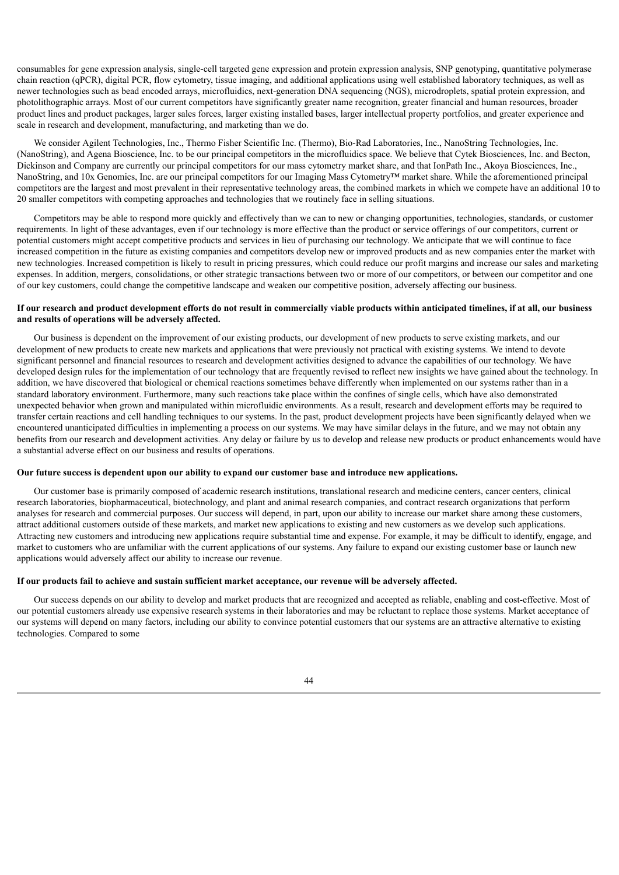consumables for gene expression analysis, single-cell targeted gene expression and protein expression analysis, SNP genotyping, quantitative polymerase chain reaction (qPCR), digital PCR, flow cytometry, tissue imaging, and additional applications using well established laboratory techniques, as well as newer technologies such as bead encoded arrays, microfluidics, next-generation DNA sequencing (NGS), microdroplets, spatial protein expression, and photolithographic arrays. Most of our current competitors have significantly greater name recognition, greater financial and human resources, broader product lines and product packages, larger sales forces, larger existing installed bases, larger intellectual property portfolios, and greater experience and scale in research and development, manufacturing, and marketing than we do.

We consider Agilent Technologies, Inc., Thermo Fisher Scientific Inc. (Thermo), Bio-Rad Laboratories, Inc., NanoString Technologies, Inc. (NanoString), and Agena Bioscience, Inc. to be our principal competitors in the microfluidics space. We believe that Cytek Biosciences, Inc. and Becton, Dickinson and Company are currently our principal competitors for our mass cytometry market share, and that IonPath Inc., Akoya Biosciences, Inc., NanoString, and 10x Genomics, Inc. are our principal competitors for our Imaging Mass Cytometry™ market share. While the aforementioned principal competitors are the largest and most prevalent in their representative technology areas, the combined markets in which we compete have an additional 10 to 20 smaller competitors with competing approaches and technologies that we routinely face in selling situations.

Competitors may be able to respond more quickly and effectively than we can to new or changing opportunities, technologies, standards, or customer requirements. In light of these advantages, even if our technology is more effective than the product or service offerings of our competitors, current or potential customers might accept competitive products and services in lieu of purchasing our technology. We anticipate that we will continue to face increased competition in the future as existing companies and competitors develop new or improved products and as new companies enter the market with new technologies. Increased competition is likely to result in pricing pressures, which could reduce our profit margins and increase our sales and marketing expenses. In addition, mergers, consolidations, or other strategic transactions between two or more of our competitors, or between our competitor and one of our key customers, could change the competitive landscape and weaken our competitive position, adversely affecting our business.

## If our research and product development efforts do not result in commercially viable products within anticipated timelines, if at all, our business **and results of operations will be adversely affected.**

Our business is dependent on the improvement of our existing products, our development of new products to serve existing markets, and our development of new products to create new markets and applications that were previously not practical with existing systems. We intend to devote significant personnel and financial resources to research and development activities designed to advance the capabilities of our technology. We have developed design rules for the implementation of our technology that are frequently revised to reflect new insights we have gained about the technology. In addition, we have discovered that biological or chemical reactions sometimes behave differently when implemented on our systems rather than in a standard laboratory environment. Furthermore, many such reactions take place within the confines of single cells, which have also demonstrated unexpected behavior when grown and manipulated within microfluidic environments. As a result, research and development efforts may be required to transfer certain reactions and cell handling techniques to our systems. In the past, product development projects have been significantly delayed when we encountered unanticipated difficulties in implementing a process on our systems. We may have similar delays in the future, and we may not obtain any benefits from our research and development activities. Any delay or failure by us to develop and release new products or product enhancements would have a substantial adverse effect on our business and results of operations.

### Our future success is dependent upon our ability to expand our customer base and introduce new applications.

Our customer base is primarily composed of academic research institutions, translational research and medicine centers, cancer centers, clinical research laboratories, biopharmaceutical, biotechnology, and plant and animal research companies, and contract research organizations that perform analyses for research and commercial purposes. Our success will depend, in part, upon our ability to increase our market share among these customers, attract additional customers outside of these markets, and market new applications to existing and new customers as we develop such applications. Attracting new customers and introducing new applications require substantial time and expense. For example, it may be difficult to identify, engage, and market to customers who are unfamiliar with the current applications of our systems. Any failure to expand our existing customer base or launch new applications would adversely affect our ability to increase our revenue.

## If our products fail to achieve and sustain sufficient market acceptance, our revenue will be adversely affected.

Our success depends on our ability to develop and market products that are recognized and accepted as reliable, enabling and cost-effective. Most of our potential customers already use expensive research systems in their laboratories and may be reluctant to replace those systems. Market acceptance of our systems will depend on many factors, including our ability to convince potential customers that our systems are an attractive alternative to existing technologies. Compared to some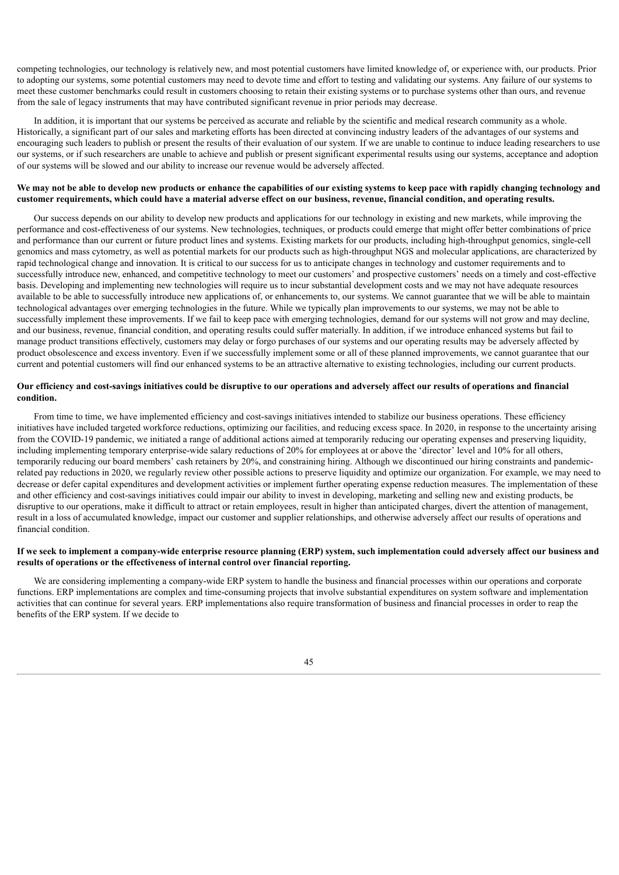competing technologies, our technology is relatively new, and most potential customers have limited knowledge of, or experience with, our products. Prior to adopting our systems, some potential customers may need to devote time and effort to testing and validating our systems. Any failure of our systems to meet these customer benchmarks could result in customers choosing to retain their existing systems or to purchase systems other than ours, and revenue from the sale of legacy instruments that may have contributed significant revenue in prior periods may decrease.

In addition, it is important that our systems be perceived as accurate and reliable by the scientific and medical research community as a whole. Historically, a significant part of our sales and marketing efforts has been directed at convincing industry leaders of the advantages of our systems and encouraging such leaders to publish or present the results of their evaluation of our system. If we are unable to continue to induce leading researchers to use our systems, or if such researchers are unable to achieve and publish or present significant experimental results using our systems, acceptance and adoption of our systems will be slowed and our ability to increase our revenue would be adversely affected.

# We may not be able to develop new products or enhance the capabilities of our existing systems to keep pace with rapidly changing technology and customer requirements, which could have a material adverse effect on our business, revenue, financial condition, and operating results.

Our success depends on our ability to develop new products and applications for our technology in existing and new markets, while improving the performance and cost-effectiveness of our systems. New technologies, techniques, or products could emerge that might offer better combinations of price and performance than our current or future product lines and systems. Existing markets for our products, including high-throughput genomics, single-cell genomics and mass cytometry, as well as potential markets for our products such as high-throughput NGS and molecular applications, are characterized by rapid technological change and innovation. It is critical to our success for us to anticipate changes in technology and customer requirements and to successfully introduce new, enhanced, and competitive technology to meet our customers' and prospective customers' needs on a timely and cost-effective basis. Developing and implementing new technologies will require us to incur substantial development costs and we may not have adequate resources available to be able to successfully introduce new applications of, or enhancements to, our systems. We cannot guarantee that we will be able to maintain technological advantages over emerging technologies in the future. While we typically plan improvements to our systems, we may not be able to successfully implement these improvements. If we fail to keep pace with emerging technologies, demand for our systems will not grow and may decline, and our business, revenue, financial condition, and operating results could suffer materially. In addition, if we introduce enhanced systems but fail to manage product transitions effectively, customers may delay or forgo purchases of our systems and our operating results may be adversely affected by product obsolescence and excess inventory. Even if we successfully implement some or all of these planned improvements, we cannot guarantee that our current and potential customers will find our enhanced systems to be an attractive alternative to existing technologies, including our current products.

## Our efficiency and cost-savings initiatives could be disruptive to our operations and adversely affect our results of operations and financial **condition.**

From time to time, we have implemented efficiency and cost-savings initiatives intended to stabilize our business operations. These efficiency initiatives have included targeted workforce reductions, optimizing our facilities, and reducing excess space. In 2020, in response to the uncertainty arising from the COVID-19 pandemic, we initiated a range of additional actions aimed at temporarily reducing our operating expenses and preserving liquidity, including implementing temporary enterprise-wide salary reductions of 20% for employees at or above the 'director' level and 10% for all others, temporarily reducing our board members' cash retainers by 20%, and constraining hiring. Although we discontinued our hiring constraints and pandemicrelated pay reductions in 2020, we regularly review other possible actions to preserve liquidity and optimize our organization. For example, we may need to decrease or defer capital expenditures and development activities or implement further operating expense reduction measures. The implementation of these and other efficiency and cost-savings initiatives could impair our ability to invest in developing, marketing and selling new and existing products, be disruptive to our operations, make it difficult to attract or retain employees, result in higher than anticipated charges, divert the attention of management, result in a loss of accumulated knowledge, impact our customer and supplier relationships, and otherwise adversely affect our results of operations and financial condition.

## If we seek to implement a company-wide enterprise resource planning (ERP) system, such implementation could adversely affect our business and **results of operations or the effectiveness of internal control over financial reporting.**

We are considering implementing a company-wide ERP system to handle the business and financial processes within our operations and corporate functions. ERP implementations are complex and time-consuming projects that involve substantial expenditures on system software and implementation activities that can continue for several years. ERP implementations also require transformation of business and financial processes in order to reap the benefits of the ERP system. If we decide to

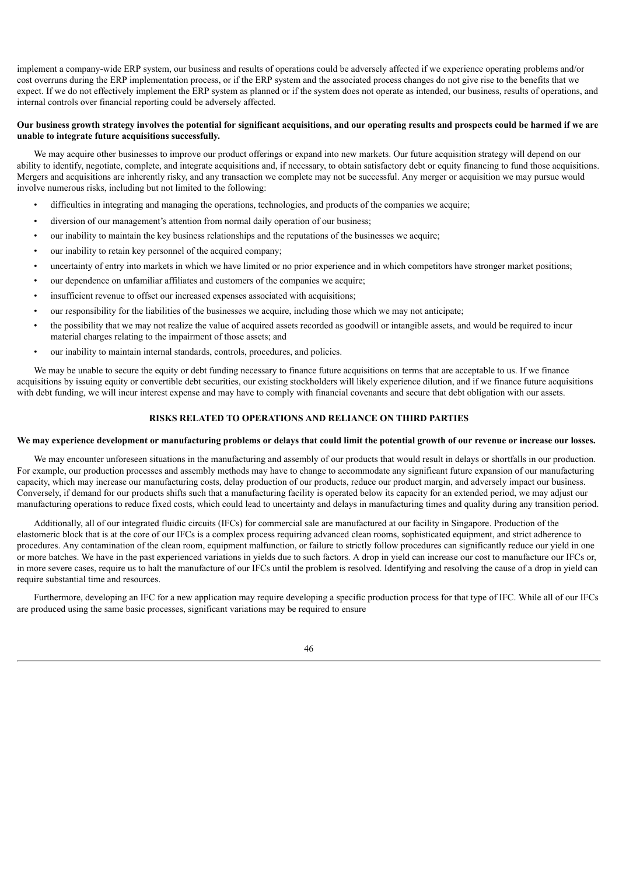implement a company-wide ERP system, our business and results of operations could be adversely affected if we experience operating problems and/or cost overruns during the ERP implementation process, or if the ERP system and the associated process changes do not give rise to the benefits that we expect. If we do not effectively implement the ERP system as planned or if the system does not operate as intended, our business, results of operations, and internal controls over financial reporting could be adversely affected.

## Our business growth strategy involves the potential for significant acquisitions, and our operating results and prospects could be harmed if we are **unable to integrate future acquisitions successfully.**

We may acquire other businesses to improve our product offerings or expand into new markets. Our future acquisition strategy will depend on our ability to identify, negotiate, complete, and integrate acquisitions and, if necessary, to obtain satisfactory debt or equity financing to fund those acquisitions. Mergers and acquisitions are inherently risky, and any transaction we complete may not be successful. Any merger or acquisition we may pursue would involve numerous risks, including but not limited to the following:

- difficulties in integrating and managing the operations, technologies, and products of the companies we acquire;
- diversion of our management's attention from normal daily operation of our business;
- our inability to maintain the key business relationships and the reputations of the businesses we acquire;
- our inability to retain key personnel of the acquired company;
- uncertainty of entry into markets in which we have limited or no prior experience and in which competitors have stronger market positions;
- our dependence on unfamiliar affiliates and customers of the companies we acquire;
- insufficient revenue to offset our increased expenses associated with acquisitions;
- our responsibility for the liabilities of the businesses we acquire, including those which we may not anticipate;
- the possibility that we may not realize the value of acquired assets recorded as goodwill or intangible assets, and would be required to incur material charges relating to the impairment of those assets; and
- our inability to maintain internal standards, controls, procedures, and policies.

We may be unable to secure the equity or debt funding necessary to finance future acquisitions on terms that are acceptable to us. If we finance acquisitions by issuing equity or convertible debt securities, our existing stockholders will likely experience dilution, and if we finance future acquisitions with debt funding, we will incur interest expense and may have to comply with financial covenants and secure that debt obligation with our assets.

# **RISKS RELATED TO OPERATIONS AND RELIANCE ON THIRD PARTIES**

#### We may experience development or manufacturing problems or delays that could limit the potential growth of our revenue or increase our losses.

We may encounter unforeseen situations in the manufacturing and assembly of our products that would result in delays or shortfalls in our production. For example, our production processes and assembly methods may have to change to accommodate any significant future expansion of our manufacturing capacity, which may increase our manufacturing costs, delay production of our products, reduce our product margin, and adversely impact our business. Conversely, if demand for our products shifts such that a manufacturing facility is operated below its capacity for an extended period, we may adjust our manufacturing operations to reduce fixed costs, which could lead to uncertainty and delays in manufacturing times and quality during any transition period.

Additionally, all of our integrated fluidic circuits (IFCs) for commercial sale are manufactured at our facility in Singapore. Production of the elastomeric block that is at the core of our IFCs is a complex process requiring advanced clean rooms, sophisticated equipment, and strict adherence to procedures. Any contamination of the clean room, equipment malfunction, or failure to strictly follow procedures can significantly reduce our yield in one or more batches. We have in the past experienced variations in yields due to such factors. A drop in yield can increase our cost to manufacture our IFCs or, in more severe cases, require us to halt the manufacture of our IFCs until the problem is resolved. Identifying and resolving the cause of a drop in yield can require substantial time and resources.

Furthermore, developing an IFC for a new application may require developing a specific production process for that type of IFC. While all of our IFCs are produced using the same basic processes, significant variations may be required to ensure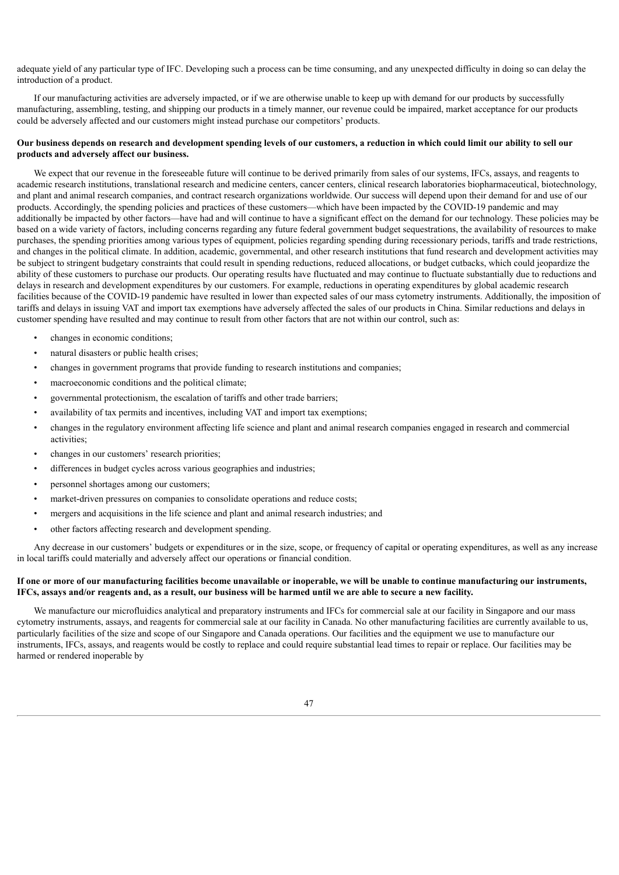adequate yield of any particular type of IFC. Developing such a process can be time consuming, and any unexpected difficulty in doing so can delay the introduction of a product.

If our manufacturing activities are adversely impacted, or if we are otherwise unable to keep up with demand for our products by successfully manufacturing, assembling, testing, and shipping our products in a timely manner, our revenue could be impaired, market acceptance for our products could be adversely affected and our customers might instead purchase our competitors' products.

# Our business depends on research and development spending levels of our customers, a reduction in which could limit our ability to sell our **products and adversely affect our business.**

We expect that our revenue in the foreseeable future will continue to be derived primarily from sales of our systems, IFCs, assays, and reagents to academic research institutions, translational research and medicine centers, cancer centers, clinical research laboratories biopharmaceutical, biotechnology, and plant and animal research companies, and contract research organizations worldwide. Our success will depend upon their demand for and use of our products. Accordingly, the spending policies and practices of these customers—which have been impacted by the COVID-19 pandemic and may additionally be impacted by other factors—have had and will continue to have a significant effect on the demand for our technology. These policies may be based on a wide variety of factors, including concerns regarding any future federal government budget sequestrations, the availability of resources to make purchases, the spending priorities among various types of equipment, policies regarding spending during recessionary periods, tariffs and trade restrictions, and changes in the political climate. In addition, academic, governmental, and other research institutions that fund research and development activities may be subject to stringent budgetary constraints that could result in spending reductions, reduced allocations, or budget cutbacks, which could jeopardize the ability of these customers to purchase our products. Our operating results have fluctuated and may continue to fluctuate substantially due to reductions and delays in research and development expenditures by our customers. For example, reductions in operating expenditures by global academic research facilities because of the COVID-19 pandemic have resulted in lower than expected sales of our mass cytometry instruments. Additionally, the imposition of tariffs and delays in issuing VAT and import tax exemptions have adversely affected the sales of our products in China. Similar reductions and delays in customer spending have resulted and may continue to result from other factors that are not within our control, such as:

- changes in economic conditions;
- natural disasters or public health crises;
- changes in government programs that provide funding to research institutions and companies;
- macroeconomic conditions and the political climate;
- governmental protectionism, the escalation of tariffs and other trade barriers;
- availability of tax permits and incentives, including VAT and import tax exemptions;
- changes in the regulatory environment affecting life science and plant and animal research companies engaged in research and commercial activities;
- changes in our customers' research priorities;
- differences in budget cycles across various geographies and industries;
- personnel shortages among our customers;
- market-driven pressures on companies to consolidate operations and reduce costs;
- mergers and acquisitions in the life science and plant and animal research industries; and
- other factors affecting research and development spending.

Any decrease in our customers' budgets or expenditures or in the size, scope, or frequency of capital or operating expenditures, as well as any increase in local tariffs could materially and adversely affect our operations or financial condition.

# If one or more of our manufacturing facilities become unavailable or inoperable, we will be unable to continue manufacturing our instruments, IFCs, assays and/or reagents and, as a result, our business will be harmed until we are able to secure a new facility.

We manufacture our microfluidics analytical and preparatory instruments and IFCs for commercial sale at our facility in Singapore and our mass cytometry instruments, assays, and reagents for commercial sale at our facility in Canada. No other manufacturing facilities are currently available to us, particularly facilities of the size and scope of our Singapore and Canada operations. Our facilities and the equipment we use to manufacture our instruments, IFCs, assays, and reagents would be costly to replace and could require substantial lead times to repair or replace. Our facilities may be harmed or rendered inoperable by

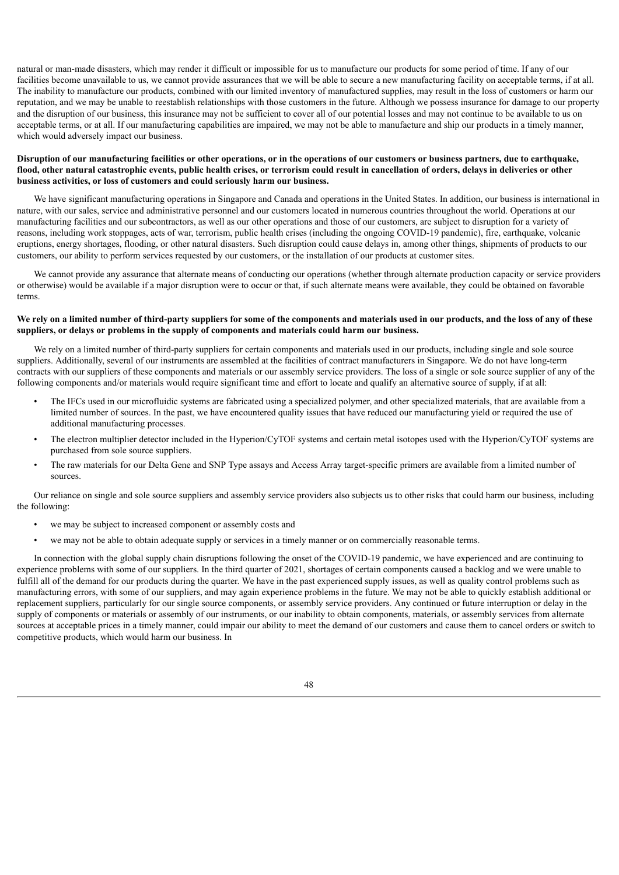natural or man-made disasters, which may render it difficult or impossible for us to manufacture our products for some period of time. If any of our facilities become unavailable to us, we cannot provide assurances that we will be able to secure a new manufacturing facility on acceptable terms, if at all. The inability to manufacture our products, combined with our limited inventory of manufactured supplies, may result in the loss of customers or harm our reputation, and we may be unable to reestablish relationships with those customers in the future. Although we possess insurance for damage to our property and the disruption of our business, this insurance may not be sufficient to cover all of our potential losses and may not continue to be available to us on acceptable terms, or at all. If our manufacturing capabilities are impaired, we may not be able to manufacture and ship our products in a timely manner, which would adversely impact our business.

## Disruption of our manufacturing facilities or other operations, or in the operations of our customers or business partners, due to earthquake, flood, other natural catastrophic events, public health crises, or terrorism could result in cancellation of orders, delays in deliveries or other **business activities, or loss of customers and could seriously harm our business.**

We have significant manufacturing operations in Singapore and Canada and operations in the United States. In addition, our business is international in nature, with our sales, service and administrative personnel and our customers located in numerous countries throughout the world. Operations at our manufacturing facilities and our subcontractors, as well as our other operations and those of our customers, are subject to disruption for a variety of reasons, including work stoppages, acts of war, terrorism, public health crises (including the ongoing COVID-19 pandemic), fire, earthquake, volcanic eruptions, energy shortages, flooding, or other natural disasters. Such disruption could cause delays in, among other things, shipments of products to our customers, our ability to perform services requested by our customers, or the installation of our products at customer sites.

We cannot provide any assurance that alternate means of conducting our operations (whether through alternate production capacity or service providers or otherwise) would be available if a major disruption were to occur or that, if such alternate means were available, they could be obtained on favorable terms.

## We rely on a limited number of third-party suppliers for some of the components and materials used in our products, and the loss of any of these **suppliers, or delays or problems in the supply of components and materials could harm our business.**

We rely on a limited number of third-party suppliers for certain components and materials used in our products, including single and sole source suppliers. Additionally, several of our instruments are assembled at the facilities of contract manufacturers in Singapore. We do not have long-term contracts with our suppliers of these components and materials or our assembly service providers. The loss of a single or sole source supplier of any of the following components and/or materials would require significant time and effort to locate and qualify an alternative source of supply, if at all:

- The IFCs used in our microfluidic systems are fabricated using a specialized polymer, and other specialized materials, that are available from a limited number of sources. In the past, we have encountered quality issues that have reduced our manufacturing yield or required the use of additional manufacturing processes.
- The electron multiplier detector included in the Hyperion/CyTOF systems and certain metal isotopes used with the Hyperion/CyTOF systems are purchased from sole source suppliers.
- The raw materials for our Delta Gene and SNP Type assays and Access Array target-specific primers are available from a limited number of sources.

Our reliance on single and sole source suppliers and assembly service providers also subjects us to other risks that could harm our business, including the following:

- we may be subject to increased component or assembly costs and
- we may not be able to obtain adequate supply or services in a timely manner or on commercially reasonable terms.

In connection with the global supply chain disruptions following the onset of the COVID-19 pandemic, we have experienced and are continuing to experience problems with some of our suppliers. In the third quarter of 2021, shortages of certain components caused a backlog and we were unable to fulfill all of the demand for our products during the quarter. We have in the past experienced supply issues, as well as quality control problems such as manufacturing errors, with some of our suppliers, and may again experience problems in the future. We may not be able to quickly establish additional or replacement suppliers, particularly for our single source components, or assembly service providers. Any continued or future interruption or delay in the supply of components or materials or assembly of our instruments, or our inability to obtain components, materials, or assembly services from alternate sources at acceptable prices in a timely manner, could impair our ability to meet the demand of our customers and cause them to cancel orders or switch to competitive products, which would harm our business. In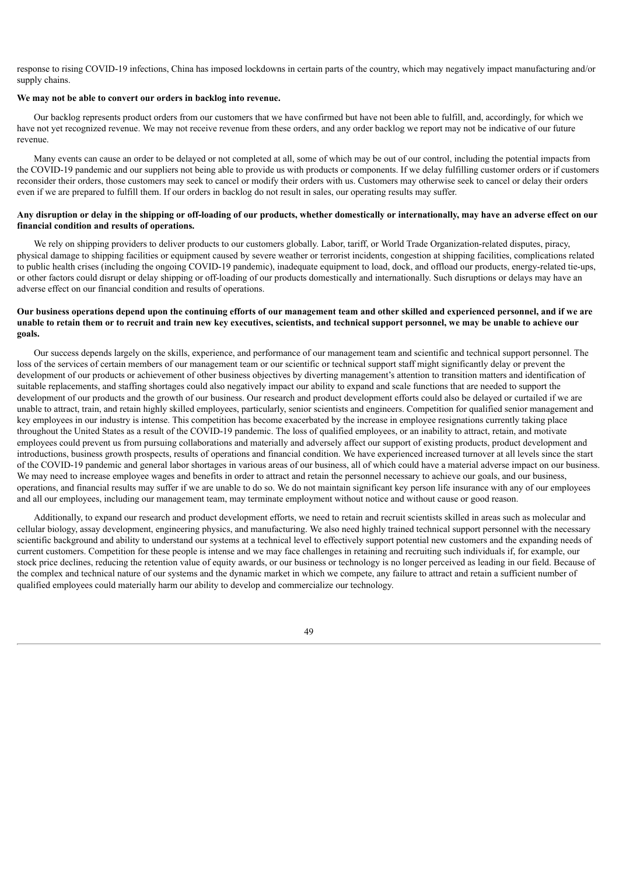response to rising COVID-19 infections, China has imposed lockdowns in certain parts of the country, which may negatively impact manufacturing and/or supply chains.

## **We may not be able to convert our orders in backlog into revenue.**

Our backlog represents product orders from our customers that we have confirmed but have not been able to fulfill, and, accordingly, for which we have not yet recognized revenue. We may not receive revenue from these orders, and any order backlog we report may not be indicative of our future revenue.

Many events can cause an order to be delayed or not completed at all, some of which may be out of our control, including the potential impacts from the COVID-19 pandemic and our suppliers not being able to provide us with products or components. If we delay fulfilling customer orders or if customers reconsider their orders, those customers may seek to cancel or modify their orders with us. Customers may otherwise seek to cancel or delay their orders even if we are prepared to fulfill them. If our orders in backlog do not result in sales, our operating results may suffer.

## Any disruption or delay in the shipping or off-loading of our products, whether domestically or internationally, may have an adverse effect on our **financial condition and results of operations.**

We rely on shipping providers to deliver products to our customers globally. Labor, tariff, or World Trade Organization-related disputes, piracy, physical damage to shipping facilities or equipment caused by severe weather or terrorist incidents, congestion at shipping facilities, complications related to public health crises (including the ongoing COVID-19 pandemic), inadequate equipment to load, dock, and offload our products, energy-related tie-ups, or other factors could disrupt or delay shipping or off-loading of our products domestically and internationally. Such disruptions or delays may have an adverse effect on our financial condition and results of operations.

## Our business operations depend upon the continuing efforts of our management team and other skilled and experienced personnel, and if we are unable to retain them or to recruit and train new key executives, scientists, and technical support personnel, we may be unable to achieve our **goals.**

Our success depends largely on the skills, experience, and performance of our management team and scientific and technical support personnel. The loss of the services of certain members of our management team or our scientific or technical support staff might significantly delay or prevent the development of our products or achievement of other business objectives by diverting management's attention to transition matters and identification of suitable replacements, and staffing shortages could also negatively impact our ability to expand and scale functions that are needed to support the development of our products and the growth of our business. Our research and product development efforts could also be delayed or curtailed if we are unable to attract, train, and retain highly skilled employees, particularly, senior scientists and engineers. Competition for qualified senior management and key employees in our industry is intense. This competition has become exacerbated by the increase in employee resignations currently taking place throughout the United States as a result of the COVID-19 pandemic. The loss of qualified employees, or an inability to attract, retain, and motivate employees could prevent us from pursuing collaborations and materially and adversely affect our support of existing products, product development and introductions, business growth prospects, results of operations and financial condition. We have experienced increased turnover at all levels since the start of the COVID-19 pandemic and general labor shortages in various areas of our business, all of which could have a material adverse impact on our business. We may need to increase employee wages and benefits in order to attract and retain the personnel necessary to achieve our goals, and our business, operations, and financial results may suffer if we are unable to do so. We do not maintain significant key person life insurance with any of our employees and all our employees, including our management team, may terminate employment without notice and without cause or good reason.

Additionally, to expand our research and product development efforts, we need to retain and recruit scientists skilled in areas such as molecular and cellular biology, assay development, engineering physics, and manufacturing. We also need highly trained technical support personnel with the necessary scientific background and ability to understand our systems at a technical level to effectively support potential new customers and the expanding needs of current customers. Competition for these people is intense and we may face challenges in retaining and recruiting such individuals if, for example, our stock price declines, reducing the retention value of equity awards, or our business or technology is no longer perceived as leading in our field. Because of the complex and technical nature of our systems and the dynamic market in which we compete, any failure to attract and retain a sufficient number of qualified employees could materially harm our ability to develop and commercialize our technology.

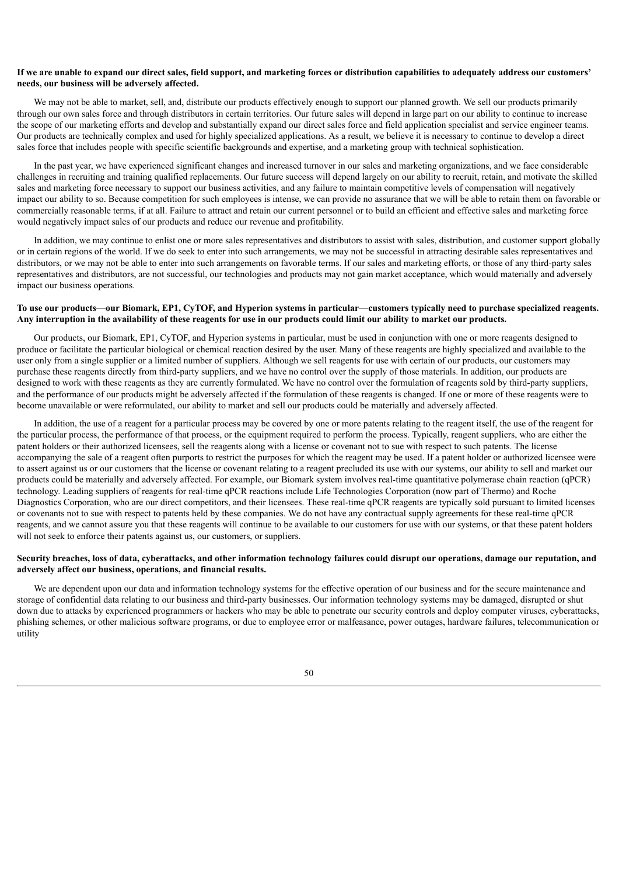## If we are unable to expand our direct sales, field support, and marketing forces or distribution capabilities to adequately address our customers' **needs, our business will be adversely affected.**

We may not be able to market, sell, and, distribute our products effectively enough to support our planned growth. We sell our products primarily through our own sales force and through distributors in certain territories. Our future sales will depend in large part on our ability to continue to increase the scope of our marketing efforts and develop and substantially expand our direct sales force and field application specialist and service engineer teams. Our products are technically complex and used for highly specialized applications. As a result, we believe it is necessary to continue to develop a direct sales force that includes people with specific scientific backgrounds and expertise, and a marketing group with technical sophistication.

In the past year, we have experienced significant changes and increased turnover in our sales and marketing organizations, and we face considerable challenges in recruiting and training qualified replacements. Our future success will depend largely on our ability to recruit, retain, and motivate the skilled sales and marketing force necessary to support our business activities, and any failure to maintain competitive levels of compensation will negatively impact our ability to so. Because competition for such employees is intense, we can provide no assurance that we will be able to retain them on favorable or commercially reasonable terms, if at all. Failure to attract and retain our current personnel or to build an efficient and effective sales and marketing force would negatively impact sales of our products and reduce our revenue and profitability.

In addition, we may continue to enlist one or more sales representatives and distributors to assist with sales, distribution, and customer support globally or in certain regions of the world. If we do seek to enter into such arrangements, we may not be successful in attracting desirable sales representatives and distributors, or we may not be able to enter into such arrangements on favorable terms. If our sales and marketing efforts, or those of any third-party sales representatives and distributors, are not successful, our technologies and products may not gain market acceptance, which would materially and adversely impact our business operations.

## To use our products—our Biomark, EP1, CyTOF, and Hyperion systems in particular—customers typically need to purchase specialized reagents. Any interruption in the availability of these reagents for use in our products could limit our ability to market our products.

Our products, our Biomark, EP1, CyTOF, and Hyperion systems in particular, must be used in conjunction with one or more reagents designed to produce or facilitate the particular biological or chemical reaction desired by the user. Many of these reagents are highly specialized and available to the user only from a single supplier or a limited number of suppliers. Although we sell reagents for use with certain of our products, our customers may purchase these reagents directly from third-party suppliers, and we have no control over the supply of those materials. In addition, our products are designed to work with these reagents as they are currently formulated. We have no control over the formulation of reagents sold by third-party suppliers, and the performance of our products might be adversely affected if the formulation of these reagents is changed. If one or more of these reagents were to become unavailable or were reformulated, our ability to market and sell our products could be materially and adversely affected.

In addition, the use of a reagent for a particular process may be covered by one or more patents relating to the reagent itself, the use of the reagent for the particular process, the performance of that process, or the equipment required to perform the process. Typically, reagent suppliers, who are either the patent holders or their authorized licensees, sell the reagents along with a license or covenant not to sue with respect to such patents. The license accompanying the sale of a reagent often purports to restrict the purposes for which the reagent may be used. If a patent holder or authorized licensee were to assert against us or our customers that the license or covenant relating to a reagent precluded its use with our systems, our ability to sell and market our products could be materially and adversely affected. For example, our Biomark system involves real-time quantitative polymerase chain reaction (qPCR) technology. Leading suppliers of reagents for real-time qPCR reactions include Life Technologies Corporation (now part of Thermo) and Roche Diagnostics Corporation, who are our direct competitors, and their licensees. These real-time qPCR reagents are typically sold pursuant to limited licenses or covenants not to sue with respect to patents held by these companies. We do not have any contractual supply agreements for these real-time qPCR reagents, and we cannot assure you that these reagents will continue to be available to our customers for use with our systems, or that these patent holders will not seek to enforce their patents against us, our customers, or suppliers.

## Security breaches, loss of data, cyberattacks, and other information technology failures could disrupt our operations, damage our reputation, and **adversely affect our business, operations, and financial results.**

We are dependent upon our data and information technology systems for the effective operation of our business and for the secure maintenance and storage of confidential data relating to our business and third-party businesses. Our information technology systems may be damaged, disrupted or shut down due to attacks by experienced programmers or hackers who may be able to penetrate our security controls and deploy computer viruses, cyberattacks, phishing schemes, or other malicious software programs, or due to employee error or malfeasance, power outages, hardware failures, telecommunication or utility

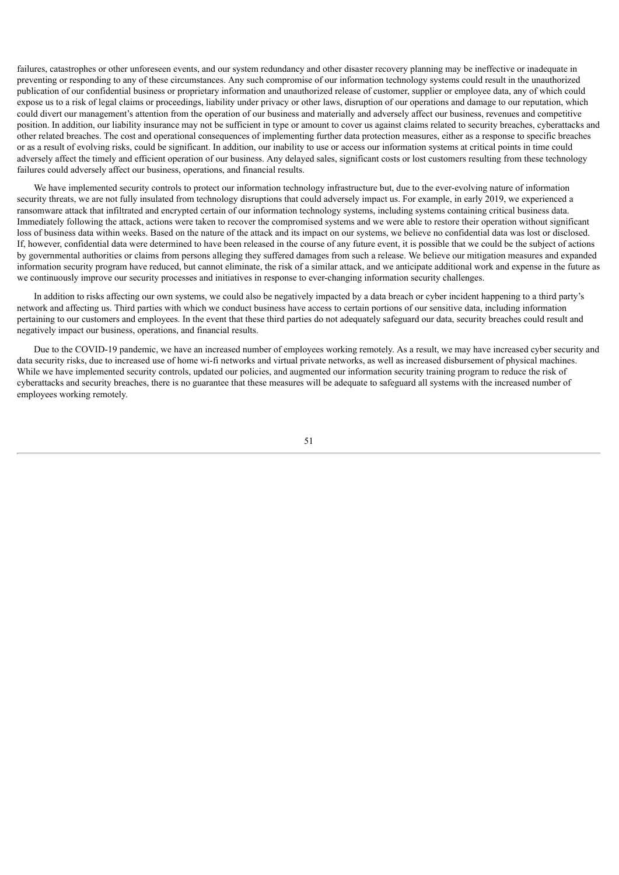failures, catastrophes or other unforeseen events, and our system redundancy and other disaster recovery planning may be ineffective or inadequate in preventing or responding to any of these circumstances. Any such compromise of our information technology systems could result in the unauthorized publication of our confidential business or proprietary information and unauthorized release of customer, supplier or employee data, any of which could expose us to a risk of legal claims or proceedings, liability under privacy or other laws, disruption of our operations and damage to our reputation, which could divert our management's attention from the operation of our business and materially and adversely affect our business, revenues and competitive position. In addition, our liability insurance may not be sufficient in type or amount to cover us against claims related to security breaches, cyberattacks and other related breaches. The cost and operational consequences of implementing further data protection measures, either as a response to specific breaches or as a result of evolving risks, could be significant. In addition, our inability to use or access our information systems at critical points in time could adversely affect the timely and efficient operation of our business. Any delayed sales, significant costs or lost customers resulting from these technology failures could adversely affect our business, operations, and financial results.

We have implemented security controls to protect our information technology infrastructure but, due to the ever-evolving nature of information security threats, we are not fully insulated from technology disruptions that could adversely impact us. For example, in early 2019, we experienced a ransomware attack that infiltrated and encrypted certain of our information technology systems, including systems containing critical business data. Immediately following the attack, actions were taken to recover the compromised systems and we were able to restore their operation without significant loss of business data within weeks. Based on the nature of the attack and its impact on our systems, we believe no confidential data was lost or disclosed. If, however, confidential data were determined to have been released in the course of any future event, it is possible that we could be the subject of actions by governmental authorities or claims from persons alleging they suffered damages from such a release. We believe our mitigation measures and expanded information security program have reduced, but cannot eliminate, the risk of a similar attack, and we anticipate additional work and expense in the future as we continuously improve our security processes and initiatives in response to ever-changing information security challenges.

In addition to risks affecting our own systems, we could also be negatively impacted by a data breach or cyber incident happening to a third party's network and affecting us. Third parties with which we conduct business have access to certain portions of our sensitive data, including information pertaining to our customers and employees. In the event that these third parties do not adequately safeguard our data, security breaches could result and negatively impact our business, operations, and financial results.

Due to the COVID-19 pandemic, we have an increased number of employees working remotely. As a result, we may have increased cyber security and data security risks, due to increased use of home wi-fi networks and virtual private networks, as well as increased disbursement of physical machines. While we have implemented security controls, updated our policies, and augmented our information security training program to reduce the risk of cyberattacks and security breaches, there is no guarantee that these measures will be adequate to safeguard all systems with the increased number of employees working remotely.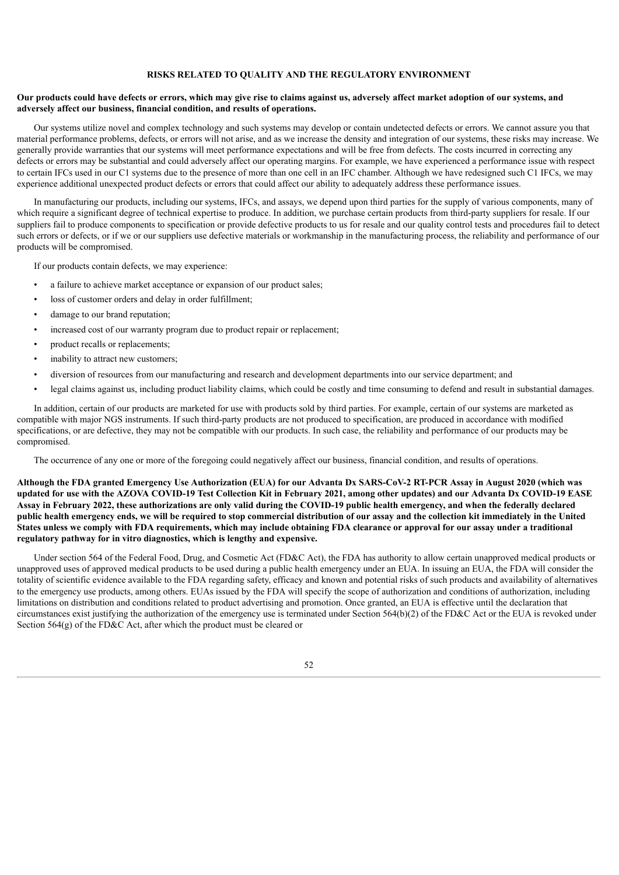# **RISKS RELATED TO QUALITY AND THE REGULATORY ENVIRONMENT**

### Our products could have defects or errors, which may give rise to claims against us, adversely affect market adoption of our systems, and **adversely affect our business, financial condition, and results of operations.**

Our systems utilize novel and complex technology and such systems may develop or contain undetected defects or errors. We cannot assure you that material performance problems, defects, or errors will not arise, and as we increase the density and integration of our systems, these risks may increase. We generally provide warranties that our systems will meet performance expectations and will be free from defects. The costs incurred in correcting any defects or errors may be substantial and could adversely affect our operating margins. For example, we have experienced a performance issue with respect to certain IFCs used in our C1 systems due to the presence of more than one cell in an IFC chamber. Although we have redesigned such C1 IFCs, we may experience additional unexpected product defects or errors that could affect our ability to adequately address these performance issues.

In manufacturing our products, including our systems, IFCs, and assays, we depend upon third parties for the supply of various components, many of which require a significant degree of technical expertise to produce. In addition, we purchase certain products from third-party suppliers for resale. If our suppliers fail to produce components to specification or provide defective products to us for resale and our quality control tests and procedures fail to detect such errors or defects, or if we or our suppliers use defective materials or workmanship in the manufacturing process, the reliability and performance of our products will be compromised.

If our products contain defects, we may experience:

- a failure to achieve market acceptance or expansion of our product sales;
- loss of customer orders and delay in order fulfillment;
- damage to our brand reputation:
- increased cost of our warranty program due to product repair or replacement;
- product recalls or replacements;
- inability to attract new customers;
- diversion of resources from our manufacturing and research and development departments into our service department; and
- legal claims against us, including product liability claims, which could be costly and time consuming to defend and result in substantial damages.

In addition, certain of our products are marketed for use with products sold by third parties. For example, certain of our systems are marketed as compatible with major NGS instruments. If such third-party products are not produced to specification, are produced in accordance with modified specifications, or are defective, they may not be compatible with our products. In such case, the reliability and performance of our products may be compromised.

The occurrence of any one or more of the foregoing could negatively affect our business, financial condition, and results of operations.

Although the FDA granted Emergency Use Authorization (EUA) for our Advanta Dx SARS-CoV-2 RT-PCR Assay in August 2020 (which was updated for use with the AZOVA COVID-19 Test Collection Kit in February 2021, among other updates) and our Advanta Dx COVID-19 EASE Assay in February 2022, these authorizations are only valid during the COVID-19 public health emergency, and when the federally declared public health emergency ends, we will be required to stop commercial distribution of our assay and the collection kit immediately in the United States unless we comply with FDA requirements, which may include obtaining FDA clearance or approval for our assay under a traditional **regulatory pathway for in vitro diagnostics, which is lengthy and expensive.**

Under section 564 of the Federal Food, Drug, and Cosmetic Act (FD&C Act), the FDA has authority to allow certain unapproved medical products or unapproved uses of approved medical products to be used during a public health emergency under an EUA. In issuing an EUA, the FDA will consider the totality of scientific evidence available to the FDA regarding safety, efficacy and known and potential risks of such products and availability of alternatives to the emergency use products, among others. EUAs issued by the FDA will specify the scope of authorization and conditions of authorization, including limitations on distribution and conditions related to product advertising and promotion. Once granted, an EUA is effective until the declaration that circumstances exist justifying the authorization of the emergency use is terminated under Section  $564(b)(2)$  of the FD&C Act or the EUA is revoked under Section 564(g) of the FD&C Act, after which the product must be cleared or

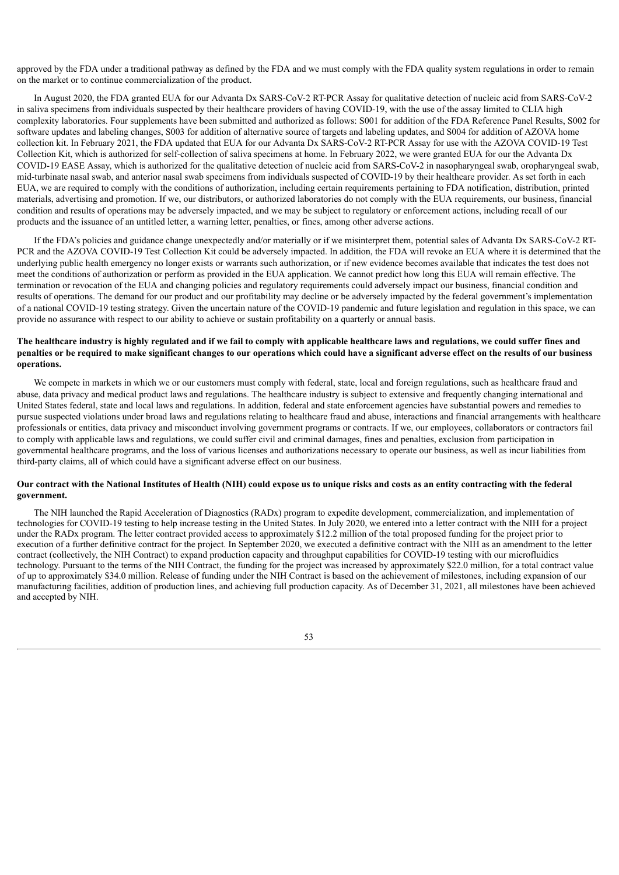approved by the FDA under a traditional pathway as defined by the FDA and we must comply with the FDA quality system regulations in order to remain on the market or to continue commercialization of the product.

In August 2020, the FDA granted EUA for our Advanta Dx SARS-CoV-2 RT-PCR Assay for qualitative detection of nucleic acid from SARS-CoV-2 in saliva specimens from individuals suspected by their healthcare providers of having COVID-19, with the use of the assay limited to CLIA high complexity laboratories. Four supplements have been submitted and authorized as follows: S001 for addition of the FDA Reference Panel Results, S002 for software updates and labeling changes, S003 for addition of alternative source of targets and labeling updates, and S004 for addition of AZOVA home collection kit. In February 2021, the FDA updated that EUA for our Advanta Dx SARS-CoV-2 RT-PCR Assay for use with the AZOVA COVID-19 Test Collection Kit, which is authorized for self-collection of saliva specimens at home. In February 2022, we were granted EUA for our the Advanta Dx COVID-19 EASE Assay, which is authorized for the qualitative detection of nucleic acid from SARS-CoV-2 in nasopharyngeal swab, oropharyngeal swab, mid-turbinate nasal swab, and anterior nasal swab specimens from individuals suspected of COVID-19 by their healthcare provider. As set forth in each EUA, we are required to comply with the conditions of authorization, including certain requirements pertaining to FDA notification, distribution, printed materials, advertising and promotion. If we, our distributors, or authorized laboratories do not comply with the EUA requirements, our business, financial condition and results of operations may be adversely impacted, and we may be subject to regulatory or enforcement actions, including recall of our products and the issuance of an untitled letter, a warning letter, penalties, or fines, among other adverse actions.

If the FDA's policies and guidance change unexpectedly and/or materially or if we misinterpret them, potential sales of Advanta Dx SARS-CoV-2 RT-PCR and the AZOVA COVID-19 Test Collection Kit could be adversely impacted. In addition, the FDA will revoke an EUA where it is determined that the underlying public health emergency no longer exists or warrants such authorization, or if new evidence becomes available that indicates the test does not meet the conditions of authorization or perform as provided in the EUA application. We cannot predict how long this EUA will remain effective. The termination or revocation of the EUA and changing policies and regulatory requirements could adversely impact our business, financial condition and results of operations. The demand for our product and our profitability may decline or be adversely impacted by the federal government's implementation of a national COVID-19 testing strategy. Given the uncertain nature of the COVID-19 pandemic and future legislation and regulation in this space, we can provide no assurance with respect to our ability to achieve or sustain profitability on a quarterly or annual basis.

## The healthcare industry is highly regulated and if we fail to comply with applicable healthcare laws and regulations, we could suffer fines and penalties or be required to make significant changes to our operations which could have a significant adverse effect on the results of our business **operations.**

We compete in markets in which we or our customers must comply with federal, state, local and foreign regulations, such as healthcare fraud and abuse, data privacy and medical product laws and regulations. The healthcare industry is subject to extensive and frequently changing international and United States federal, state and local laws and regulations. In addition, federal and state enforcement agencies have substantial powers and remedies to pursue suspected violations under broad laws and regulations relating to healthcare fraud and abuse, interactions and financial arrangements with healthcare professionals or entities, data privacy and misconduct involving government programs or contracts. If we, our employees, collaborators or contractors fail to comply with applicable laws and regulations, we could suffer civil and criminal damages, fines and penalties, exclusion from participation in governmental healthcare programs, and the loss of various licenses and authorizations necessary to operate our business, as well as incur liabilities from third-party claims, all of which could have a significant adverse effect on our business.

## Our contract with the National Institutes of Health (NIH) could expose us to unique risks and costs as an entity contracting with the federal **government.**

The NIH launched the Rapid Acceleration of Diagnostics (RADx) program to expedite development, commercialization, and implementation of technologies for COVID-19 testing to help increase testing in the United States. In July 2020, we entered into a letter contract with the NIH for a project under the RADx program. The letter contract provided access to approximately \$12.2 million of the total proposed funding for the project prior to execution of a further definitive contract for the project. In September 2020, we executed a definitive contract with the NIH as an amendment to the letter contract (collectively, the NIH Contract) to expand production capacity and throughput capabilities for COVID-19 testing with our microfluidics technology. Pursuant to the terms of the NIH Contract, the funding for the project was increased by approximately \$22.0 million, for a total contract value of up to approximately \$34.0 million. Release of funding under the NIH Contract is based on the achievement of milestones, including expansion of our manufacturing facilities, addition of production lines, and achieving full production capacity. As of December 31, 2021, all milestones have been achieved and accepted by NIH.

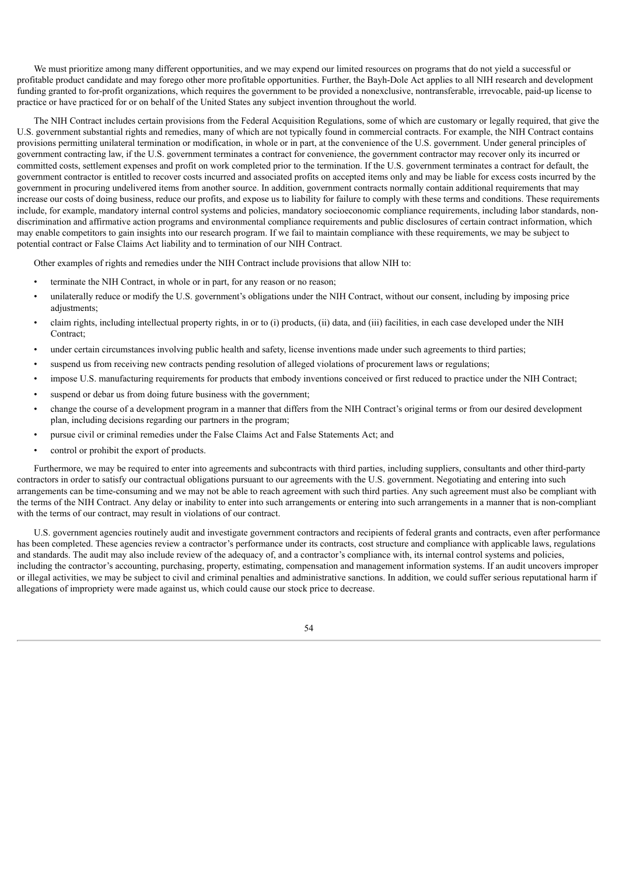We must prioritize among many different opportunities, and we may expend our limited resources on programs that do not yield a successful or profitable product candidate and may forego other more profitable opportunities. Further, the Bayh-Dole Act applies to all NIH research and development funding granted to for-profit organizations, which requires the government to be provided a nonexclusive, nontransferable, irrevocable, paid-up license to practice or have practiced for or on behalf of the United States any subject invention throughout the world.

The NIH Contract includes certain provisions from the Federal Acquisition Regulations, some of which are customary or legally required, that give the U.S. government substantial rights and remedies, many of which are not typically found in commercial contracts. For example, the NIH Contract contains provisions permitting unilateral termination or modification, in whole or in part, at the convenience of the U.S. government. Under general principles of government contracting law, if the U.S. government terminates a contract for convenience, the government contractor may recover only its incurred or committed costs, settlement expenses and profit on work completed prior to the termination. If the U.S. government terminates a contract for default, the government contractor is entitled to recover costs incurred and associated profits on accepted items only and may be liable for excess costs incurred by the government in procuring undelivered items from another source. In addition, government contracts normally contain additional requirements that may increase our costs of doing business, reduce our profits, and expose us to liability for failure to comply with these terms and conditions. These requirements include, for example, mandatory internal control systems and policies, mandatory socioeconomic compliance requirements, including labor standards, nondiscrimination and affirmative action programs and environmental compliance requirements and public disclosures of certain contract information, which may enable competitors to gain insights into our research program. If we fail to maintain compliance with these requirements, we may be subject to potential contract or False Claims Act liability and to termination of our NIH Contract.

Other examples of rights and remedies under the NIH Contract include provisions that allow NIH to:

- terminate the NIH Contract, in whole or in part, for any reason or no reason;
- unilaterally reduce or modify the U.S. government's obligations under the NIH Contract, without our consent, including by imposing price adjustments;
- claim rights, including intellectual property rights, in or to (i) products, (ii) data, and (iii) facilities, in each case developed under the NIH Contract;
- under certain circumstances involving public health and safety, license inventions made under such agreements to third parties;
- suspend us from receiving new contracts pending resolution of alleged violations of procurement laws or regulations;
- impose U.S. manufacturing requirements for products that embody inventions conceived or first reduced to practice under the NIH Contract;
- suspend or debar us from doing future business with the government;
- change the course of a development program in a manner that differs from the NIH Contract's original terms or from our desired development plan, including decisions regarding our partners in the program;
- pursue civil or criminal remedies under the False Claims Act and False Statements Act; and
- control or prohibit the export of products.

Furthermore, we may be required to enter into agreements and subcontracts with third parties, including suppliers, consultants and other third-party contractors in order to satisfy our contractual obligations pursuant to our agreements with the U.S. government. Negotiating and entering into such arrangements can be time-consuming and we may not be able to reach agreement with such third parties. Any such agreement must also be compliant with the terms of the NIH Contract. Any delay or inability to enter into such arrangements or entering into such arrangements in a manner that is non-compliant with the terms of our contract, may result in violations of our contract.

U.S. government agencies routinely audit and investigate government contractors and recipients of federal grants and contracts, even after performance has been completed. These agencies review a contractor's performance under its contracts, cost structure and compliance with applicable laws, regulations and standards. The audit may also include review of the adequacy of, and a contractor's compliance with, its internal control systems and policies, including the contractor's accounting, purchasing, property, estimating, compensation and management information systems. If an audit uncovers improper or illegal activities, we may be subject to civil and criminal penalties and administrative sanctions. In addition, we could suffer serious reputational harm if allegations of impropriety were made against us, which could cause our stock price to decrease.

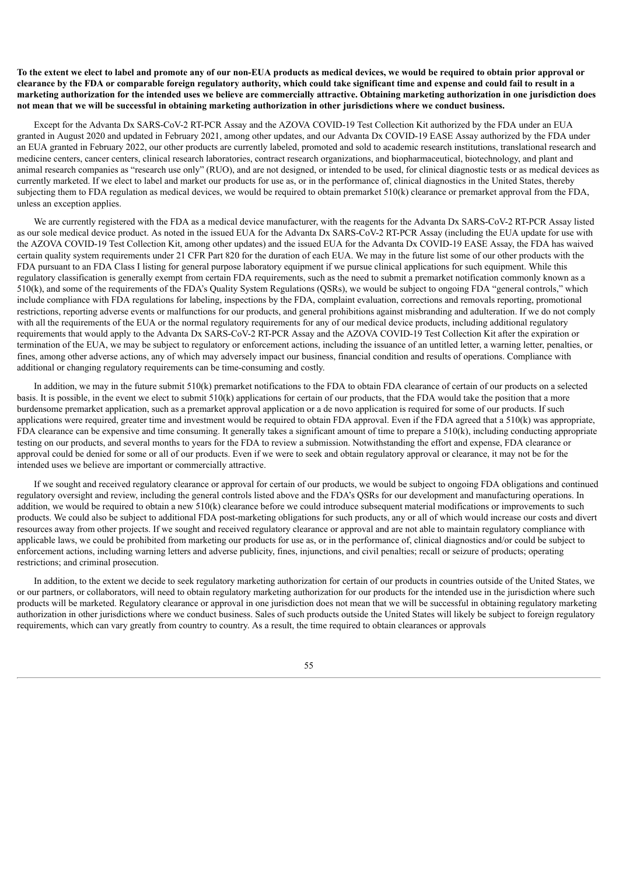To the extent we elect to label and promote any of our non-EUA products as medical devices, we would be required to obtain prior approval or clearance by the FDA or comparable foreign regulatory authority, which could take significant time and expense and could fail to result in a marketing authorization for the intended uses we believe are commercially attractive. Obtaining marketing authorization in one jurisdiction does not mean that we will be successful in obtaining marketing authorization in other jurisdictions where we conduct business.

Except for the Advanta Dx SARS-CoV-2 RT-PCR Assay and the AZOVA COVID-19 Test Collection Kit authorized by the FDA under an EUA granted in August 2020 and updated in February 2021, among other updates, and our Advanta Dx COVID-19 EASE Assay authorized by the FDA under an EUA granted in February 2022, our other products are currently labeled, promoted and sold to academic research institutions, translational research and medicine centers, cancer centers, clinical research laboratories, contract research organizations, and biopharmaceutical, biotechnology, and plant and animal research companies as "research use only" (RUO), and are not designed, or intended to be used, for clinical diagnostic tests or as medical devices as currently marketed. If we elect to label and market our products for use as, or in the performance of, clinical diagnostics in the United States, thereby subjecting them to FDA regulation as medical devices, we would be required to obtain premarket 510(k) clearance or premarket approval from the FDA, unless an exception applies.

We are currently registered with the FDA as a medical device manufacturer, with the reagents for the Advanta Dx SARS-CoV-2 RT-PCR Assay listed as our sole medical device product. As noted in the issued EUA for the Advanta Dx SARS-CoV-2 RT-PCR Assay (including the EUA update for use with the AZOVA COVID-19 Test Collection Kit, among other updates) and the issued EUA for the Advanta Dx COVID-19 EASE Assay, the FDA has waived certain quality system requirements under 21 CFR Part 820 for the duration of each EUA. We may in the future list some of our other products with the FDA pursuant to an FDA Class I listing for general purpose laboratory equipment if we pursue clinical applications for such equipment. While this regulatory classification is generally exempt from certain FDA requirements, such as the need to submit a premarket notification commonly known as a 510(k), and some of the requirements of the FDA's Quality System Regulations (QSRs), we would be subject to ongoing FDA "general controls," which include compliance with FDA regulations for labeling, inspections by the FDA, complaint evaluation, corrections and removals reporting, promotional restrictions, reporting adverse events or malfunctions for our products, and general prohibitions against misbranding and adulteration. If we do not comply with all the requirements of the EUA or the normal regulatory requirements for any of our medical device products, including additional regulatory requirements that would apply to the Advanta Dx SARS-CoV-2 RT-PCR Assay and the AZOVA COVID-19 Test Collection Kit after the expiration or termination of the EUA, we may be subject to regulatory or enforcement actions, including the issuance of an untitled letter, a warning letter, penalties, or fines, among other adverse actions, any of which may adversely impact our business, financial condition and results of operations. Compliance with additional or changing regulatory requirements can be time-consuming and costly.

In addition, we may in the future submit 510(k) premarket notifications to the FDA to obtain FDA clearance of certain of our products on a selected basis. It is possible, in the event we elect to submit 510(k) applications for certain of our products, that the FDA would take the position that a more burdensome premarket application, such as a premarket approval application or a de novo application is required for some of our products. If such applications were required, greater time and investment would be required to obtain FDA approval. Even if the FDA agreed that a 510(k) was appropriate, FDA clearance can be expensive and time consuming. It generally takes a significant amount of time to prepare a  $510(k)$ , including conducting appropriate testing on our products, and several months to years for the FDA to review a submission. Notwithstanding the effort and expense, FDA clearance or approval could be denied for some or all of our products. Even if we were to seek and obtain regulatory approval or clearance, it may not be for the intended uses we believe are important or commercially attractive.

If we sought and received regulatory clearance or approval for certain of our products, we would be subject to ongoing FDA obligations and continued regulatory oversight and review, including the general controls listed above and the FDA's QSRs for our development and manufacturing operations. In addition, we would be required to obtain a new 510(k) clearance before we could introduce subsequent material modifications or improvements to such products. We could also be subject to additional FDA post-marketing obligations for such products, any or all of which would increase our costs and divert resources away from other projects. If we sought and received regulatory clearance or approval and are not able to maintain regulatory compliance with applicable laws, we could be prohibited from marketing our products for use as, or in the performance of, clinical diagnostics and/or could be subject to enforcement actions, including warning letters and adverse publicity, fines, injunctions, and civil penalties; recall or seizure of products; operating restrictions; and criminal prosecution.

In addition, to the extent we decide to seek regulatory marketing authorization for certain of our products in countries outside of the United States, we or our partners, or collaborators, will need to obtain regulatory marketing authorization for our products for the intended use in the jurisdiction where such products will be marketed. Regulatory clearance or approval in one jurisdiction does not mean that we will be successful in obtaining regulatory marketing authorization in other jurisdictions where we conduct business. Sales of such products outside the United States will likely be subject to foreign regulatory requirements, which can vary greatly from country to country. As a result, the time required to obtain clearances or approvals

55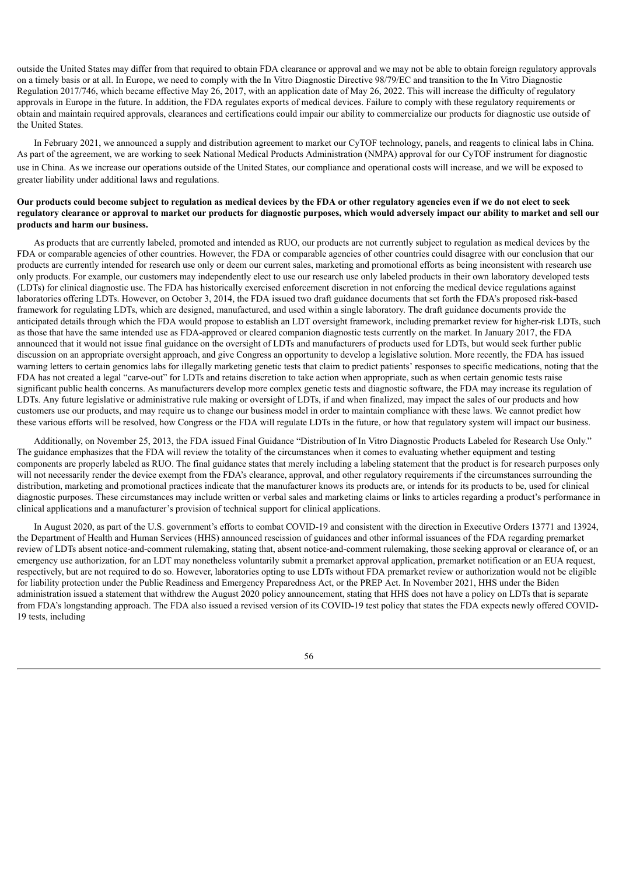outside the United States may differ from that required to obtain FDA clearance or approval and we may not be able to obtain foreign regulatory approvals on a timely basis or at all. In Europe, we need to comply with the In Vitro Diagnostic Directive 98/79/EC and transition to the In Vitro Diagnostic Regulation 2017/746, which became effective May 26, 2017, with an application date of May 26, 2022. This will increase the difficulty of regulatory approvals in Europe in the future. In addition, the FDA regulates exports of medical devices. Failure to comply with these regulatory requirements or obtain and maintain required approvals, clearances and certifications could impair our ability to commercialize our products for diagnostic use outside of the United States.

In February 2021, we announced a supply and distribution agreement to market our CyTOF technology, panels, and reagents to clinical labs in China. As part of the agreement, we are working to seek National Medical Products Administration (NMPA) approval for our CyTOF instrument for diagnostic use in China. As we increase our operations outside of the United States, our compliance and operational costs will increase, and we will be exposed to greater liability under additional laws and regulations.

## Our products could become subject to regulation as medical devices by the FDA or other regulatory agencies even if we do not elect to seek regulatory clearance or approval to market our products for diagnostic purposes, which would adversely impact our ability to market and sell our **products and harm our business.**

As products that are currently labeled, promoted and intended as RUO, our products are not currently subject to regulation as medical devices by the FDA or comparable agencies of other countries. However, the FDA or comparable agencies of other countries could disagree with our conclusion that our products are currently intended for research use only or deem our current sales, marketing and promotional efforts as being inconsistent with research use only products. For example, our customers may independently elect to use our research use only labeled products in their own laboratory developed tests (LDTs) for clinical diagnostic use. The FDA has historically exercised enforcement discretion in not enforcing the medical device regulations against laboratories offering LDTs. However, on October 3, 2014, the FDA issued two draft guidance documents that set forth the FDA's proposed risk-based framework for regulating LDTs, which are designed, manufactured, and used within a single laboratory. The draft guidance documents provide the anticipated details through which the FDA would propose to establish an LDT oversight framework, including premarket review for higher-risk LDTs, such as those that have the same intended use as FDA-approved or cleared companion diagnostic tests currently on the market. In January 2017, the FDA announced that it would not issue final guidance on the oversight of LDTs and manufacturers of products used for LDTs, but would seek further public discussion on an appropriate oversight approach, and give Congress an opportunity to develop a legislative solution. More recently, the FDA has issued warning letters to certain genomics labs for illegally marketing genetic tests that claim to predict patients' responses to specific medications, noting that the FDA has not created a legal "carve-out" for LDTs and retains discretion to take action when appropriate, such as when certain genomic tests raise significant public health concerns. As manufacturers develop more complex genetic tests and diagnostic software, the FDA may increase its regulation of LDTs. Any future legislative or administrative rule making or oversight of LDTs, if and when finalized, may impact the sales of our products and how customers use our products, and may require us to change our business model in order to maintain compliance with these laws. We cannot predict how these various efforts will be resolved, how Congress or the FDA will regulate LDTs in the future, or how that regulatory system will impact our business.

Additionally, on November 25, 2013, the FDA issued Final Guidance "Distribution of In Vitro Diagnostic Products Labeled for Research Use Only." The guidance emphasizes that the FDA will review the totality of the circumstances when it comes to evaluating whether equipment and testing components are properly labeled as RUO. The final guidance states that merely including a labeling statement that the product is for research purposes only will not necessarily render the device exempt from the FDA's clearance, approval, and other regulatory requirements if the circumstances surrounding the distribution, marketing and promotional practices indicate that the manufacturer knows its products are, or intends for its products to be, used for clinical diagnostic purposes. These circumstances may include written or verbal sales and marketing claims or links to articles regarding a product's performance in clinical applications and a manufacturer's provision of technical support for clinical applications.

In August 2020, as part of the U.S. government's efforts to combat COVID-19 and consistent with the direction in Executive Orders 13771 and 13924, the Department of Health and Human Services (HHS) announced rescission of guidances and other informal issuances of the FDA regarding premarket review of LDTs absent notice-and-comment rulemaking, stating that, absent notice-and-comment rulemaking, those seeking approval or clearance of, or an emergency use authorization, for an LDT may nonetheless voluntarily submit a premarket approval application, premarket notification or an EUA request, respectively, but are not required to do so. However, laboratories opting to use LDTs without FDA premarket review or authorization would not be eligible for liability protection under the Public Readiness and Emergency Preparedness Act, or the PREP Act. In November 2021, HHS under the Biden administration issued a statement that withdrew the August 2020 policy announcement, stating that HHS does not have a policy on LDTs that is separate from FDA's longstanding approach. The FDA also issued a revised version of its COVID-19 test policy that states the FDA expects newly offered COVID-19 tests, including

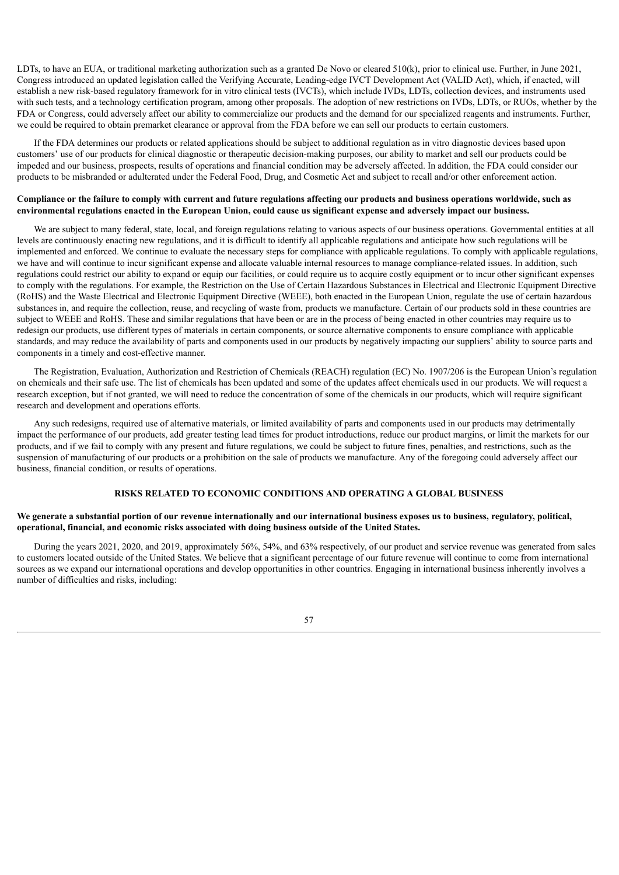LDTs, to have an EUA, or traditional marketing authorization such as a granted De Novo or cleared 510(k), prior to clinical use. Further, in June 2021, Congress introduced an updated legislation called the Verifying Accurate, Leading-edge IVCT Development Act (VALID Act), which, if enacted, will establish a new risk-based regulatory framework for in vitro clinical tests (IVCTs), which include IVDs, LDTs, collection devices, and instruments used with such tests, and a technology certification program, among other proposals. The adoption of new restrictions on IVDs, LDTs, or RUOs, whether by the FDA or Congress, could adversely affect our ability to commercialize our products and the demand for our specialized reagents and instruments. Further, we could be required to obtain premarket clearance or approval from the FDA before we can sell our products to certain customers.

If the FDA determines our products or related applications should be subject to additional regulation as in vitro diagnostic devices based upon customers' use of our products for clinical diagnostic or therapeutic decision-making purposes, our ability to market and sell our products could be impeded and our business, prospects, results of operations and financial condition may be adversely affected. In addition, the FDA could consider our products to be misbranded or adulterated under the Federal Food, Drug, and Cosmetic Act and subject to recall and/or other enforcement action.

# Compliance or the failure to comply with current and future regulations affecting our products and business operations worldwide, such as environmental regulations enacted in the European Union, could cause us significant expense and adversely impact our business.

We are subject to many federal, state, local, and foreign regulations relating to various aspects of our business operations. Governmental entities at all levels are continuously enacting new regulations, and it is difficult to identify all applicable regulations and anticipate how such regulations will be implemented and enforced. We continue to evaluate the necessary steps for compliance with applicable regulations. To comply with applicable regulations, we have and will continue to incur significant expense and allocate valuable internal resources to manage compliance-related issues. In addition, such regulations could restrict our ability to expand or equip our facilities, or could require us to acquire costly equipment or to incur other significant expenses to comply with the regulations. For example, the Restriction on the Use of Certain Hazardous Substances in Electrical and Electronic Equipment Directive (RoHS) and the Waste Electrical and Electronic Equipment Directive (WEEE), both enacted in the European Union, regulate the use of certain hazardous substances in, and require the collection, reuse, and recycling of waste from, products we manufacture. Certain of our products sold in these countries are subject to WEEE and RoHS. These and similar regulations that have been or are in the process of being enacted in other countries may require us to redesign our products, use different types of materials in certain components, or source alternative components to ensure compliance with applicable standards, and may reduce the availability of parts and components used in our products by negatively impacting our suppliers' ability to source parts and components in a timely and cost-effective manner.

The Registration, Evaluation, Authorization and Restriction of Chemicals (REACH) regulation (EC) No. 1907/206 is the European Union's regulation on chemicals and their safe use. The list of chemicals has been updated and some of the updates affect chemicals used in our products. We will request a research exception, but if not granted, we will need to reduce the concentration of some of the chemicals in our products, which will require significant research and development and operations efforts.

Any such redesigns, required use of alternative materials, or limited availability of parts and components used in our products may detrimentally impact the performance of our products, add greater testing lead times for product introductions, reduce our product margins, or limit the markets for our products, and if we fail to comply with any present and future regulations, we could be subject to future fines, penalties, and restrictions, such as the suspension of manufacturing of our products or a prohibition on the sale of products we manufacture. Any of the foregoing could adversely affect our business, financial condition, or results of operations.

# **RISKS RELATED TO ECONOMIC CONDITIONS AND OPERATING A GLOBAL BUSINESS**

# We generate a substantial portion of our revenue internationally and our international business exposes us to business, regulatory, political, **operational, financial, and economic risks associated with doing business outside of the United States.**

During the years 2021, 2020, and 2019, approximately 56%, 54%, and 63% respectively, of our product and service revenue was generated from sales to customers located outside of the United States. We believe that a significant percentage of our future revenue will continue to come from international sources as we expand our international operations and develop opportunities in other countries. Engaging in international business inherently involves a number of difficulties and risks, including:

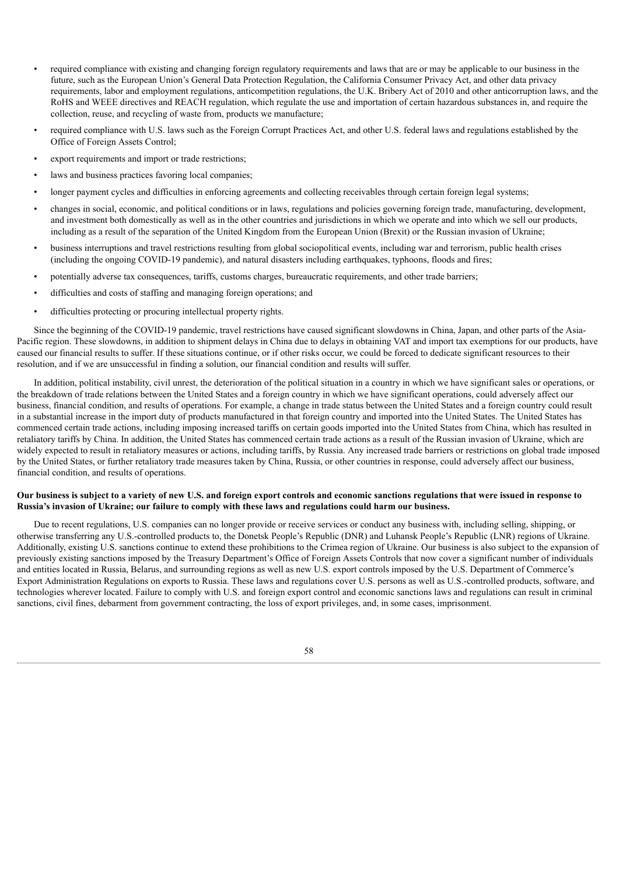- required compliance with existing and changing foreign regulatory requirements and laws that are or may be applicable to our business in the future, such as the European Union's General Data Protection Regulation, the California Consumer Privacy Act, and other data privacy requirements, labor and employment regulations, anticompetition regulations, the U.K. Bribery Act of 2010 and other anticorruption laws, and the RoHS and WEEE directives and REACH regulation, which regulate the use and importation of certain hazardous substances in, and require the collection, reuse, and recycling of waste from, products we manufacture;
- required compliance with U.S. laws such as the Foreign Corrupt Practices Act, and other U.S. federal laws and regulations established by the Office of Foreign Assets Control;
- export requirements and import or trade restrictions:
- laws and business practices favoring local companies;
- longer payment cycles and difficulties in enforcing agreements and collecting receivables through certain foreign legal systems;
- changes in social, economic, and political conditions or in laws, regulations and policies governing foreign trade, manufacturing, development, and investment both domestically as well as in the other countries and jurisdictions in which we operate and into which we sell our products, including as a result of the separation of the United Kingdom from the European Union (Brexit) or the Russian invasion of Ukraine;
- business interruptions and travel restrictions resulting from global sociopolitical events, including war and terrorism, public health crises (including the ongoing COVID-19 pandemic), and natural disasters including earthquakes, typhoons, floods and fires;
- potentially adverse tax consequences, tariffs, customs charges, bureaucratic requirements, and other trade barriers;
- difficulties and costs of staffing and managing foreign operations; and
- difficulties protecting or procuring intellectual property rights.

Since the beginning of the COVID-19 pandemic, travel restrictions have caused significant slowdowns in China, Japan, and other parts of the Asia-Pacific region. These slowdowns, in addition to shipment delays in China due to delays in obtaining VAT and import tax exemptions for our products, have caused our financial results to suffer. If these situations continue, or if other risks occur, we could be forced to dedicate significant resources to their resolution, and if we are unsuccessful in finding a solution, our financial condition and results will suffer.

In addition, political instability, civil unrest, the deterioration of the political situation in a country in which we have significant sales or operations, or the breakdown of trade relations between the United States and a foreign country in which we have significant operations, could adversely affect our business, financial condition, and results of operations. For example, a change in trade status between the United States and a foreign country could result in a substantial increase in the import duty of products manufactured in that foreign country and imported into the United States. The United States has commenced certain trade actions, including imposing increased tariffs on certain goods imported into the United States from China, which has resulted in retaliatory tariffs by China. In addition, the United States has commenced certain trade actions as a result of the Russian invasion of Ukraine, which are widely expected to result in retaliatory measures or actions, including tariffs, by Russia. Any increased trade barriers or restrictions on global trade imposed by the United States, or further retaliatory trade measures taken by China, Russia, or other countries in response, could adversely affect our business, financial condition, and results of operations.

## Our business is subject to a variety of new U.S. and foreign export controls and economic sanctions regulations that were issued in response to Russia's invasion of Ukraine; our failure to comply with these laws and regulations could harm our business.

Due to recent regulations, U.S. companies can no longer provide or receive services or conduct any business with, including selling, shipping, or otherwise transferring any U.S.-controlled products to, the Donetsk People's Republic (DNR) and Luhansk People's Republic (LNR) regions of Ukraine. Additionally, existing U.S. sanctions continue to extend these prohibitions to the Crimea region of Ukraine. Our business is also subject to the expansion of previously existing sanctions imposed by the Treasury Department's Office of Foreign Assets Controls that now cover a significant number of individuals and entities located in Russia, Belarus, and surrounding regions as well as new U.S. export controls imposed by the U.S. Department of Commerce's Export Administration Regulations on exports to Russia. These laws and regulations cover U.S. persons as well as U.S.-controlled products, software, and technologies wherever located. Failure to comply with U.S. and foreign export control and economic sanctions laws and regulations can result in criminal sanctions, civil fines, debarment from government contracting, the loss of export privileges, and, in some cases, imprisonment.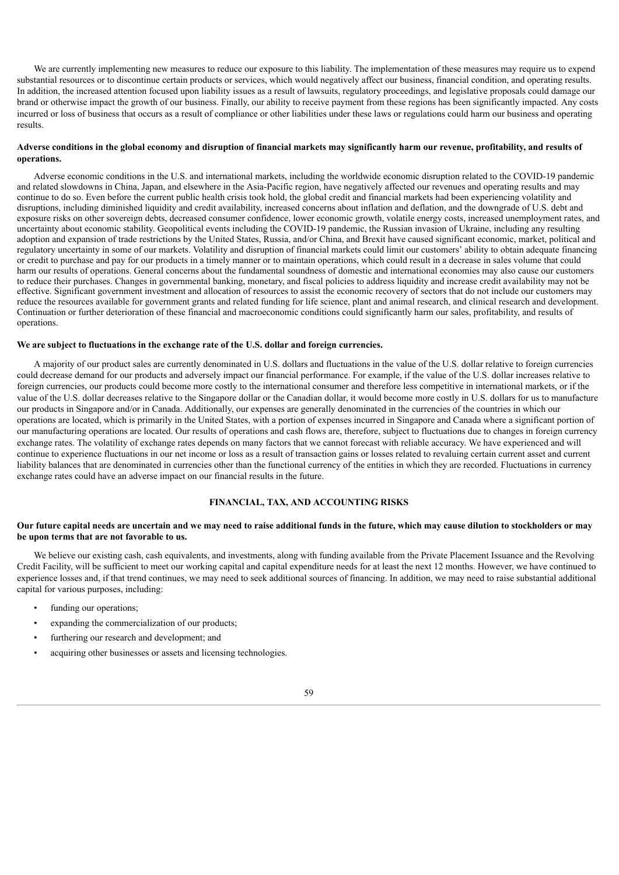We are currently implementing new measures to reduce our exposure to this liability. The implementation of these measures may require us to expend substantial resources or to discontinue certain products or services, which would negatively affect our business, financial condition, and operating results. In addition, the increased attention focused upon liability issues as a result of lawsuits, regulatory proceedings, and legislative proposals could damage our brand or otherwise impact the growth of our business. Finally, our ability to receive payment from these regions has been significantly impacted. Any costs incurred or loss of business that occurs as a result of compliance or other liabilities under these laws or regulations could harm our business and operating results.

## Adverse conditions in the global economy and disruption of financial markets may significantly harm our revenue, profitability, and results of **operations.**

Adverse economic conditions in the U.S. and international markets, including the worldwide economic disruption related to the COVID-19 pandemic and related slowdowns in China, Japan, and elsewhere in the Asia-Pacific region, have negatively affected our revenues and operating results and may continue to do so. Even before the current public health crisis took hold, the global credit and financial markets had been experiencing volatility and disruptions, including diminished liquidity and credit availability, increased concerns about inflation and deflation, and the downgrade of U.S. debt and exposure risks on other sovereign debts, decreased consumer confidence, lower economic growth, volatile energy costs, increased unemployment rates, and uncertainty about economic stability. Geopolitical events including the COVID-19 pandemic, the Russian invasion of Ukraine, including any resulting adoption and expansion of trade restrictions by the United States, Russia, and/or China, and Brexit have caused significant economic, market, political and regulatory uncertainty in some of our markets. Volatility and disruption of financial markets could limit our customers' ability to obtain adequate financing or credit to purchase and pay for our products in a timely manner or to maintain operations, which could result in a decrease in sales volume that could harm our results of operations. General concerns about the fundamental soundness of domestic and international economies may also cause our customers to reduce their purchases. Changes in governmental banking, monetary, and fiscal policies to address liquidity and increase credit availability may not be effective. Significant government investment and allocation of resources to assist the economic recovery of sectors that do not include our customers may reduce the resources available for government grants and related funding for life science, plant and animal research, and clinical research and development. Continuation or further deterioration of these financial and macroeconomic conditions could significantly harm our sales, profitability, and results of operations.

### **We are subject to fluctuations in the exchange rate of the U.S. dollar and foreign currencies.**

A majority of our product sales are currently denominated in U.S. dollars and fluctuations in the value of the U.S. dollar relative to foreign currencies could decrease demand for our products and adversely impact our financial performance. For example, if the value of the U.S. dollar increases relative to foreign currencies, our products could become more costly to the international consumer and therefore less competitive in international markets, or if the value of the U.S. dollar decreases relative to the Singapore dollar or the Canadian dollar, it would become more costly in U.S. dollars for us to manufacture our products in Singapore and/or in Canada. Additionally, our expenses are generally denominated in the currencies of the countries in which our operations are located, which is primarily in the United States, with a portion of expenses incurred in Singapore and Canada where a significant portion of our manufacturing operations are located. Our results of operations and cash flows are, therefore, subject to fluctuations due to changes in foreign currency exchange rates. The volatility of exchange rates depends on many factors that we cannot forecast with reliable accuracy. We have experienced and will continue to experience fluctuations in our net income or loss as a result of transaction gains or losses related to revaluing certain current asset and current liability balances that are denominated in currencies other than the functional currency of the entities in which they are recorded. Fluctuations in currency exchange rates could have an adverse impact on our financial results in the future.

### **FINANCIAL, TAX, AND ACCOUNTING RISKS**

# Our future capital needs are uncertain and we may need to raise additional funds in the future, which may cause dilution to stockholders or may **be upon terms that are not favorable to us.**

We believe our existing cash, cash equivalents, and investments, along with funding available from the Private Placement Issuance and the Revolving Credit Facility, will be sufficient to meet our working capital and capital expenditure needs for at least the next 12 months. However, we have continued to experience losses and, if that trend continues, we may need to seek additional sources of financing. In addition, we may need to raise substantial additional capital for various purposes, including:

- funding our operations;
- expanding the commercialization of our products:
- furthering our research and development; and
- acquiring other businesses or assets and licensing technologies.

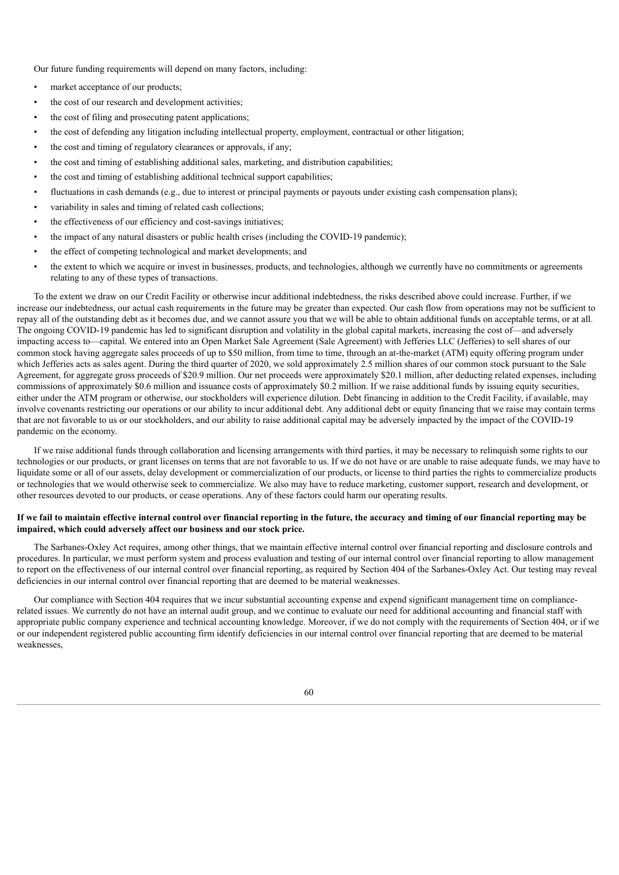Our future funding requirements will depend on many factors, including:

- market acceptance of our products;
- the cost of our research and development activities:
- the cost of filing and prosecuting patent applications;
- the cost of defending any litigation including intellectual property, employment, contractual or other litigation;
- the cost and timing of regulatory clearances or approvals, if any;
- the cost and timing of establishing additional sales, marketing, and distribution capabilities;
- the cost and timing of establishing additional technical support capabilities;
- fluctuations in cash demands (e.g., due to interest or principal payments or payouts under existing cash compensation plans);
- variability in sales and timing of related cash collections;
- the effectiveness of our efficiency and cost-savings initiatives;
- the impact of any natural disasters or public health crises (including the COVID-19 pandemic);
- the effect of competing technological and market developments; and
- the extent to which we acquire or invest in businesses, products, and technologies, although we currently have no commitments or agreements relating to any of these types of transactions.

To the extent we draw on our Credit Facility or otherwise incur additional indebtedness, the risks described above could increase. Further, if we increase our indebtedness, our actual cash requirements in the future may be greater than expected. Our cash flow from operations may not be sufficient to repay all of the outstanding debt as it becomes due, and we cannot assure you that we will be able to obtain additional funds on acceptable terms, or at all. The ongoing COVID-19 pandemic has led to significant disruption and volatility in the global capital markets, increasing the cost of—and adversely impacting access to—capital. We entered into an Open Market Sale Agreement (Sale Agreement) with Jefferies LLC (Jefferies) to sell shares of our common stock having aggregate sales proceeds of up to \$50 million, from time to time, through an at-the-market (ATM) equity offering program under which Jefferies acts as sales agent. During the third quarter of 2020, we sold approximately 2.5 million shares of our common stock pursuant to the Sale Agreement, for aggregate gross proceeds of \$20.9 million. Our net proceeds were approximately \$20.1 million, after deducting related expenses, including commissions of approximately \$0.6 million and issuance costs of approximately \$0.2 million. If we raise additional funds by issuing equity securities, either under the ATM program or otherwise, our stockholders will experience dilution. Debt financing in addition to the Credit Facility, if available, may involve covenants restricting our operations or our ability to incur additional debt. Any additional debt or equity financing that we raise may contain terms that are not favorable to us or our stockholders, and our ability to raise additional capital may be adversely impacted by the impact of the COVID-19 pandemic on the economy.

If we raise additional funds through collaboration and licensing arrangements with third parties, it may be necessary to relinquish some rights to our technologies or our products, or grant licenses on terms that are not favorable to us. If we do not have or are unable to raise adequate funds, we may have to liquidate some or all of our assets, delay development or commercialization of our products, or license to third parties the rights to commercialize products or technologies that we would otherwise seek to commercialize. We also may have to reduce marketing, customer support, research and development, or other resources devoted to our products, or cease operations. Any of these factors could harm our operating results.

# If we fail to maintain effective internal control over financial reporting in the future, the accuracy and timing of our financial reporting may be **impaired, which could adversely affect our business and our stock price.**

The Sarbanes-Oxley Act requires, among other things, that we maintain effective internal control over financial reporting and disclosure controls and procedures. In particular, we must perform system and process evaluation and testing of our internal control over financial reporting to allow management to report on the effectiveness of our internal control over financial reporting, as required by Section 404 of the Sarbanes-Oxley Act. Our testing may reveal deficiencies in our internal control over financial reporting that are deemed to be material weaknesses.

Our compliance with Section 404 requires that we incur substantial accounting expense and expend significant management time on compliancerelated issues. We currently do not have an internal audit group, and we continue to evaluate our need for additional accounting and financial staff with appropriate public company experience and technical accounting knowledge. Moreover, if we do not comply with the requirements of Section 404, or if we or our independent registered public accounting firm identify deficiencies in our internal control over financial reporting that are deemed to be material weaknesses,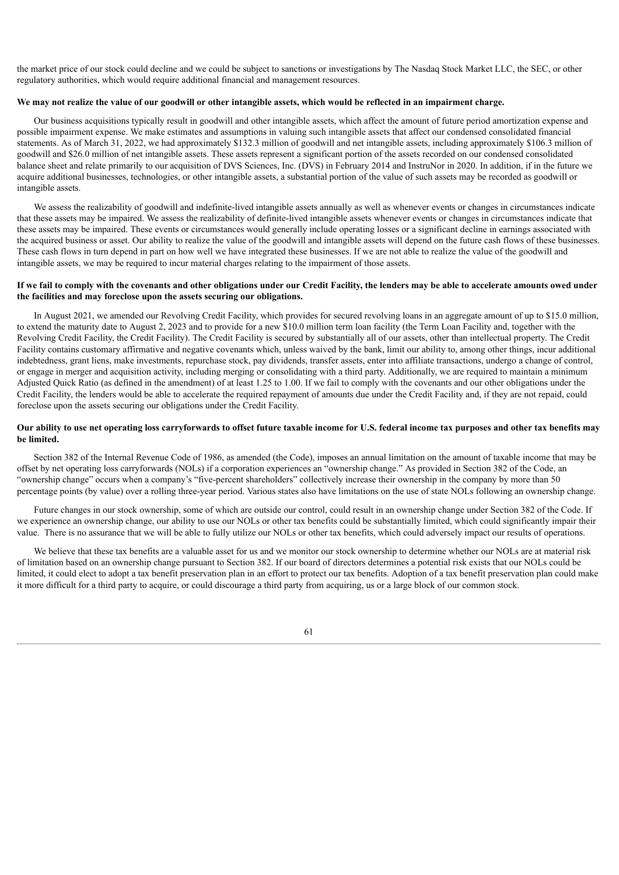the market price of our stock could decline and we could be subject to sanctions or investigations by The Nasdaq Stock Market LLC, the SEC, or other regulatory authorities, which would require additional financial and management resources.

# We may not realize the value of our goodwill or other intangible assets, which would be reflected in an impairment charge.

Our business acquisitions typically result in goodwill and other intangible assets, which affect the amount of future period amortization expense and possible impairment expense. We make estimates and assumptions in valuing such intangible assets that affect our condensed consolidated financial statements. As of March 31, 2022, we had approximately \$132.3 million of goodwill and net intangible assets, including approximately \$106.3 million of goodwill and \$26.0 million of net intangible assets. These assets represent a significant portion of the assets recorded on our condensed consolidated balance sheet and relate primarily to our acquisition of DVS Sciences, Inc. (DVS) in February 2014 and InstruNor in 2020. In addition, if in the future we acquire additional businesses, technologies, or other intangible assets, a substantial portion of the value of such assets may be recorded as goodwill or intangible assets.

We assess the realizability of goodwill and indefinite-lived intangible assets annually as well as whenever events or changes in circumstances indicate that these assets may be impaired. We assess the realizability of definite-lived intangible assets whenever events or changes in circumstances indicate that these assets may be impaired. These events or circumstances would generally include operating losses or a significant decline in earnings associated with the acquired business or asset. Our ability to realize the value of the goodwill and intangible assets will depend on the future cash flows of these businesses. These cash flows in turn depend in part on how well we have integrated these businesses. If we are not able to realize the value of the goodwill and intangible assets, we may be required to incur material charges relating to the impairment of those assets.

## If we fail to comply with the covenants and other obligations under our Credit Facility, the lenders may be able to accelerate amounts owed under **the facilities and may foreclose upon the assets securing our obligations.**

In August 2021, we amended our Revolving Credit Facility, which provides for secured revolving loans in an aggregate amount of up to \$15.0 million, to extend the maturity date to August 2, 2023 and to provide for a new \$10.0 million term loan facility (the Term Loan Facility and, together with the Revolving Credit Facility, the Credit Facility). The Credit Facility is secured by substantially all of our assets, other than intellectual property. The Credit Facility contains customary affirmative and negative covenants which, unless waived by the bank, limit our ability to, among other things, incur additional indebtedness, grant liens, make investments, repurchase stock, pay dividends, transfer assets, enter into affiliate transactions, undergo a change of control, or engage in merger and acquisition activity, including merging or consolidating with a third party. Additionally, we are required to maintain a minimum Adjusted Quick Ratio (as defined in the amendment) of at least 1.25 to 1.00. If we fail to comply with the covenants and our other obligations under the Credit Facility, the lenders would be able to accelerate the required repayment of amounts due under the Credit Facility and, if they are not repaid, could foreclose upon the assets securing our obligations under the Credit Facility.

## Our ability to use net operating loss carryforwards to offset future taxable income for U.S. federal income tax purposes and other tax benefits may **be limited.**

Section 382 of the Internal Revenue Code of 1986, as amended (the Code), imposes an annual limitation on the amount of taxable income that may be offset by net operating loss carryforwards (NOLs) if a corporation experiences an "ownership change." As provided in Section 382 of the Code, an "ownership change" occurs when a company's "five-percent shareholders" collectively increase their ownership in the company by more than 50 percentage points (by value) over a rolling three-year period. Various states also have limitations on the use of state NOLs following an ownership change.

Future changes in our stock ownership, some of which are outside our control, could result in an ownership change under Section 382 of the Code. If we experience an ownership change, our ability to use our NOLs or other tax benefits could be substantially limited, which could significantly impair their value. There is no assurance that we will be able to fully utilize our NOLs or other tax benefits, which could adversely impact our results of operations.

We believe that these tax benefits are a valuable asset for us and we monitor our stock ownership to determine whether our NOLs are at material risk of limitation based on an ownership change pursuant to Section 382. If our board of directors determines a potential risk exists that our NOLs could be limited, it could elect to adopt a tax benefit preservation plan in an effort to protect our tax benefits. Adoption of a tax benefit preservation plan could make it more difficult for a third party to acquire, or could discourage a third party from acquiring, us or a large block of our common stock.

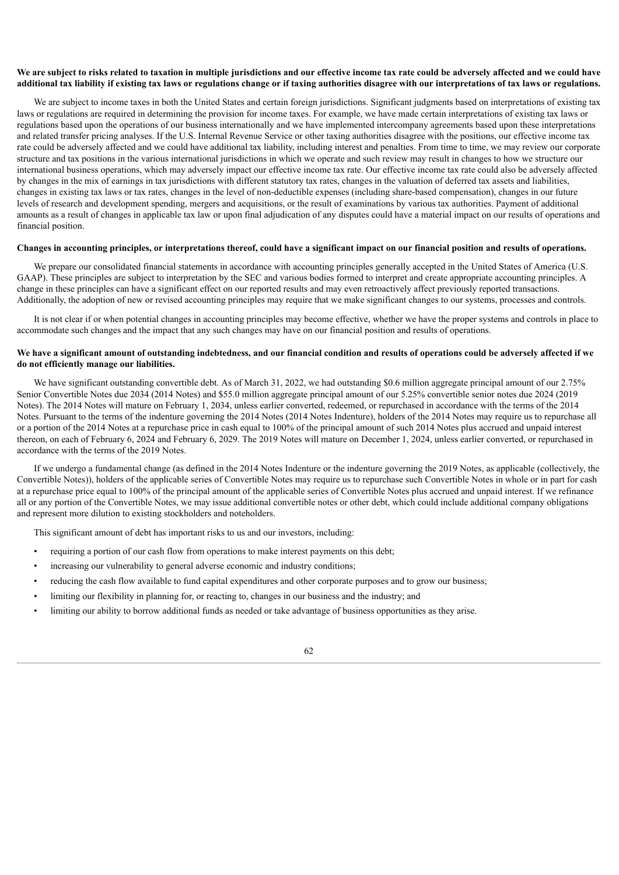# We are subject to risks related to taxation in multiple jurisdictions and our effective income tax rate could be adversely affected and we could have additional tax liability if existing tax laws or regulations change or if taxing authorities disagree with our interpretations of tax laws or regulations.

We are subject to income taxes in both the United States and certain foreign jurisdictions. Significant judgments based on interpretations of existing tax laws or regulations are required in determining the provision for income taxes. For example, we have made certain interpretations of existing tax laws or regulations based upon the operations of our business internationally and we have implemented intercompany agreements based upon these interpretations and related transfer pricing analyses. If the U.S. Internal Revenue Service or other taxing authorities disagree with the positions, our effective income tax rate could be adversely affected and we could have additional tax liability, including interest and penalties. From time to time, we may review our corporate structure and tax positions in the various international jurisdictions in which we operate and such review may result in changes to how we structure our international business operations, which may adversely impact our effective income tax rate. Our effective income tax rate could also be adversely affected by changes in the mix of earnings in tax jurisdictions with different statutory tax rates, changes in the valuation of deferred tax assets and liabilities, changes in existing tax laws or tax rates, changes in the level of non-deductible expenses (including share-based compensation), changes in our future levels of research and development spending, mergers and acquisitions, or the result of examinations by various tax authorities. Payment of additional amounts as a result of changes in applicable tax law or upon final adjudication of any disputes could have a material impact on our results of operations and financial position.

## Changes in accounting principles, or interpretations thereof, could have a significant impact on our financial position and results of operations.

We prepare our consolidated financial statements in accordance with accounting principles generally accepted in the United States of America (U.S. GAAP). These principles are subject to interpretation by the SEC and various bodies formed to interpret and create appropriate accounting principles. A change in these principles can have a significant effect on our reported results and may even retroactively affect previously reported transactions. Additionally, the adoption of new or revised accounting principles may require that we make significant changes to our systems, processes and controls.

It is not clear if or when potential changes in accounting principles may become effective, whether we have the proper systems and controls in place to accommodate such changes and the impact that any such changes may have on our financial position and results of operations.

## We have a significant amount of outstanding indebtedness, and our financial condition and results of operations could be adversely affected if we **do not efficiently manage our liabilities.**

We have significant outstanding convertible debt. As of March 31, 2022, we had outstanding \$0.6 million aggregate principal amount of our 2.75% Senior Convertible Notes due 2034 (2014 Notes) and \$55.0 million aggregate principal amount of our 5.25% convertible senior notes due 2024 (2019 Notes). The 2014 Notes will mature on February 1, 2034, unless earlier converted, redeemed, or repurchased in accordance with the terms of the 2014 Notes. Pursuant to the terms of the indenture governing the 2014 Notes (2014 Notes Indenture), holders of the 2014 Notes may require us to repurchase all or a portion of the 2014 Notes at a repurchase price in cash equal to 100% of the principal amount of such 2014 Notes plus accrued and unpaid interest thereon, on each of February 6, 2024 and February 6, 2029. The 2019 Notes will mature on December 1, 2024, unless earlier converted, or repurchased in accordance with the terms of the 2019 Notes.

If we undergo a fundamental change (as defined in the 2014 Notes Indenture or the indenture governing the 2019 Notes, as applicable (collectively, the Convertible Notes)), holders of the applicable series of Convertible Notes may require us to repurchase such Convertible Notes in whole or in part for cash at a repurchase price equal to 100% of the principal amount of the applicable series of Convertible Notes plus accrued and unpaid interest. If we refinance all or any portion of the Convertible Notes, we may issue additional convertible notes or other debt, which could include additional company obligations and represent more dilution to existing stockholders and noteholders.

This significant amount of debt has important risks to us and our investors, including:

- requiring a portion of our cash flow from operations to make interest payments on this debt;
- increasing our vulnerability to general adverse economic and industry conditions;
- reducing the cash flow available to fund capital expenditures and other corporate purposes and to grow our business;
- limiting our flexibility in planning for, or reacting to, changes in our business and the industry; and
- limiting our ability to borrow additional funds as needed or take advantage of business opportunities as they arise.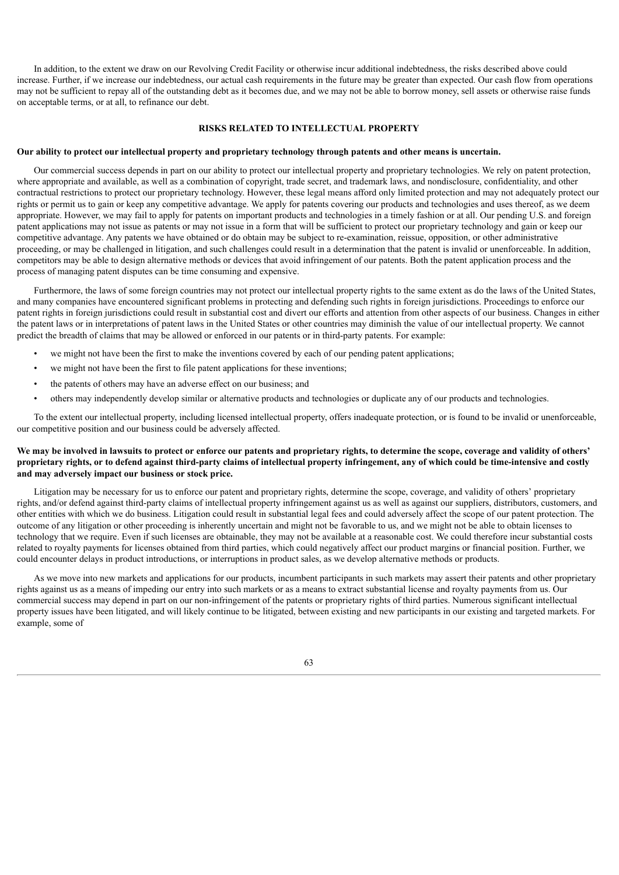In addition, to the extent we draw on our Revolving Credit Facility or otherwise incur additional indebtedness, the risks described above could increase. Further, if we increase our indebtedness, our actual cash requirements in the future may be greater than expected. Our cash flow from operations may not be sufficient to repay all of the outstanding debt as it becomes due, and we may not be able to borrow money, sell assets or otherwise raise funds on acceptable terms, or at all, to refinance our debt.

### **RISKS RELATED TO INTELLECTUAL PROPERTY**

#### Our ability to protect our intellectual property and proprietary technology through patents and other means is uncertain.

Our commercial success depends in part on our ability to protect our intellectual property and proprietary technologies. We rely on patent protection, where appropriate and available, as well as a combination of copyright, trade secret, and trademark laws, and nondisclosure, confidentiality, and other contractual restrictions to protect our proprietary technology. However, these legal means afford only limited protection and may not adequately protect our rights or permit us to gain or keep any competitive advantage. We apply for patents covering our products and technologies and uses thereof, as we deem appropriate. However, we may fail to apply for patents on important products and technologies in a timely fashion or at all. Our pending U.S. and foreign patent applications may not issue as patents or may not issue in a form that will be sufficient to protect our proprietary technology and gain or keep our competitive advantage. Any patents we have obtained or do obtain may be subject to re-examination, reissue, opposition, or other administrative proceeding, or may be challenged in litigation, and such challenges could result in a determination that the patent is invalid or unenforceable. In addition, competitors may be able to design alternative methods or devices that avoid infringement of our patents. Both the patent application process and the process of managing patent disputes can be time consuming and expensive.

Furthermore, the laws of some foreign countries may not protect our intellectual property rights to the same extent as do the laws of the United States, and many companies have encountered significant problems in protecting and defending such rights in foreign jurisdictions. Proceedings to enforce our patent rights in foreign jurisdictions could result in substantial cost and divert our efforts and attention from other aspects of our business. Changes in either the patent laws or in interpretations of patent laws in the United States or other countries may diminish the value of our intellectual property. We cannot predict the breadth of claims that may be allowed or enforced in our patents or in third-party patents. For example:

- we might not have been the first to make the inventions covered by each of our pending patent applications;
- we might not have been the first to file patent applications for these inventions;
- the patents of others may have an adverse effect on our business; and
- others may independently develop similar or alternative products and technologies or duplicate any of our products and technologies.

To the extent our intellectual property, including licensed intellectual property, offers inadequate protection, or is found to be invalid or unenforceable, our competitive position and our business could be adversely affected.

## We may be involved in lawsuits to protect or enforce our patents and proprietary rights, to determine the scope, coverage and validity of others' proprietary rights, or to defend against third-party claims of intellectual property infringement, any of which could be time-intensive and costly **and may adversely impact our business or stock price.**

Litigation may be necessary for us to enforce our patent and proprietary rights, determine the scope, coverage, and validity of others' proprietary rights, and/or defend against third-party claims of intellectual property infringement against us as well as against our suppliers, distributors, customers, and other entities with which we do business. Litigation could result in substantial legal fees and could adversely affect the scope of our patent protection. The outcome of any litigation or other proceeding is inherently uncertain and might not be favorable to us, and we might not be able to obtain licenses to technology that we require. Even if such licenses are obtainable, they may not be available at a reasonable cost. We could therefore incur substantial costs related to royalty payments for licenses obtained from third parties, which could negatively affect our product margins or financial position. Further, we could encounter delays in product introductions, or interruptions in product sales, as we develop alternative methods or products.

As we move into new markets and applications for our products, incumbent participants in such markets may assert their patents and other proprietary rights against us as a means of impeding our entry into such markets or as a means to extract substantial license and royalty payments from us. Our commercial success may depend in part on our non-infringement of the patents or proprietary rights of third parties. Numerous significant intellectual property issues have been litigated, and will likely continue to be litigated, between existing and new participants in our existing and targeted markets. For example, some of

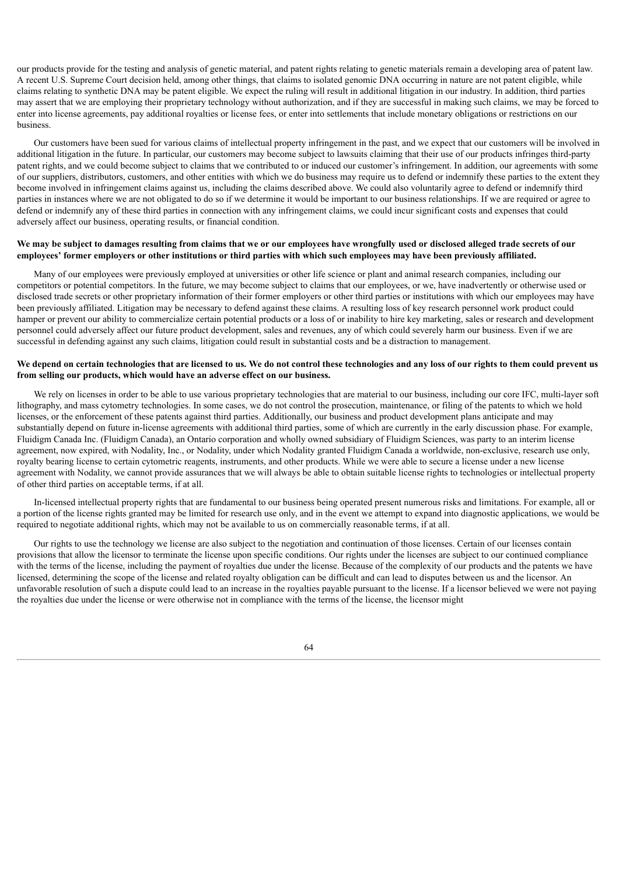our products provide for the testing and analysis of genetic material, and patent rights relating to genetic materials remain a developing area of patent law. A recent U.S. Supreme Court decision held, among other things, that claims to isolated genomic DNA occurring in nature are not patent eligible, while claims relating to synthetic DNA may be patent eligible. We expect the ruling will result in additional litigation in our industry. In addition, third parties may assert that we are employing their proprietary technology without authorization, and if they are successful in making such claims, we may be forced to enter into license agreements, pay additional royalties or license fees, or enter into settlements that include monetary obligations or restrictions on our business.

Our customers have been sued for various claims of intellectual property infringement in the past, and we expect that our customers will be involved in additional litigation in the future. In particular, our customers may become subject to lawsuits claiming that their use of our products infringes third-party patent rights, and we could become subject to claims that we contributed to or induced our customer's infringement. In addition, our agreements with some of our suppliers, distributors, customers, and other entities with which we do business may require us to defend or indemnify these parties to the extent they become involved in infringement claims against us, including the claims described above. We could also voluntarily agree to defend or indemnify third parties in instances where we are not obligated to do so if we determine it would be important to our business relationships. If we are required or agree to defend or indemnify any of these third parties in connection with any infringement claims, we could incur significant costs and expenses that could adversely affect our business, operating results, or financial condition.

## We may be subject to damages resulting from claims that we or our employees have wrongfully used or disclosed alleged trade secrets of our employees' former employers or other institutions or third parties with which such employees may have been previously affiliated.

Many of our employees were previously employed at universities or other life science or plant and animal research companies, including our competitors or potential competitors. In the future, we may become subject to claims that our employees, or we, have inadvertently or otherwise used or disclosed trade secrets or other proprietary information of their former employers or other third parties or institutions with which our employees may have been previously affiliated. Litigation may be necessary to defend against these claims. A resulting loss of key research personnel work product could hamper or prevent our ability to commercialize certain potential products or a loss of or inability to hire key marketing, sales or research and development personnel could adversely affect our future product development, sales and revenues, any of which could severely harm our business. Even if we are successful in defending against any such claims, litigation could result in substantial costs and be a distraction to management.

## We depend on certain technologies that are licensed to us. We do not control these technologies and any loss of our rights to them could prevent us **from selling our products, which would have an adverse effect on our business.**

We rely on licenses in order to be able to use various proprietary technologies that are material to our business, including our core IFC, multi-layer soft lithography, and mass cytometry technologies. In some cases, we do not control the prosecution, maintenance, or filing of the patents to which we hold licenses, or the enforcement of these patents against third parties. Additionally, our business and product development plans anticipate and may substantially depend on future in-license agreements with additional third parties, some of which are currently in the early discussion phase. For example, Fluidigm Canada Inc. (Fluidigm Canada), an Ontario corporation and wholly owned subsidiary of Fluidigm Sciences, was party to an interim license agreement, now expired, with Nodality, Inc., or Nodality, under which Nodality granted Fluidigm Canada a worldwide, non-exclusive, research use only, royalty bearing license to certain cytometric reagents, instruments, and other products. While we were able to secure a license under a new license agreement with Nodality, we cannot provide assurances that we will always be able to obtain suitable license rights to technologies or intellectual property of other third parties on acceptable terms, if at all.

In-licensed intellectual property rights that are fundamental to our business being operated present numerous risks and limitations. For example, all or a portion of the license rights granted may be limited for research use only, and in the event we attempt to expand into diagnostic applications, we would be required to negotiate additional rights, which may not be available to us on commercially reasonable terms, if at all.

Our rights to use the technology we license are also subject to the negotiation and continuation of those licenses. Certain of our licenses contain provisions that allow the licensor to terminate the license upon specific conditions. Our rights under the licenses are subject to our continued compliance with the terms of the license, including the payment of royalties due under the license. Because of the complexity of our products and the patents we have licensed, determining the scope of the license and related royalty obligation can be difficult and can lead to disputes between us and the licensor. An unfavorable resolution of such a dispute could lead to an increase in the royalties payable pursuant to the license. If a licensor believed we were not paying the royalties due under the license or were otherwise not in compliance with the terms of the license, the licensor might

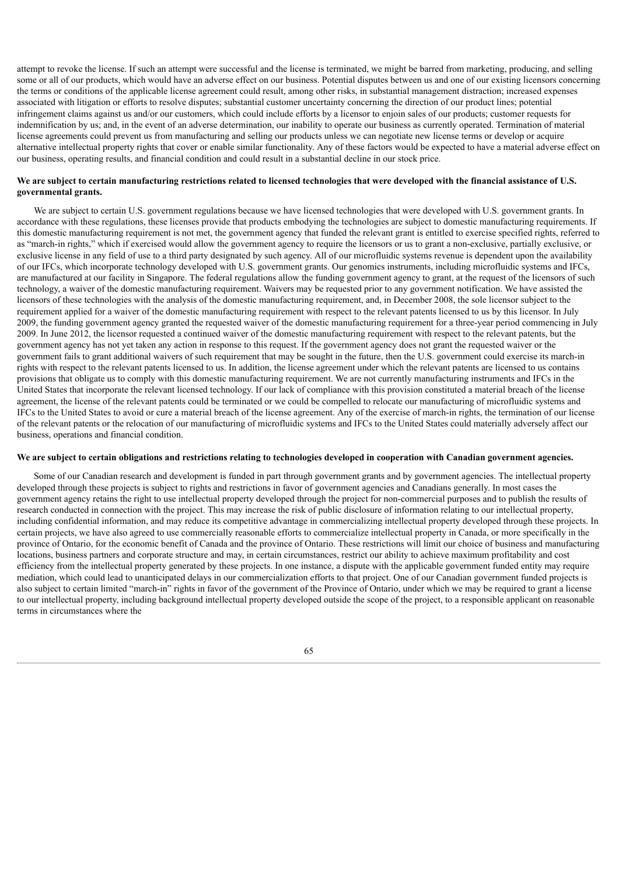attempt to revoke the license. If such an attempt were successful and the license is terminated, we might be barred from marketing, producing, and selling some or all of our products, which would have an adverse effect on our business. Potential disputes between us and one of our existing licensors concerning the terms or conditions of the applicable license agreement could result, among other risks, in substantial management distraction; increased expenses associated with litigation or efforts to resolve disputes; substantial customer uncertainty concerning the direction of our product lines; potential infringement claims against us and/or our customers, which could include efforts by a licensor to enjoin sales of our products; customer requests for indemnification by us; and, in the event of an adverse determination, our inability to operate our business as currently operated. Termination of material license agreements could prevent us from manufacturing and selling our products unless we can negotiate new license terms or develop or acquire alternative intellectual property rights that cover or enable similar functionality. Any of these factors would be expected to have a material adverse effect on our business, operating results, and financial condition and could result in a substantial decline in our stock price.

# We are subject to certain manufacturing restrictions related to licensed technologies that were developed with the financial assistance of U.S. **governmental grants.**

We are subject to certain U.S. government regulations because we have licensed technologies that were developed with U.S. government grants. In accordance with these regulations, these licenses provide that products embodying the technologies are subject to domestic manufacturing requirements. If this domestic manufacturing requirement is not met, the government agency that funded the relevant grant is entitled to exercise specified rights, referred to as "march-in rights," which if exercised would allow the government agency to require the licensors or us to grant a non-exclusive, partially exclusive, or exclusive license in any field of use to a third party designated by such agency. All of our microfluidic systems revenue is dependent upon the availability of our IFCs, which incorporate technology developed with U.S. government grants. Our genomics instruments, including microfluidic systems and IFCs, are manufactured at our facility in Singapore. The federal regulations allow the funding government agency to grant, at the request of the licensors of such technology, a waiver of the domestic manufacturing requirement. Waivers may be requested prior to any government notification. We have assisted the licensors of these technologies with the analysis of the domestic manufacturing requirement, and, in December 2008, the sole licensor subject to the requirement applied for a waiver of the domestic manufacturing requirement with respect to the relevant patents licensed to us by this licensor. In July 2009, the funding government agency granted the requested waiver of the domestic manufacturing requirement for a three-year period commencing in July 2009. In June 2012, the licensor requested a continued waiver of the domestic manufacturing requirement with respect to the relevant patents, but the government agency has not yet taken any action in response to this request. If the government agency does not grant the requested waiver or the government fails to grant additional waivers of such requirement that may be sought in the future, then the U.S. government could exercise its march-in rights with respect to the relevant patents licensed to us. In addition, the license agreement under which the relevant patents are licensed to us contains provisions that obligate us to comply with this domestic manufacturing requirement. We are not currently manufacturing instruments and IFCs in the United States that incorporate the relevant licensed technology. If our lack of compliance with this provision constituted a material breach of the license agreement, the license of the relevant patents could be terminated or we could be compelled to relocate our manufacturing of microfluidic systems and IFCs to the United States to avoid or cure a material breach of the license agreement. Any of the exercise of march-in rights, the termination of our license of the relevant patents or the relocation of our manufacturing of microfluidic systems and IFCs to the United States could materially adversely affect our business, operations and financial condition.

#### We are subject to certain obligations and restrictions relating to technologies developed in cooperation with Canadian government agencies.

Some of our Canadian research and development is funded in part through government grants and by government agencies. The intellectual property developed through these projects is subject to rights and restrictions in favor of government agencies and Canadians generally. In most cases the government agency retains the right to use intellectual property developed through the project for non-commercial purposes and to publish the results of research conducted in connection with the project. This may increase the risk of public disclosure of information relating to our intellectual property, including confidential information, and may reduce its competitive advantage in commercializing intellectual property developed through these projects. In certain projects, we have also agreed to use commercially reasonable efforts to commercialize intellectual property in Canada, or more specifically in the province of Ontario, for the economic benefit of Canada and the province of Ontario. These restrictions will limit our choice of business and manufacturing locations, business partners and corporate structure and may, in certain circumstances, restrict our ability to achieve maximum profitability and cost efficiency from the intellectual property generated by these projects. In one instance, a dispute with the applicable government funded entity may require mediation, which could lead to unanticipated delays in our commercialization efforts to that project. One of our Canadian government funded projects is also subject to certain limited "march-in" rights in favor of the government of the Province of Ontario, under which we may be required to grant a license to our intellectual property, including background intellectual property developed outside the scope of the project, to a responsible applicant on reasonable terms in circumstances where the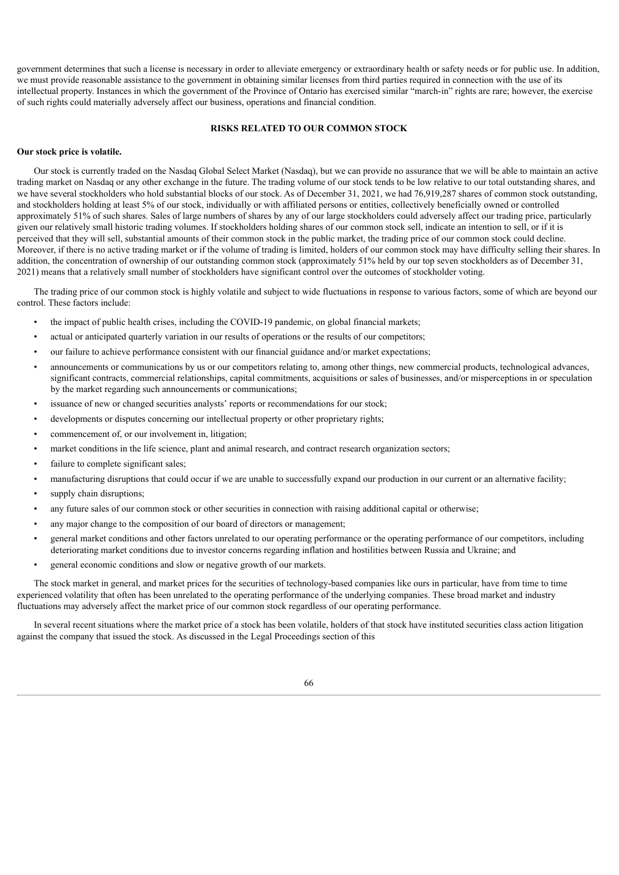government determines that such a license is necessary in order to alleviate emergency or extraordinary health or safety needs or for public use. In addition, we must provide reasonable assistance to the government in obtaining similar licenses from third parties required in connection with the use of its intellectual property. Instances in which the government of the Province of Ontario has exercised similar "march-in" rights are rare; however, the exercise of such rights could materially adversely affect our business, operations and financial condition.

### **RISKS RELATED TO OUR COMMON STOCK**

#### **Our stock price is volatile.**

Our stock is currently traded on the Nasdaq Global Select Market (Nasdaq), but we can provide no assurance that we will be able to maintain an active trading market on Nasdaq or any other exchange in the future. The trading volume of our stock tends to be low relative to our total outstanding shares, and we have several stockholders who hold substantial blocks of our stock. As of December 31, 2021, we had 76,919,287 shares of common stock outstanding, and stockholders holding at least 5% of our stock, individually or with affiliated persons or entities, collectively beneficially owned or controlled approximately 51% of such shares. Sales of large numbers of shares by any of our large stockholders could adversely affect our trading price, particularly given our relatively small historic trading volumes. If stockholders holding shares of our common stock sell, indicate an intention to sell, or if it is perceived that they will sell, substantial amounts of their common stock in the public market, the trading price of our common stock could decline. Moreover, if there is no active trading market or if the volume of trading is limited, holders of our common stock may have difficulty selling their shares. In addition, the concentration of ownership of our outstanding common stock (approximately 51% held by our top seven stockholders as of December 31, 2021) means that a relatively small number of stockholders have significant control over the outcomes of stockholder voting.

The trading price of our common stock is highly volatile and subject to wide fluctuations in response to various factors, some of which are beyond our control. These factors include:

- the impact of public health crises, including the COVID-19 pandemic, on global financial markets;
- actual or anticipated quarterly variation in our results of operations or the results of our competitors;
- our failure to achieve performance consistent with our financial guidance and/or market expectations;
- announcements or communications by us or our competitors relating to, among other things, new commercial products, technological advances, significant contracts, commercial relationships, capital commitments, acquisitions or sales of businesses, and/or misperceptions in or speculation by the market regarding such announcements or communications;
- issuance of new or changed securities analysts' reports or recommendations for our stock;
- developments or disputes concerning our intellectual property or other proprietary rights;
- commencement of, or our involvement in, litigation;
- market conditions in the life science, plant and animal research, and contract research organization sectors;
- failure to complete significant sales;
- manufacturing disruptions that could occur if we are unable to successfully expand our production in our current or an alternative facility;
- supply chain disruptions;
- any future sales of our common stock or other securities in connection with raising additional capital or otherwise;
- any major change to the composition of our board of directors or management;
- general market conditions and other factors unrelated to our operating performance or the operating performance of our competitors, including deteriorating market conditions due to investor concerns regarding inflation and hostilities between Russia and Ukraine; and
- general economic conditions and slow or negative growth of our markets.

The stock market in general, and market prices for the securities of technology-based companies like ours in particular, have from time to time experienced volatility that often has been unrelated to the operating performance of the underlying companies. These broad market and industry fluctuations may adversely affect the market price of our common stock regardless of our operating performance.

In several recent situations where the market price of a stock has been volatile, holders of that stock have instituted securities class action litigation against the company that issued the stock. As discussed in the Legal Proceedings section of this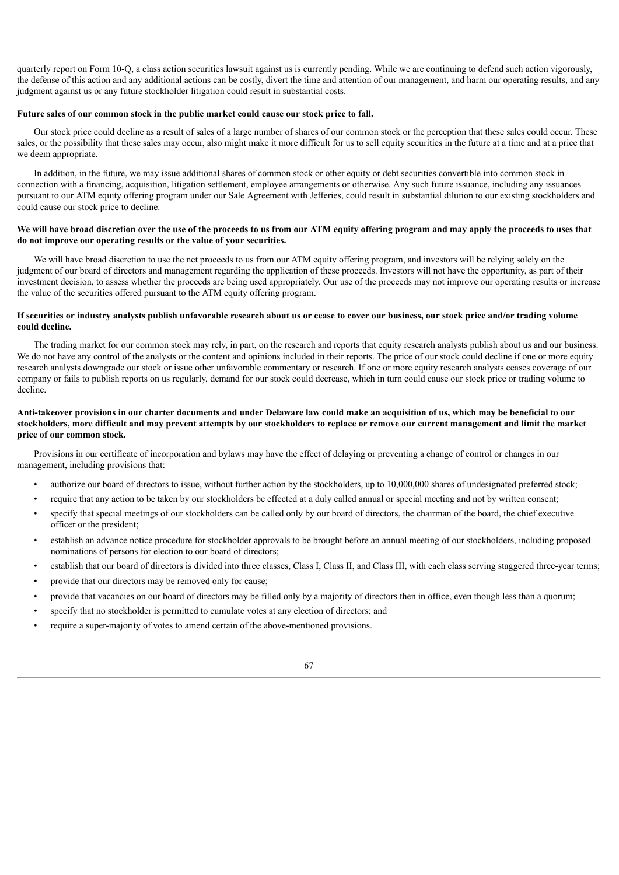quarterly report on Form 10-Q, a class action securities lawsuit against us is currently pending. While we are continuing to defend such action vigorously, the defense of this action and any additional actions can be costly, divert the time and attention of our management, and harm our operating results, and any judgment against us or any future stockholder litigation could result in substantial costs.

## **Future sales of our common stock in the public market could cause our stock price to fall.**

Our stock price could decline as a result of sales of a large number of shares of our common stock or the perception that these sales could occur. These sales, or the possibility that these sales may occur, also might make it more difficult for us to sell equity securities in the future at a time and at a price that we deem appropriate.

In addition, in the future, we may issue additional shares of common stock or other equity or debt securities convertible into common stock in connection with a financing, acquisition, litigation settlement, employee arrangements or otherwise. Any such future issuance, including any issuances pursuant to our ATM equity offering program under our Sale Agreement with Jefferies, could result in substantial dilution to our existing stockholders and could cause our stock price to decline.

## We will have broad discretion over the use of the proceeds to us from our ATM equity offering program and may apply the proceeds to uses that **do not improve our operating results or the value of your securities.**

We will have broad discretion to use the net proceeds to us from our ATM equity offering program, and investors will be relying solely on the judgment of our board of directors and management regarding the application of these proceeds. Investors will not have the opportunity, as part of their investment decision, to assess whether the proceeds are being used appropriately. Our use of the proceeds may not improve our operating results or increase the value of the securities offered pursuant to the ATM equity offering program.

## If securities or industry analysts publish unfavorable research about us or cease to cover our business, our stock price and/or trading volume **could decline.**

The trading market for our common stock may rely, in part, on the research and reports that equity research analysts publish about us and our business. We do not have any control of the analysts or the content and opinions included in their reports. The price of our stock could decline if one or more equity research analysts downgrade our stock or issue other unfavorable commentary or research. If one or more equity research analysts ceases coverage of our company or fails to publish reports on us regularly, demand for our stock could decrease, which in turn could cause our stock price or trading volume to decline.

# Anti-takeover provisions in our charter documents and under Delaware law could make an acquisition of us, which may be beneficial to our stockholders, more difficult and may prevent attempts by our stockholders to replace or remove our current management and limit the market **price of our common stock.**

Provisions in our certificate of incorporation and bylaws may have the effect of delaying or preventing a change of control or changes in our management, including provisions that:

- authorize our board of directors to issue, without further action by the stockholders, up to 10,000,000 shares of undesignated preferred stock;
- require that any action to be taken by our stockholders be effected at a duly called annual or special meeting and not by written consent;
- specify that special meetings of our stockholders can be called only by our board of directors, the chairman of the board, the chief executive officer or the president;
- establish an advance notice procedure for stockholder approvals to be brought before an annual meeting of our stockholders, including proposed nominations of persons for election to our board of directors;
- establish that our board of directors is divided into three classes, Class I, Class II, and Class III, with each class serving staggered three-year terms;
- provide that our directors may be removed only for cause;
- provide that vacancies on our board of directors may be filled only by a majority of directors then in office, even though less than a quorum;
- specify that no stockholder is permitted to cumulate votes at any election of directors; and
- require a super-majority of votes to amend certain of the above-mentioned provisions.

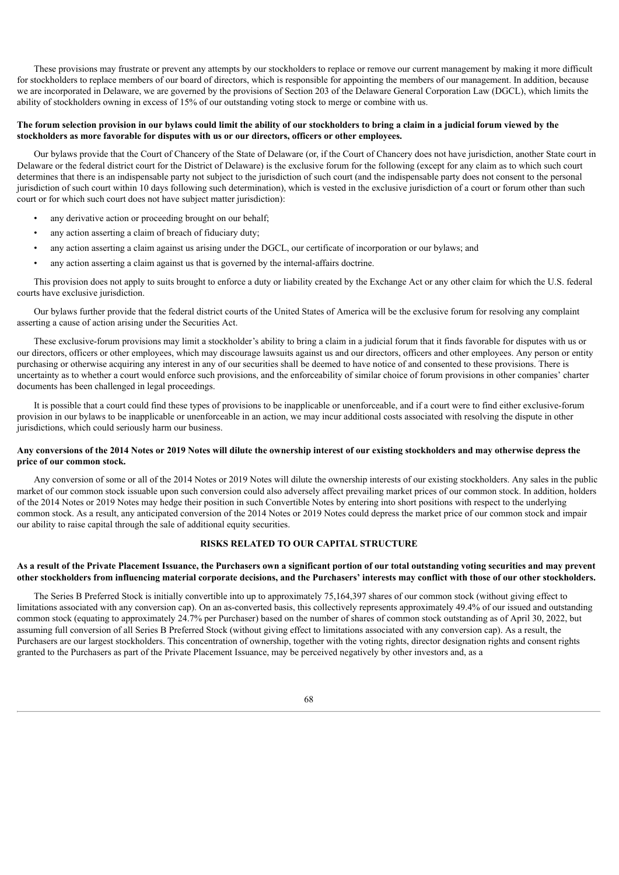These provisions may frustrate or prevent any attempts by our stockholders to replace or remove our current management by making it more difficult for stockholders to replace members of our board of directors, which is responsible for appointing the members of our management. In addition, because we are incorporated in Delaware, we are governed by the provisions of Section 203 of the Delaware General Corporation Law (DGCL), which limits the ability of stockholders owning in excess of 15% of our outstanding voting stock to merge or combine with us.

## The forum selection provision in our bylaws could limit the ability of our stockholders to bring a claim in a judicial forum viewed by the **stockholders as more favorable for disputes with us or our directors, officers or other employees.**

Our bylaws provide that the Court of Chancery of the State of Delaware (or, if the Court of Chancery does not have jurisdiction, another State court in Delaware or the federal district court for the District of Delaware) is the exclusive forum for the following (except for any claim as to which such court determines that there is an indispensable party not subject to the jurisdiction of such court (and the indispensable party does not consent to the personal jurisdiction of such court within 10 days following such determination), which is vested in the exclusive jurisdiction of a court or forum other than such court or for which such court does not have subject matter jurisdiction):

- any derivative action or proceeding brought on our behalf;
- any action asserting a claim of breach of fiduciary duty;
- any action asserting a claim against us arising under the DGCL, our certificate of incorporation or our bylaws; and
- any action asserting a claim against us that is governed by the internal-affairs doctrine.

This provision does not apply to suits brought to enforce a duty or liability created by the Exchange Act or any other claim for which the U.S. federal courts have exclusive jurisdiction.

Our bylaws further provide that the federal district courts of the United States of America will be the exclusive forum for resolving any complaint asserting a cause of action arising under the Securities Act.

These exclusive-forum provisions may limit a stockholder's ability to bring a claim in a judicial forum that it finds favorable for disputes with us or our directors, officers or other employees, which may discourage lawsuits against us and our directors, officers and other employees. Any person or entity purchasing or otherwise acquiring any interest in any of our securities shall be deemed to have notice of and consented to these provisions. There is uncertainty as to whether a court would enforce such provisions, and the enforceability of similar choice of forum provisions in other companies' charter documents has been challenged in legal proceedings.

It is possible that a court could find these types of provisions to be inapplicable or unenforceable, and if a court were to find either exclusive-forum provision in our bylaws to be inapplicable or unenforceable in an action, we may incur additional costs associated with resolving the dispute in other jurisdictions, which could seriously harm our business.

## Any conversions of the 2014 Notes or 2019 Notes will dilute the ownership interest of our existing stockholders and may otherwise depress the **price of our common stock.**

Any conversion of some or all of the 2014 Notes or 2019 Notes will dilute the ownership interests of our existing stockholders. Any sales in the public market of our common stock issuable upon such conversion could also adversely affect prevailing market prices of our common stock. In addition, holders of the 2014 Notes or 2019 Notes may hedge their position in such Convertible Notes by entering into short positions with respect to the underlying common stock. As a result, any anticipated conversion of the 2014 Notes or 2019 Notes could depress the market price of our common stock and impair our ability to raise capital through the sale of additional equity securities.

# **RISKS RELATED TO OUR CAPITAL STRUCTURE**

## As a result of the Private Placement Issuance, the Purchasers own a significant portion of our total outstanding voting securities and may prevent other stockholders from influencing material corporate decisions, and the Purchasers' interests may conflict with those of our other stockholders.

The Series B Preferred Stock is initially convertible into up to approximately 75,164,397 shares of our common stock (without giving effect to limitations associated with any conversion cap). On an as-converted basis, this collectively represents approximately 49.4% of our issued and outstanding common stock (equating to approximately 24.7% per Purchaser) based on the number of shares of common stock outstanding as of April 30, 2022, but assuming full conversion of all Series B Preferred Stock (without giving effect to limitations associated with any conversion cap). As a result, the Purchasers are our largest stockholders. This concentration of ownership, together with the voting rights, director designation rights and consent rights granted to the Purchasers as part of the Private Placement Issuance, may be perceived negatively by other investors and, as a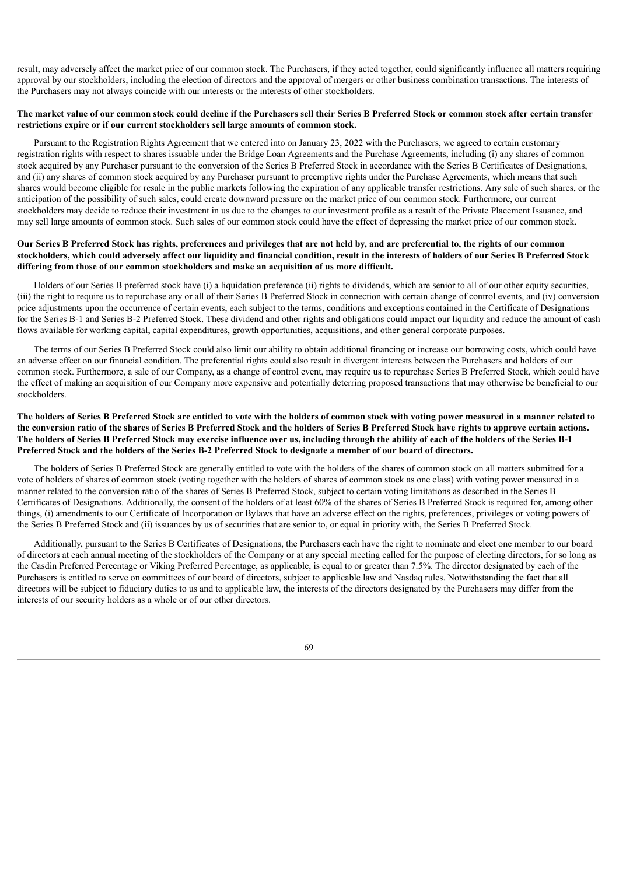result, may adversely affect the market price of our common stock. The Purchasers, if they acted together, could significantly influence all matters requiring approval by our stockholders, including the election of directors and the approval of mergers or other business combination transactions. The interests of the Purchasers may not always coincide with our interests or the interests of other stockholders.

### The market value of our common stock could decline if the Purchasers sell their Series B Preferred Stock or common stock after certain transfer **restrictions expire or if our current stockholders sell large amounts of common stock.**

Pursuant to the Registration Rights Agreement that we entered into on January 23, 2022 with the Purchasers, we agreed to certain customary registration rights with respect to shares issuable under the Bridge Loan Agreements and the Purchase Agreements, including (i) any shares of common stock acquired by any Purchaser pursuant to the conversion of the Series B Preferred Stock in accordance with the Series B Certificates of Designations, and (ii) any shares of common stock acquired by any Purchaser pursuant to preemptive rights under the Purchase Agreements, which means that such shares would become eligible for resale in the public markets following the expiration of any applicable transfer restrictions. Any sale of such shares, or the anticipation of the possibility of such sales, could create downward pressure on the market price of our common stock. Furthermore, our current stockholders may decide to reduce their investment in us due to the changes to our investment profile as a result of the Private Placement Issuance, and may sell large amounts of common stock. Such sales of our common stock could have the effect of depressing the market price of our common stock.

## Our Series B Preferred Stock has rights, preferences and privileges that are not held by, and are preferential to, the rights of our common stockholders, which could adversely affect our liquidity and financial condition, result in the interests of holders of our Series B Preferred Stock **differing from those of our common stockholders and make an acquisition of us more difficult.**

Holders of our Series B preferred stock have (i) a liquidation preference (ii) rights to dividends, which are senior to all of our other equity securities, (iii) the right to require us to repurchase any or all of their Series B Preferred Stock in connection with certain change of control events, and (iv) conversion price adjustments upon the occurrence of certain events, each subject to the terms, conditions and exceptions contained in the Certificate of Designations for the Series B-1 and Series B-2 Preferred Stock. These dividend and other rights and obligations could impact our liquidity and reduce the amount of cash flows available for working capital, capital expenditures, growth opportunities, acquisitions, and other general corporate purposes.

The terms of our Series B Preferred Stock could also limit our ability to obtain additional financing or increase our borrowing costs, which could have an adverse effect on our financial condition. The preferential rights could also result in divergent interests between the Purchasers and holders of our common stock. Furthermore, a sale of our Company, as a change of control event, may require us to repurchase Series B Preferred Stock, which could have the effect of making an acquisition of our Company more expensive and potentially deterring proposed transactions that may otherwise be beneficial to our stockholders.

## The holders of Series B Preferred Stock are entitled to vote with the holders of common stock with voting power measured in a manner related to the conversion ratio of the shares of Series B Preferred Stock and the holders of Series B Preferred Stock have rights to approve certain actions. The holders of Series B Preferred Stock may exercise influence over us, including through the ability of each of the holders of the Series B-1 Preferred Stock and the holders of the Series B-2 Preferred Stock to designate a member of our board of directors.

The holders of Series B Preferred Stock are generally entitled to vote with the holders of the shares of common stock on all matters submitted for a vote of holders of shares of common stock (voting together with the holders of shares of common stock as one class) with voting power measured in a manner related to the conversion ratio of the shares of Series B Preferred Stock, subject to certain voting limitations as described in the Series B Certificates of Designations. Additionally, the consent of the holders of at least 60% of the shares of Series B Preferred Stock is required for, among other things, (i) amendments to our Certificate of Incorporation or Bylaws that have an adverse effect on the rights, preferences, privileges or voting powers of the Series B Preferred Stock and (ii) issuances by us of securities that are senior to, or equal in priority with, the Series B Preferred Stock.

Additionally, pursuant to the Series B Certificates of Designations, the Purchasers each have the right to nominate and elect one member to our board of directors at each annual meeting of the stockholders of the Company or at any special meeting called for the purpose of electing directors, for so long as the Casdin Preferred Percentage or Viking Preferred Percentage, as applicable, is equal to or greater than 7.5%. The director designated by each of the Purchasers is entitled to serve on committees of our board of directors, subject to applicable law and Nasdaq rules. Notwithstanding the fact that all directors will be subject to fiduciary duties to us and to applicable law, the interests of the directors designated by the Purchasers may differ from the interests of our security holders as a whole or of our other directors.

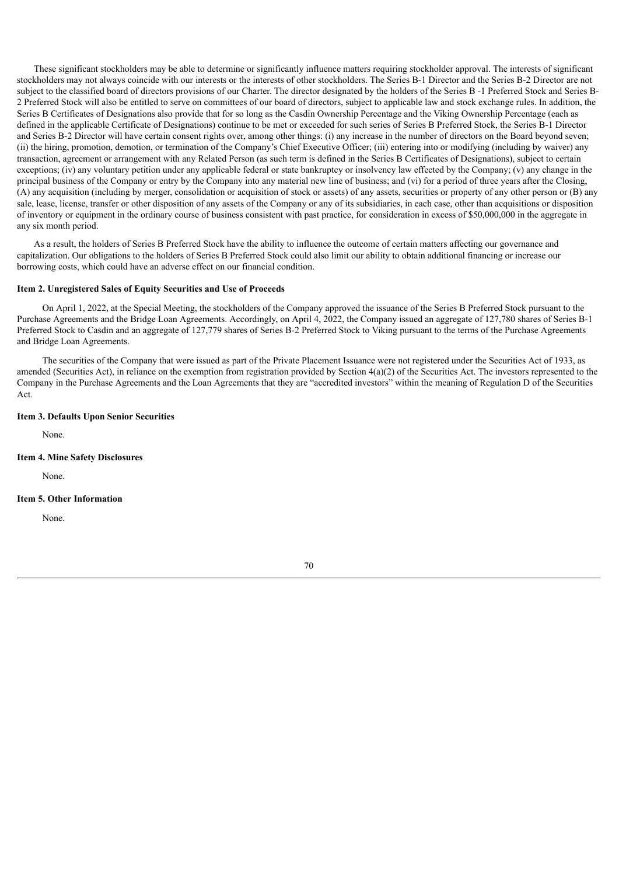These significant stockholders may be able to determine or significantly influence matters requiring stockholder approval. The interests of significant stockholders may not always coincide with our interests or the interests of other stockholders. The Series B-1 Director and the Series B-2 Director are not subject to the classified board of directors provisions of our Charter. The director designated by the holders of the Series B -1 Preferred Stock and Series B-2 Preferred Stock will also be entitled to serve on committees of our board of directors, subject to applicable law and stock exchange rules. In addition, the Series B Certificates of Designations also provide that for so long as the Casdin Ownership Percentage and the Viking Ownership Percentage (each as defined in the applicable Certificate of Designations) continue to be met or exceeded for such series of Series B Preferred Stock, the Series B-1 Director and Series B-2 Director will have certain consent rights over, among other things: (i) any increase in the number of directors on the Board beyond seven; (ii) the hiring, promotion, demotion, or termination of the Company's Chief Executive Officer; (iii) entering into or modifying (including by waiver) any transaction, agreement or arrangement with any Related Person (as such term is defined in the Series B Certificates of Designations), subject to certain exceptions; (iv) any voluntary petition under any applicable federal or state bankruptcy or insolvency law effected by the Company; (v) any change in the principal business of the Company or entry by the Company into any material new line of business; and (vi) for a period of three years after the Closing, (A) any acquisition (including by merger, consolidation or acquisition of stock or assets) of any assets, securities or property of any other person or (B) any sale, lease, license, transfer or other disposition of any assets of the Company or any of its subsidiaries, in each case, other than acquisitions or disposition of inventory or equipment in the ordinary course of business consistent with past practice, for consideration in excess of \$50,000,000 in the aggregate in any six month period.

As a result, the holders of Series B Preferred Stock have the ability to influence the outcome of certain matters affecting our governance and capitalization. Our obligations to the holders of Series B Preferred Stock could also limit our ability to obtain additional financing or increase our borrowing costs, which could have an adverse effect on our financial condition.

# **Item 2. Unregistered Sales of Equity Securities and Use of Proceeds**

On April 1, 2022, at the Special Meeting, the stockholders of the Company approved the issuance of the Series B Preferred Stock pursuant to the Purchase Agreements and the Bridge Loan Agreements. Accordingly, on April 4, 2022, the Company issued an aggregate of 127,780 shares of Series B-1 Preferred Stock to Casdin and an aggregate of 127,779 shares of Series B-2 Preferred Stock to Viking pursuant to the terms of the Purchase Agreements and Bridge Loan Agreements.

The securities of the Company that were issued as part of the Private Placement Issuance were not registered under the Securities Act of 1933, as amended (Securities Act), in reliance on the exemption from registration provided by Section 4(a)(2) of the Securities Act. The investors represented to the Company in the Purchase Agreements and the Loan Agreements that they are "accredited investors" within the meaning of Regulation D of the Securities Act.

## **Item 3. Defaults Upon Senior Securities**

None.

#### **Item 4. Mine Safety Disclosures**

None.

# **Item 5. Other Information**

None.

70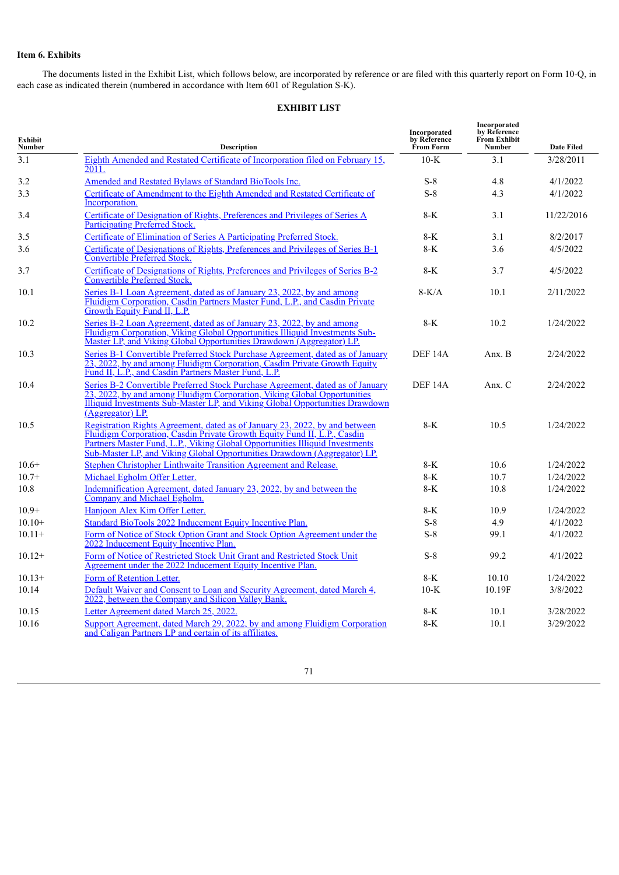# **Item 6. Exhibits**

The documents listed in the Exhibit List, which follows below, are incorporated by reference or are filed with this quarterly report on Form 10-Q, in each case as indicated therein (numbered in accordance with Item 601 of Regulation S-K).

# **EXHIBIT LIST**

| Exhibit<br><b>Number</b> | <b>Description</b>                                                                                                                                                                                                                                                                                                  | Incorporated<br>by Reference<br><b>From Form</b> | Incorporated<br>by Reference<br>From Exhibit<br><b>Number</b> | <b>Date Filed</b> |
|--------------------------|---------------------------------------------------------------------------------------------------------------------------------------------------------------------------------------------------------------------------------------------------------------------------------------------------------------------|--------------------------------------------------|---------------------------------------------------------------|-------------------|
| 3.1                      | Eighth Amended and Restated Certificate of Incorporation filed on February 15,<br>2011.                                                                                                                                                                                                                             | $10-K$                                           | 3.1                                                           | 3/28/2011         |
| 3.2                      | Amended and Restated Bylaws of Standard BioTools Inc.                                                                                                                                                                                                                                                               | $S-8$                                            | 4.8                                                           | 4/1/2022          |
| 3.3                      | Certificate of Amendment to the Eighth Amended and Restated Certificate of<br>Incorporation.                                                                                                                                                                                                                        | $S-8$                                            | 4.3                                                           | 4/1/2022          |
| 3.4                      | <u>Certificate of Designation of Rights, Preferences and Privileges of Series A</u><br><b>Participating Preferred Stock.</b>                                                                                                                                                                                        | 8-K                                              | 3.1                                                           | 11/22/2016        |
| 3.5                      | Certificate of Elimination of Series A Participating Preferred Stock.                                                                                                                                                                                                                                               | $8-K$                                            | 3.1                                                           | 8/2/2017          |
| 3.6                      | Certificate of Designations of Rights, Preferences and Privileges of Series B-1<br><b>Convertible Preferred Stock.</b>                                                                                                                                                                                              | $8-K$                                            | 3.6                                                           | 4/5/2022          |
| 3.7                      | Certificate of Designations of Rights, Preferences and Privileges of Series B-2<br><b>Convertible Preferred Stock.</b>                                                                                                                                                                                              | 8-K                                              | 3.7                                                           | 4/5/2022          |
| 10.1                     | Series B-1 Loan Agreement, dated as of January 23, 2022, by and among<br>Fluidigm Corporation, Casdin Partners Master Fund, L.P., and Casdin Private<br>Growth Equity Fund II, L.P.                                                                                                                                 | $8-K/A$                                          | 10.1                                                          | 2/11/2022         |
| 10.2                     | Series B-2 Loan Agreement, dated as of January 23, 2022, by and among<br>Fluidigm Corporation, Viking Global Opportunities Illiquid Investments Sub-<br>Master LP, and Viking Global Opportunities Drawdown (Aggregator) LP.                                                                                        | 8-K                                              | 10.2                                                          | 1/24/2022         |
| 10.3                     | Series B-1 Convertible Preferred Stock Purchase Agreement, dated as of January<br>23, 2022, by and among Fluidigm Corporation, Casdin Private Growth Equity<br>Fund II, L.P., and Casdin Partners Master Fund, L.P.                                                                                                 | DEF <sub>14</sub> A                              | Anx. B                                                        | 2/24/2022         |
| 10.4                     | Series B-2 Convertible Preferred Stock Purchase Agreement, dated as of January<br>23, 2022, by and among Fluidigm Corporation, Viking Global Opportunities<br>Illiquid Investments Sub-Master LP, and Viking Global Opportunities Drawdown<br>(Aggregator) LP.                                                      | DEF <sub>14</sub> A                              | Anx. C                                                        | 2/24/2022         |
| 10.5                     | Registration Rights Agreement, dated as of January 23, 2022, by and between<br>Fluidigm Corporation, Casdin Private Growth Equity Fund II, L.P., Casdin<br>Partners Master Fund, L.P., Viking Global Opportunities Illiquid Investments<br>Sub-Master LP, and Viking Global Opportunities Drawdown (Aggregator) LP. | $8-K$                                            | 10.5                                                          | 1/24/2022         |
| $10.6+$                  | Stephen Christopher Linthwaite Transition Agreement and Release.                                                                                                                                                                                                                                                    | $8-K$                                            | 10.6                                                          | 1/24/2022         |
| $10.7+$                  | Michael Egholm Offer Letter.                                                                                                                                                                                                                                                                                        | $8-K$                                            | 10.7                                                          | 1/24/2022         |
| 10.8                     | Indemnification Agreement, dated January 23, 2022, by and between the<br>Company and Michael Egholm.                                                                                                                                                                                                                | $8-K$                                            | 10.8                                                          | 1/24/2022         |
| $10.9+$                  | Hanjoon Alex Kim Offer Letter.                                                                                                                                                                                                                                                                                      | $8-K$                                            | 10.9                                                          | 1/24/2022         |
| $10.10+$                 | Standard BioTools 2022 Inducement Equity Incentive Plan.                                                                                                                                                                                                                                                            | $S-8$                                            | 4.9                                                           | 4/1/2022          |
| $10.11+$                 | Form of Notice of Stock Option Grant and Stock Option Agreement under the<br>2022 Inducement Equity Incentive Plan.                                                                                                                                                                                                 | $S-8$                                            | 99.1                                                          | 4/1/2022          |
| $10.12+$                 | Form of Notice of Restricted Stock Unit Grant and Restricted Stock Unit<br>Agreement under the 2022 Inducement Equity Incentive Plan.                                                                                                                                                                               | $S-8$                                            | 99.2                                                          | 4/1/2022          |
| $10.13+$                 | Form of Retention Letter.                                                                                                                                                                                                                                                                                           | $8-K$                                            | 10.10                                                         | 1/24/2022         |
| 10.14                    | Default Waiver and Consent to Loan and Security Agreement, dated March 4,<br>2022, between the Company and Silicon Valley Bank.                                                                                                                                                                                     | $10-K$                                           | 10.19F                                                        | 3/8/2022          |
| 10.15                    | Letter Agreement dated March 25, 2022.                                                                                                                                                                                                                                                                              | 8-K                                              | 10.1                                                          | 3/28/2022         |
| 10.16                    | Support Agreement, dated March 29, 2022, by and among Fluidigm Corporation<br>and Caligan Partners LP and certain of its affiliates.                                                                                                                                                                                | $8-K$                                            | 10.1                                                          | 3/29/2022         |

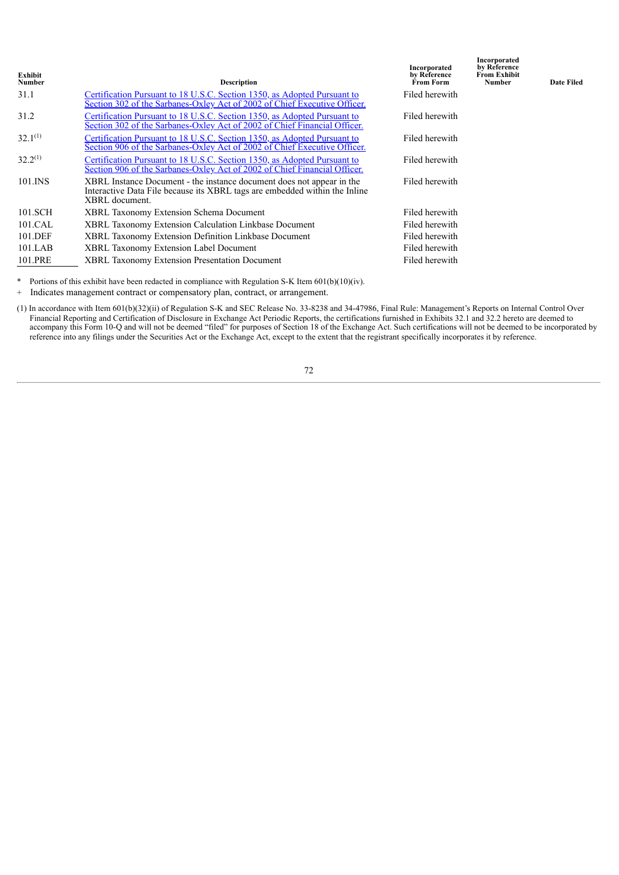| Exhibit<br><b>Number</b> | <b>Description</b>                                                                                                                                                    | Incorporated<br>by Reference<br><b>From Form</b> | -------------<br>by Reference<br><b>From Exhibit</b><br><b>Number</b> | <b>Date Filed</b> |
|--------------------------|-----------------------------------------------------------------------------------------------------------------------------------------------------------------------|--------------------------------------------------|-----------------------------------------------------------------------|-------------------|
| 31.1                     | Certification Pursuant to 18 U.S.C. Section 1350, as Adopted Pursuant to<br>Section 302 of the Sarbanes-Oxley Act of 2002 of Chief Executive Officer.                 | Filed herewith                                   |                                                                       |                   |
| 31.2                     | Certification Pursuant to 18 U.S.C. Section 1350, as Adopted Pursuant to<br>Section 302 of the Sarbanes-Oxley Act of 2002 of Chief Financial Officer.                 | Filed herewith                                   |                                                                       |                   |
| $32.1^{(1)}$             | Certification Pursuant to 18 U.S.C. Section 1350, as Adopted Pursuant to<br>Section 906 of the Sarbanes-Oxley Act of 2002 of Chief Executive Officer.                 | Filed herewith                                   |                                                                       |                   |
| $32.2^{(1)}$             | Certification Pursuant to 18 U.S.C. Section 1350, as Adopted Pursuant to<br>Section 906 of the Sarbanes-Oxley Act of 2002 of Chief Financial Officer.                 | Filed herewith                                   |                                                                       |                   |
| 101.INS                  | XBRL Instance Document - the instance document does not appear in the<br>Interactive Data File because its XBRL tags are embedded within the Inline<br>XBRL document. | Filed herewith                                   |                                                                       |                   |
| 101.SCH                  | <b>XBRL Taxonomy Extension Schema Document</b>                                                                                                                        | Filed herewith                                   |                                                                       |                   |
| 101.CAL                  | XBRL Taxonomy Extension Calculation Linkbase Document                                                                                                                 | Filed herewith                                   |                                                                       |                   |
| 101.DEF                  | XBRL Taxonomy Extension Definition Linkbase Document                                                                                                                  | Filed herewith                                   |                                                                       |                   |
| 101.LAB                  | <b>XBRL Taxonomy Extension Label Document</b>                                                                                                                         | Filed herewith                                   |                                                                       |                   |
| 101.PRE                  | <b>XBRL Taxonomy Extension Presentation Document</b>                                                                                                                  | Filed herewith                                   |                                                                       |                   |

**Incorporated**

\* Portions of this exhibit have been redacted in compliance with Regulation S-K Item 601(b)(10)(iv).

+ Indicates management contract or compensatory plan, contract, or arrangement.

(1) In accordance with Item 601(b)(32)(ii) of Regulation S-K and SEC Release No. 33-8238 and 34-47986, Final Rule: Management's Reports on Internal Control Over Financial Reporting and Certification of Disclosure in Exchange Act Periodic Reports, the certifications furnished in Exhibits 32.1 and 32.2 hereto are deemed to accompany this Form 10-Q and will not be deemed "filed" for purposes of Section 18 of the Exchange Act. Such certifications will not be deemed to be incorporated by reference into any filings under the Securities Act or the Exchange Act, except to the extent that the registrant specifically incorporates it by reference.

72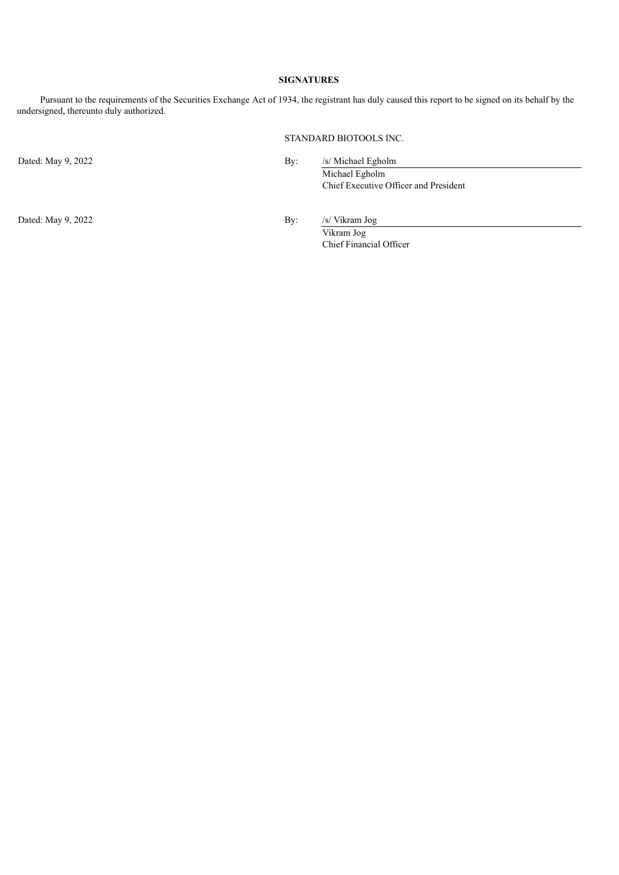# **SIGNATURES**

Pursuant to the requirements of the Securities Exchange Act of 1934, the registrant has duly caused this report to be signed on its behalf by the undersigned, thereunto duly authorized.

# STANDARD BIOTOOLS INC.

Dated: May 9, 2022 By: /s/ Michael Egholm

Michael Egholm Chief Executive Officer and President

Dated: May 9, 2022 By: /s/ Vikram Jog

Vikram Jog Chief Financial Officer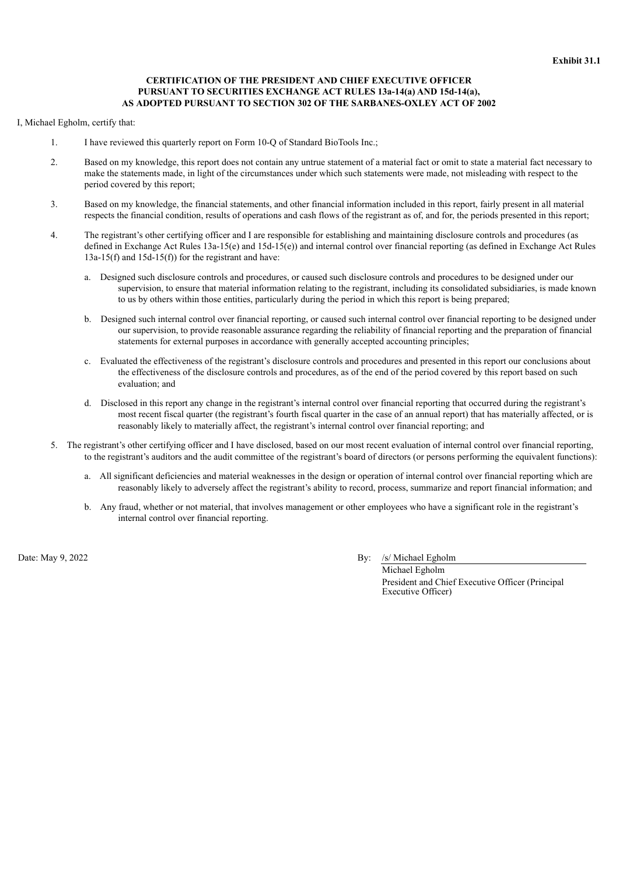### **CERTIFICATION OF THE PRESIDENT AND CHIEF EXECUTIVE OFFICER PURSUANT TO SECURITIES EXCHANGE ACT RULES 13a-14(a) AND 15d-14(a), AS ADOPTED PURSUANT TO SECTION 302 OF THE SARBANES-OXLEY ACT OF 2002**

## <span id="page-75-0"></span>I, Michael Egholm, certify that:

- 1. I have reviewed this quarterly report on Form 10-Q of Standard BioTools Inc.;
- 2. Based on my knowledge, this report does not contain any untrue statement of a material fact or omit to state a material fact necessary to make the statements made, in light of the circumstances under which such statements were made, not misleading with respect to the period covered by this report;
- 3. Based on my knowledge, the financial statements, and other financial information included in this report, fairly present in all material respects the financial condition, results of operations and cash flows of the registrant as of, and for, the periods presented in this report;
- 4. The registrant's other certifying officer and I are responsible for establishing and maintaining disclosure controls and procedures (as defined in Exchange Act Rules 13a-15(e) and 15d-15(e)) and internal control over financial reporting (as defined in Exchange Act Rules 13a-15(f) and 15d-15(f)) for the registrant and have:
	- a. Designed such disclosure controls and procedures, or caused such disclosure controls and procedures to be designed under our supervision, to ensure that material information relating to the registrant, including its consolidated subsidiaries, is made known to us by others within those entities, particularly during the period in which this report is being prepared;
	- b. Designed such internal control over financial reporting, or caused such internal control over financial reporting to be designed under our supervision, to provide reasonable assurance regarding the reliability of financial reporting and the preparation of financial statements for external purposes in accordance with generally accepted accounting principles;
	- c. Evaluated the effectiveness of the registrant's disclosure controls and procedures and presented in this report our conclusions about the effectiveness of the disclosure controls and procedures, as of the end of the period covered by this report based on such evaluation; and
	- d. Disclosed in this report any change in the registrant's internal control over financial reporting that occurred during the registrant's most recent fiscal quarter (the registrant's fourth fiscal quarter in the case of an annual report) that has materially affected, or is reasonably likely to materially affect, the registrant's internal control over financial reporting; and
- 5. The registrant's other certifying officer and I have disclosed, based on our most recent evaluation of internal control over financial reporting, to the registrant's auditors and the audit committee of the registrant's board of directors (or persons performing the equivalent functions):
	- a. All significant deficiencies and material weaknesses in the design or operation of internal control over financial reporting which are reasonably likely to adversely affect the registrant's ability to record, process, summarize and report financial information; and
	- b. Any fraud, whether or not material, that involves management or other employees who have a significant role in the registrant's internal control over financial reporting.

Date: May 9, 2022 By: /s/ Michael Egholm

Michael Egholm President and Chief Executive Officer (Principal Executive Officer)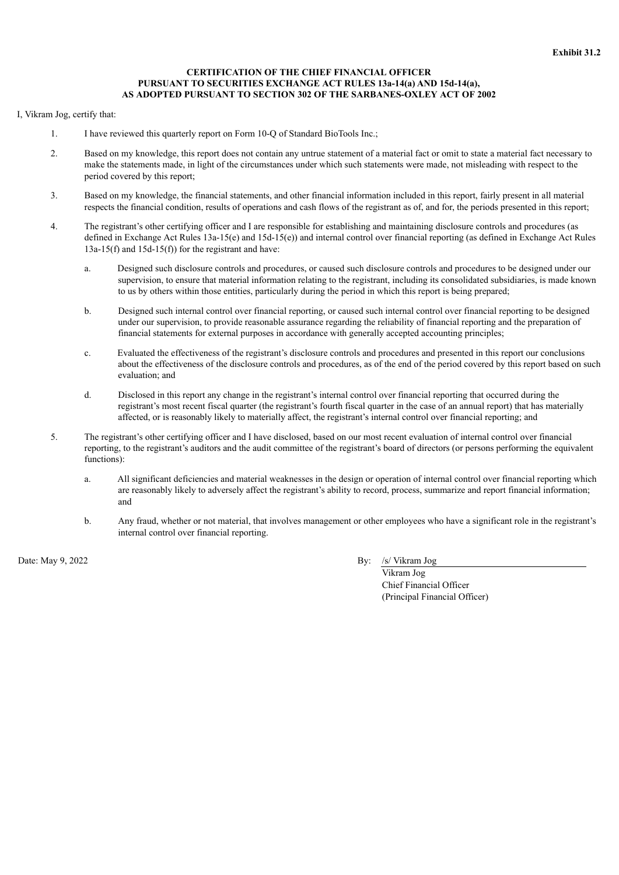#### **CERTIFICATION OF THE CHIEF FINANCIAL OFFICER PURSUANT TO SECURITIES EXCHANGE ACT RULES 13a-14(a) AND 15d-14(a), AS ADOPTED PURSUANT TO SECTION 302 OF THE SARBANES-OXLEY ACT OF 2002**

## <span id="page-76-0"></span>I, Vikram Jog, certify that:

- 1. I have reviewed this quarterly report on Form 10-Q of Standard BioTools Inc.;
- 2. Based on my knowledge, this report does not contain any untrue statement of a material fact or omit to state a material fact necessary to make the statements made, in light of the circumstances under which such statements were made, not misleading with respect to the period covered by this report;
- 3. Based on my knowledge, the financial statements, and other financial information included in this report, fairly present in all material respects the financial condition, results of operations and cash flows of the registrant as of, and for, the periods presented in this report;
- 4. The registrant's other certifying officer and I are responsible for establishing and maintaining disclosure controls and procedures (as defined in Exchange Act Rules 13a-15(e) and 15d-15(e)) and internal control over financial reporting (as defined in Exchange Act Rules  $13a-15(f)$  and  $15d-15(f)$  for the registrant and have:
	- a. Designed such disclosure controls and procedures, or caused such disclosure controls and procedures to be designed under our supervision, to ensure that material information relating to the registrant, including its consolidated subsidiaries, is made known to us by others within those entities, particularly during the period in which this report is being prepared;
	- b. Designed such internal control over financial reporting, or caused such internal control over financial reporting to be designed under our supervision, to provide reasonable assurance regarding the reliability of financial reporting and the preparation of financial statements for external purposes in accordance with generally accepted accounting principles;
	- c. Evaluated the effectiveness of the registrant's disclosure controls and procedures and presented in this report our conclusions about the effectiveness of the disclosure controls and procedures, as of the end of the period covered by this report based on such evaluation; and
	- d. Disclosed in this report any change in the registrant's internal control over financial reporting that occurred during the registrant's most recent fiscal quarter (the registrant's fourth fiscal quarter in the case of an annual report) that has materially affected, or is reasonably likely to materially affect, the registrant's internal control over financial reporting; and
- 5. The registrant's other certifying officer and I have disclosed, based on our most recent evaluation of internal control over financial reporting, to the registrant's auditors and the audit committee of the registrant's board of directors (or persons performing the equivalent functions):
	- a. All significant deficiencies and material weaknesses in the design or operation of internal control over financial reporting which are reasonably likely to adversely affect the registrant's ability to record, process, summarize and report financial information; and
	- b. Any fraud, whether or not material, that involves management or other employees who have a significant role in the registrant's internal control over financial reporting.

Date: May 9, 2022 By: /s/ Vikram Jog

Vikram Jog Chief Financial Officer (Principal Financial Officer)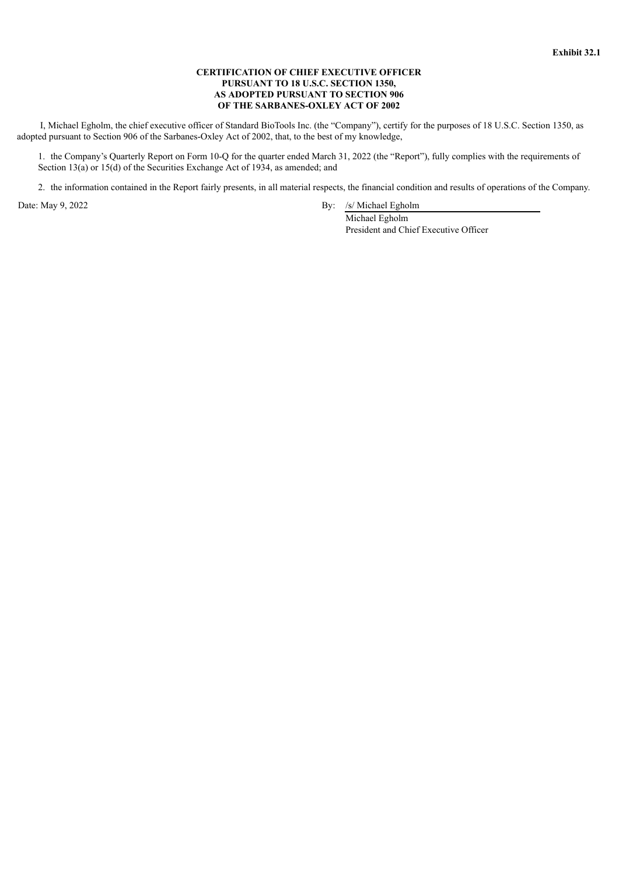#### **CERTIFICATION OF CHIEF EXECUTIVE OFFICER PURSUANT TO 18 U.S.C. SECTION 1350, AS ADOPTED PURSUANT TO SECTION 906 OF THE SARBANES-OXLEY ACT OF 2002**

<span id="page-77-0"></span>I, Michael Egholm, the chief executive officer of Standard BioTools Inc. (the "Company"), certify for the purposes of 18 U.S.C. Section 1350, as adopted pursuant to Section 906 of the Sarbanes-Oxley Act of 2002, that, to the best of my knowledge,

1. the Company's Quarterly Report on Form 10-Q for the quarter ended March 31, 2022 (the "Report"), fully complies with the requirements of Section 13(a) or 15(d) of the Securities Exchange Act of 1934, as amended; and

2. the information contained in the Report fairly presents, in all material respects, the financial condition and results of operations of the Company.

Date: May 9, 2022 By: /s/ Michael Egholm

Michael Egholm President and Chief Executive Officer